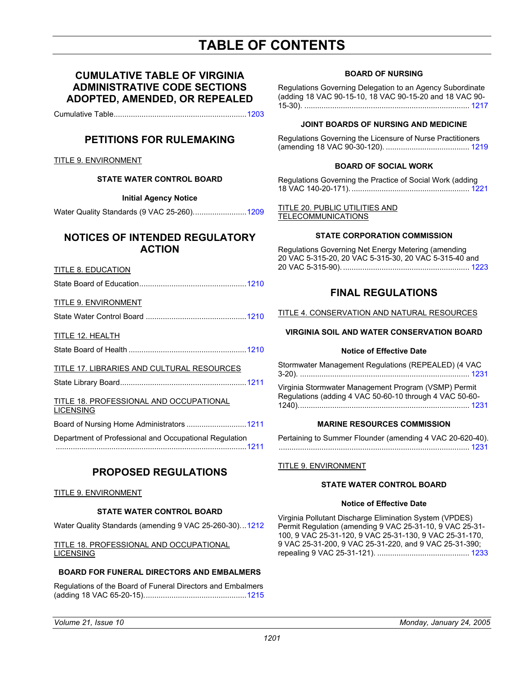# **TABLE OF CONTENTS**

# **CUMULATIVE TABLE OF VIRGINIA ADMINISTRATIVE CODE SECTIONS ADOPTED, AMENDED, OR REPEALED**

Cumulative Table.............................................................[.1203](#page-2-0)

# **PETITIONS FOR RULEMAKING**

TITLE 9. ENVIRONMENT

### **STATE WATER CONTROL BOARD**

#### **Initial Agency Notice**

Water Quality Standards (9 VAC 25-260).....................[....1209](#page-8-0)

# **NOTICES OF INTENDED REGULATORY ACTION**

#### TITLE 8. EDUCATION

State Board of Education...............................................[...1210](#page-9-0)

#### TITLE 9. ENVIRONMENT

State Water Control Board ...............................................1210

#### TITLE 12. HEALTH

State Board of Health .......................................................1210

### TITLE 17. LIBRARIES AND CULTURAL RESOURCES

State Library Board...........................................................1211

# TITLE 18. PROFESSIONAL AND OCCUPATIONAL LICENSING Board of Nursing Home Administrators ............................1211

Department of Professional and Occupational Regulation

........................................................................................[.1211](#page-10-0)

# **PROPOSED REGULATIONS**

#### TITLE 9. ENVIRONMENT

### **STATE WATER CONTROL BOARD**

Water Quality Standards (amending 9 VAC 25-260-30).[..1212](#page-11-0)

#### TITLE 18. PROFESSIONAL AND OCCUPATIONAL LICENSING

#### **BOARD FOR FUNERAL DIRECTORS AND EMBALMERS**

Regulations of the Board of Funeral Directors and Embalmers (adding 18 VAC 65-20-15)............................................[....1215](#page-14-0)

#### **BOARD OF NURSING**

Regulations Governing Delegation to an Agency Subordinate (adding 18 VAC 90-15-10, 18 VAC 90-15-20 and 18 VAC 90- 15-30). ............................................................................. [1217](#page-16-0)

#### **JOINT BOARDS OF NURSING AND MEDICINE**

Regulations Governing the Licensure of Nurse Practitioners (amending 18 VAC 90-30-120). ....................................... [1219](#page-18-0)

#### **BOARD OF SOCIAL WORK**

Regulations Governing the Practice of Social Work (adding 18 VAC 140-20-171). ....................................................... [1221](#page-20-0)

#### TITLE 20. PUBLIC UTILITIES AND **TELECOMMUNICATIONS**

#### **STATE CORPORATION COMMISSION**

Regulations Governing Net Energy Metering (amending 20 VAC 5-315-20, 20 VAC 5-315-30, 20 VAC 5-315-40 and 20 VAC 5-315-90). ........................................................... [1223](#page-22-0)

# **FINAL REGULATIONS**

TITLE 4. CONSERVATION AND NATURAL RESOURCES

### **VIRGINIA SOIL AND WATER CONSERVATION BOARD**

#### **Notice of Effective Date**

Stormwater Management Regulations (REPEALED) (4 VAC 3-20). ............................................................................... 1231

Virginia Stormwater Management Program (VSMP) Permit Regulations (adding 4 VAC 50-60-10 through 4 VAC 50-60- 1240)................................................................................ 1231

#### **MARINE RESOURCES COMMISSION**

Pertaining to Summer Flounder (amending 4 VAC 20-6[20-40\).](#page-30-0) ......................................................................................... 1231

#### TITLE 9. ENVIRONMENT

#### **STATE WATER CONTROL BOARD**

#### **Notice of Effective Date**

Virginia Pollutant Discharge Elimination System (VPDES) Permit Regulation (amending 9 VAC 25-31-10, 9 VAC 25-31- 100, 9 VAC 25-31-120, 9 VAC 25-31-130, 9 VAC 25-31-170, 9 VAC 25-31-200, 9 VAC 25-31-220, and 9 VAC 25-31-390; repealing 9 VAC 25-31-121). ........................................... [1233](#page-32-0)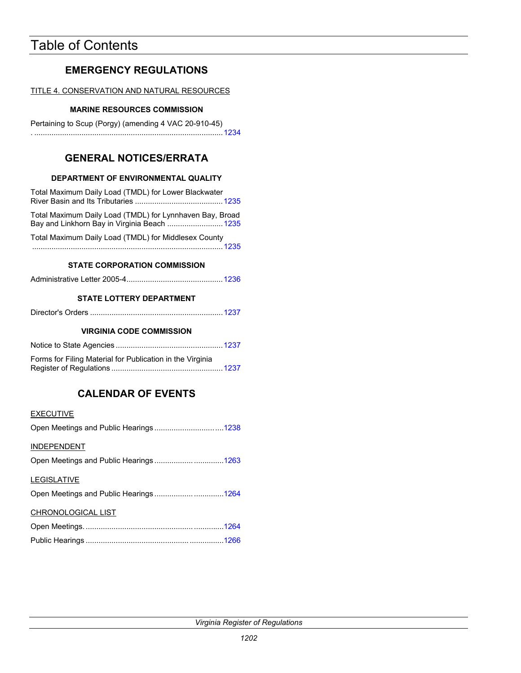# Table of Contents

# **EMERGENCY REGULATIONS**

TITLE 4. CONSERVATION AND NATURAL RESOURCES

# **MARINE RESOURCES COMMISSION**

Pertaining to Scup (Porgy) (amending 4 VAC 20-910-45) . ......................................................................................[..1234](#page-33-0)

# **GENERAL NOTICES/ERRATA**

# **DEPARTMENT OF ENVIRONMENTAL QUALITY**

| Total Maximum Daily Load (TMDL) for Lower Blackwater                                                     |
|----------------------------------------------------------------------------------------------------------|
| Total Maximum Daily Load (TMDL) for Lynnhaven Bay, Broad<br>Bay and Linkhorn Bay in Virginia Beach  1235 |
| Total Maximum Daily Load (TMDL) for Middlesex County                                                     |

### **STATE CORPORATION COMMISSION**

|--|--|--|

## **STATE LOTTERY DEPARTMENT**

|--|--|

### **VIRGINIA CODE COMMISSION**

| Forms for Filing Material for Publication in the Virginia |  |
|-----------------------------------------------------------|--|
|                                                           |  |

# **CALENDAR OF EVENTS**

## **EXECUTIVE**

| <b>INDEPENDENT</b>                    |  |
|---------------------------------------|--|
| Open Meetings and Public Hearings1263 |  |
| <b>LEGISLATIVE</b>                    |  |
| Open Meetings and Public Hearings1264 |  |
| CHRONOLOGICAL LIST                    |  |
|                                       |  |
|                                       |  |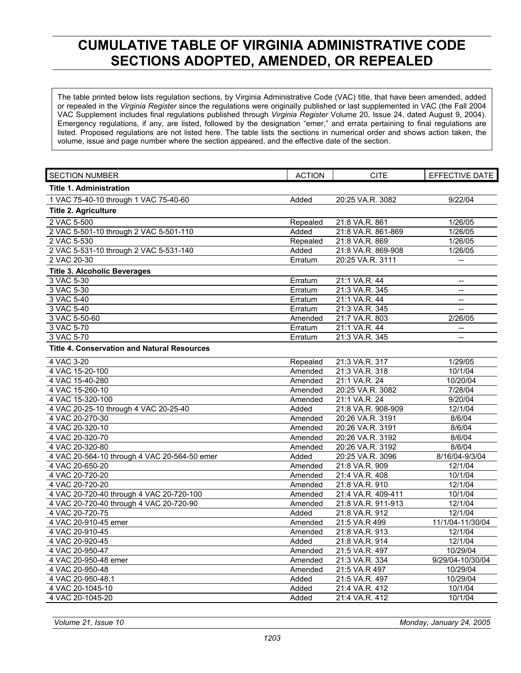# <span id="page-2-0"></span>**CUMULATIVE TABLE OF VIRGINIA ADMINISTRATIVE CODE SECTIONS ADOPTED, AMENDED, OR REPEALED**

The table printed below lists regulation sections, by Virginia Administrative Code (VAC) title, that have been amended, added or repealed in the *Virginia Register* since the regulations were originally published or last supplemented in VAC (the Fall 2004 VAC Supplement includes final regulations published through *Virginia Register* Volume 20, Issue 24, dated August 9, 2004). Emergency regulations, if any, are listed, followed by the designation "emer," and errata pertaining to final regulations are listed. Proposed regulations are not listed here. The table lists the sections in numerical order and shows action taken, the volume, issue and page number where the section appeared, and the effective date of the section.

| <b>SECTION NUMBER</b>                              | <b>ACTION</b> | <b>CITE</b>        | EFFECTIVE DATE                                      |
|----------------------------------------------------|---------------|--------------------|-----------------------------------------------------|
| <b>Title 1. Administration</b>                     |               |                    |                                                     |
| 1 VAC 75-40-10 through 1 VAC 75-40-60              | Added         | 20:25 VA.R. 3082   | 9/22/04                                             |
| <b>Title 2. Agriculture</b>                        |               |                    |                                                     |
| 2 VAC 5-500                                        | Repealed      | 21:8 VA.R. 861     | 1/26/05                                             |
| 2 VAC 5-501-10 through 2 VAC 5-501-110             | Added         | 21:8 VA.R. 861-869 | 1/26/05                                             |
| 2 VAC 5-530                                        | Repealed      | 21:8 VA.R. 869     | 1/26/05                                             |
| 2 VAC 5-531-10 through 2 VAC 5-531-140             | Added         | 21:8 VA.R. 869-908 | 1/26/05                                             |
| 2 VAC 20-30                                        | Erratum       | 20:25 VA.R. 3111   | $\overline{\phantom{a}}$                            |
| <b>Title 3. Alcoholic Beverages</b>                |               |                    |                                                     |
| 3 VAC 5-30                                         | Erratum       | 21:1 VA.R. 44      |                                                     |
| 3 VAC 5-30                                         | Erratum       | 21:3 VA.R. 345     | $\overline{\phantom{a}}$                            |
| 3 VAC 5-40                                         | Erratum       | 21:1 VA.R. 44      | $\overline{\phantom{a}}$                            |
| 3 VAC 5-40                                         | Erratum       | 21:3 VA.R. 345     | $\overline{a}$                                      |
| 3 VAC 5-50-60                                      | Amended       | 21:7 VA.R. 803     | 2/26/05                                             |
| 3 VAC 5-70                                         | Erratum       | 21:1 VA.R. 44      |                                                     |
| 3 VAC 5-70                                         | Erratum       | 21:3 VA.R. 345     | $\hspace{0.05cm} -\hspace{0.05cm} -\hspace{0.05cm}$ |
| <b>Title 4. Conservation and Natural Resources</b> |               |                    |                                                     |
| 4 VAC 3-20                                         | Repealed      | 21:3 VA.R. 317     | 1/29/05                                             |
| 4 VAC 15-20-100                                    | Amended       | 21:3 VA.R. 318     | 10/1/04                                             |
| 4 VAC 15-40-280                                    | Amended       | 21:1 VA.R. 24      | 10/20/04                                            |
| 4 VAC 15-260-10                                    | Amended       | 20:25 VA.R. 3082   | 7/28/04                                             |
| 4 VAC 15-320-100                                   | Amended       | 21:1 VA.R. 24      | 9/20/04                                             |
| 4 VAC 20-25-10 through 4 VAC 20-25-40              | Added         | 21:8 VA.R. 908-909 | 12/1/04                                             |
| 4 VAC 20-270-30                                    | Amended       | 20:26 VA.R. 3191   | 8/6/04                                              |
| 4 VAC 20-320-10                                    | Amended       | 20:26 VA.R. 3191   | 8/6/04                                              |
| 4 VAC 20-320-70                                    | Amended       | 20:26 VA.R. 3192   | 8/6/04                                              |
| 4 VAC 20-320-80                                    | Amended       | 20:26 VA.R. 3192   | 8/6/04                                              |
| 4 VAC 20-564-10 through 4 VAC 20-564-50 emer       | Added         | 20:25 VA.R. 3096   | 8/16/04-9/3/04                                      |
| 4 VAC 20-650-20                                    | Amended       | 21:8 VA.R. 909     | 12/1/04                                             |
| 4 VAC 20-720-20                                    | Amended       | 21:4 VA.R. 408     | 10/1/04                                             |
| 4 VAC 20-720-20                                    | Amended       | 21:8 VA.R. 910     | 12/1/04                                             |
| 4 VAC 20-720-40 through 4 VAC 20-720-100           | Amended       | 21:4 VA.R. 409-411 | 10/1/04                                             |
| 4 VAC 20-720-40 through 4 VAC 20-720-90            | Amended       | 21:8 VA.R. 911-913 | 12/1/04                                             |
| 4 VAC 20-720-75                                    | Added         | 21:8 VA.R. 912     | 12/1/04                                             |
| 4 VAC 20-910-45 emer                               | Amended       | 21:5 VA.R 499      | 11/1/04-11/30/04                                    |
| 4 VAC 20-910-45                                    | Amended       | 21:8 VA.R. 913     | 12/1/04                                             |
| 4 VAC 20-920-45                                    | Added         | 21:8 VA.R. 914     | 12/1/04                                             |
| 4 VAC 20-950-47                                    | Amended       | 21:5 VA.R. 497     | 10/29/04                                            |
| 4 VAC 20-950-48 emer                               | Amended       | 21:3 VA.R. 334     | 9/29/04-10/30/04                                    |
| 4 VAC 20-950-48                                    | Amended       | 21:5 VA.R 497      | 10/29/04                                            |
| 4 VAC 20-950-48.1                                  | Added         | 21:5 VA.R. 497     | 10/29/04                                            |
| 4 VAC 20-1045-10                                   | Added         | 21:4 VA.R. 412     | 10/1/04                                             |
| 4 VAC 20-1045-20                                   | Added         | 21:4 VA.R. 412     | 10/1/04                                             |

*Volume 21, Issue 10 Monday, January 24, 2005*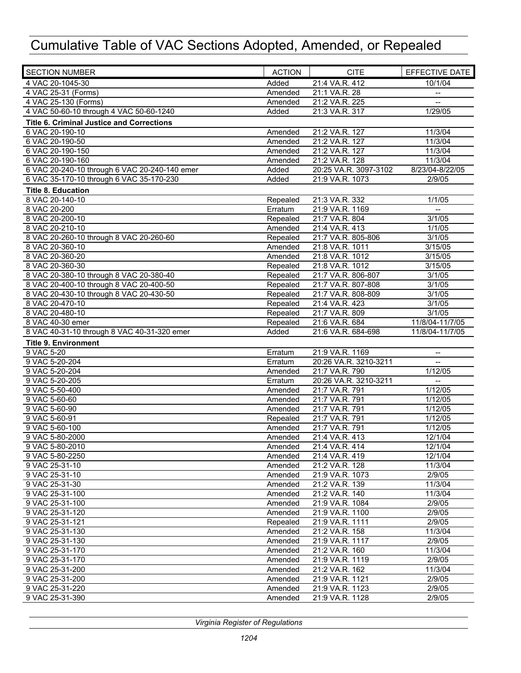| <b>SECTION NUMBER</b><br><b>ACTION</b>                 | <b>CITE</b>                      | EFFECTIVE DATE           |
|--------------------------------------------------------|----------------------------------|--------------------------|
| 4 VAC 20-1045-30<br>Added                              | 21:4 VA.R. 412                   | 10/1/04                  |
| 4 VAC 25-31 (Forms)<br>Amended                         | 21:1 VA.R. 28                    | $-\!$                    |
| 4 VAC 25-130 (Forms)<br>Amended                        | 21:2 VA.R. 225                   |                          |
| 4 VAC 50-60-10 through 4 VAC 50-60-1240<br>Added       | 21:3 VA.R. 317                   | 1/29/05                  |
| <b>Title 6. Criminal Justice and Corrections</b>       |                                  |                          |
| 6 VAC 20-190-10<br>Amended                             | 21:2 VA.R. 127                   | 11/3/04                  |
| 6 VAC 20-190-50<br>Amended                             | 21:2 VA.R. 127                   | 11/3/04                  |
| 6 VAC 20-190-150<br>Amended                            | 21:2 VA.R. 127                   | 11/3/04                  |
| 6 VAC 20-190-160<br>Amended                            | 21:2 VA.R. 128                   | 11/3/04                  |
| 6 VAC 20-240-10 through 6 VAC 20-240-140 emer<br>Added | 20:25 VA.R. 3097-3102            | 8/23/04-8/22/05          |
| 6 VAC 35-170-10 through 6 VAC 35-170-230<br>Added      | 21:9 VA.R. 1073                  | 2/9/05                   |
| <b>Title 8. Education</b>                              |                                  |                          |
| 8 VAC 20-140-10<br>Repealed                            | 21:3 VA.R. 332                   | 1/1/05                   |
| 8 VAC 20-200<br>Erratum                                | 21:9 VA.R. 1169                  | $\overline{\phantom{a}}$ |
| 8 VAC 20-200-10<br>Repealed                            | 21:7 VA.R. 804                   | 3/1/05                   |
| 8 VAC 20-210-10<br>Amended                             | 21:4 VA.R. 413                   | 1/1/05                   |
| 8 VAC 20-260-10 through 8 VAC 20-260-60<br>Repealed    | 21:7 VA.R. 805-806               | 3/1/05                   |
| 8 VAC 20-360-10<br>Amended                             | 21:8 VA.R. 1011                  | 3/15/05                  |
| 8 VAC 20-360-20<br>Amended                             | 21:8 VA.R. 1012                  | 3/15/05                  |
| 8 VAC 20-360-30<br>Repealed                            | 21:8 VA.R. 1012                  | 3/15/05                  |
| 8 VAC 20-380-10 through 8 VAC 20-380-40<br>Repealed    | 21:7 VA.R. 806-807               | 3/1/05                   |
| 8 VAC 20-400-10 through 8 VAC 20-400-50<br>Repealed    | 21:7 VA.R. 807-808               | 3/1/05                   |
| 8 VAC 20-430-10 through 8 VAC 20-430-50<br>Repealed    | 21:7 VA.R. 808-809               | 3/1/05                   |
| 8 VAC 20-470-10<br>Repealed                            | 21:4 VA.R. 423                   | 3/1/05                   |
| 8 VAC 20-480-10<br>Repealed                            | 21:7 VA.R. 809                   | 3/1/05                   |
| Repealed<br>8 VAC 40-30 emer                           | 21:6 VA.R. 684                   | 11/8/04-11/7/05          |
| 8 VAC 40-31-10 through 8 VAC 40-31-320 emer<br>Added   | 21:6 VA.R. 684-698               | 11/8/04-11/7/05          |
| <b>Title 9. Environment</b>                            |                                  |                          |
| 9 VAC 5-20<br>Erratum                                  | 21:9 VA.R. 1169                  | $\overline{\phantom{a}}$ |
| 9 VAC 5-20-204<br>Erratum                              | 20:26 VA.R. 3210-3211            |                          |
| 9 VAC 5-20-204<br>Amended                              | 21:7 VA.R. 790                   | 1/12/05                  |
| 9 VAC 5-20-205<br>Erratum                              | 20:26 VA.R. 3210-3211            | $\overline{a}$           |
| 9 VAC 5-50-400<br>Amended                              | 21:7 VA.R. 791                   | 1/12/05                  |
| 9 VAC 5-60-60<br>Amended                               | 21:7 VA.R. 791                   | 1/12/05                  |
| 9 VAC 5-60-90<br>Amended                               | 21:7 VA.R. 791                   | 1/12/05                  |
| 9 VAC 5-60-91<br>Repealed                              | 21:7 VA.R. 791                   | 1/12/05                  |
| 9 VAC 5-60-100<br>Amended<br>9 VAC 5-80-2000           | 21:7 VA.R. 791                   | 1/12/05                  |
| Amended<br>9 VAC 5-80-2010                             | 21:4 VA.R. 413<br>21:4 VA.R. 414 | 12/1/04<br>12/1/04       |
| Amended<br>9 VAC 5-80-2250                             |                                  | 12/1/04                  |
| Amended<br>9 VAC 25-31-10<br>Amended                   | 21:4 VA.R. 419<br>21:2 VA.R. 128 | 11/3/04                  |
| 9 VAC 25-31-10<br>Amended                              | 21:9 VA.R. 1073                  | 2/9/05                   |
| 9 VAC 25-31-30<br>Amended                              | 21:2 VA.R. 139                   | 11/3/04                  |
| 9 VAC 25-31-100<br>Amended                             | 21:2 VA.R. 140                   | 11/3/04                  |
| 9 VAC 25-31-100<br>Amended                             | 21:9 VA.R. 1084                  | 2/9/05                   |
| 9 VAC 25-31-120<br>Amended                             | 21:9 VA.R. 1100                  | 2/9/05                   |
| 9 VAC 25-31-121<br>Repealed                            | 21:9 VA.R. 1111                  | 2/9/05                   |
| 9 VAC 25-31-130<br>Amended                             | 21:2 VA.R. 158                   | 11/3/04                  |
| 9 VAC 25-31-130<br>Amended                             | 21:9 VA.R. 1117                  | 2/9/05                   |
| 9 VAC 25-31-170<br>Amended                             | 21:2 VA.R. 160                   | 11/3/04                  |
| 9 VAC 25-31-170<br>Amended                             | 21:9 VA.R. 1119                  | 2/9/05                   |
| 9 VAC 25-31-200<br>Amended                             | 21:2 VA.R. 162                   | 11/3/04                  |
| 9 VAC 25-31-200<br>Amended                             | 21:9 VA.R. 1121                  | 2/9/05                   |
| 9 VAC 25-31-220<br>Amended                             | 21:9 VA.R. 1123                  | 2/9/05                   |
| 9 VAC 25-31-390<br>Amended                             | 21:9 VA.R. 1128                  | 2/9/05                   |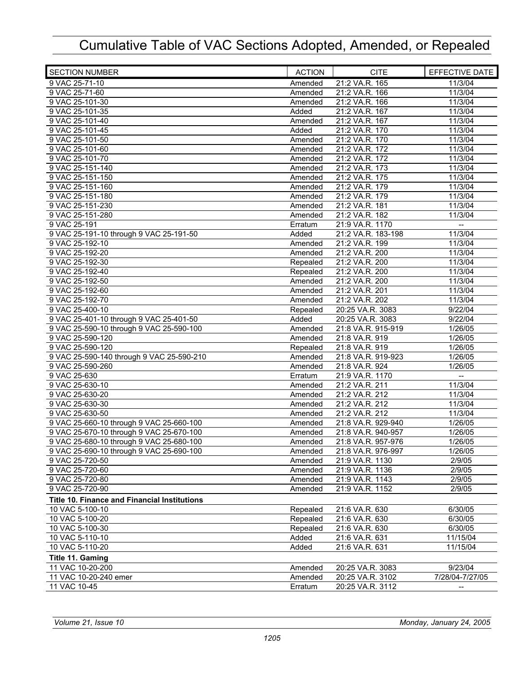| <b>SECTION NUMBER</b>                               | <b>ACTION</b> | <b>CITE</b>        | EFFECTIVE DATE           |
|-----------------------------------------------------|---------------|--------------------|--------------------------|
| 9 VAC 25-71-10                                      | Amended       | 21:2 VA.R. 165     | 11/3/04                  |
| 9 VAC 25-71-60                                      | Amended       | 21:2 VA.R. 166     | 11/3/04                  |
| 9 VAC 25-101-30                                     | Amended       | 21:2 VA.R. 166     | 11/3/04                  |
| 9 VAC 25-101-35                                     | Added         | 21:2 VA.R. 167     | 11/3/04                  |
| 9 VAC 25-101-40                                     | Amended       | 21:2 VA.R. 167     | 11/3/04                  |
| 9 VAC 25-101-45                                     | Added         | 21:2 VA.R. 170     | 11/3/04                  |
| 9 VAC 25-101-50                                     | Amended       | 21:2 VA.R. 170     | 11/3/04                  |
| 9 VAC 25-101-60                                     | Amended       | 21:2 VA.R. 172     | 11/3/04                  |
| 9 VAC 25-101-70                                     | Amended       | 21:2 VA.R. 172     | 11/3/04                  |
| 9 VAC 25-151-140                                    | Amended       | 21:2 VA.R. 173     | 11/3/04                  |
| 9 VAC 25-151-150                                    | Amended       | 21:2 VA.R. 175     | 11/3/04                  |
| 9 VAC 25-151-160                                    | Amended       | 21:2 VA.R. 179     | 11/3/04                  |
| 9 VAC 25-151-180                                    | Amended       | 21:2 VA.R. 179     | 11/3/04                  |
| 9 VAC 25-151-230                                    | Amended       | 21:2 VA.R. 181     | 11/3/04                  |
| 9 VAC 25-151-280                                    | Amended       | 21:2 VA.R. 182     | 11/3/04                  |
| 9 VAC 25-191                                        | Erratum       | 21:9 VA.R. 1170    | $\overline{\phantom{a}}$ |
| 9 VAC 25-191-10 through 9 VAC 25-191-50             | Added         | 21:2 VA.R. 183-198 | 11/3/04                  |
| 9 VAC 25-192-10                                     | Amended       | 21:2 VA.R. 199     | 11/3/04                  |
| 9 VAC 25-192-20                                     | Amended       | 21:2 VA.R. 200     | 11/3/04                  |
| 9 VAC 25-192-30                                     | Repealed      | 21:2 VA.R. 200     | 11/3/04                  |
| 9 VAC 25-192-40                                     | Repealed      | 21:2 VA.R. 200     | 11/3/04                  |
| 9 VAC 25-192-50                                     | Amended       | 21:2 VA.R. 200     | 11/3/04                  |
| 9 VAC 25-192-60                                     | Amended       | 21:2 VA.R. 201     | 11/3/04                  |
| 9 VAC 25-192-70                                     | Amended       | 21:2 VA.R. 202     | 11/3/04                  |
| 9 VAC 25-400-10                                     | Repealed      | 20:25 VA.R. 3083   | 9/22/04                  |
| 9 VAC 25-401-10 through 9 VAC 25-401-50             | Added         | 20:25 VA.R. 3083   | 9/22/04                  |
| 9 VAC 25-590-10 through 9 VAC 25-590-100            | Amended       | 21:8 VA.R. 915-919 | 1/26/05                  |
| 9 VAC 25-590-120                                    | Amended       | 21:8 VA.R. 919     | 1/26/05                  |
| 9 VAC 25-590-120                                    | Repealed      | 21:8 VA.R. 919     | 1/26/05                  |
| 9 VAC 25-590-140 through 9 VAC 25-590-210           | Amended       | 21:8 VA.R. 919-923 | 1/26/05                  |
| 9 VAC 25-590-260                                    | Amended       | 21:8 VA.R. 924     | 1/26/05                  |
| 9 VAC 25-630                                        | Erratum       | 21:9 VA.R. 1170    | $\overline{\phantom{a}}$ |
| 9 VAC 25-630-10                                     | Amended       | 21:2 VA.R. 211     | 11/3/04                  |
| 9 VAC 25-630-20                                     | Amended       | 21:2 VA.R. 212     | 11/3/04                  |
| 9 VAC 25-630-30                                     | Amended       | 21:2 VA.R. 212     | 11/3/04                  |
| 9 VAC 25-630-50                                     | Amended       | 21:2 VA.R. 212     | 11/3/04                  |
| 9 VAC 25-660-10 through 9 VAC 25-660-100            | Amended       | 21:8 VA.R. 929-940 | 1/26/05                  |
| 9 VAC 25-670-10 through 9 VAC 25-670-100            | Amended       | 21:8 VA.R. 940-957 | 1/26/05                  |
| 9 VAC 25-680-10 through 9 VAC 25-680-100            | Amended       | 21:8 VA.R. 957-976 | 1/26/05                  |
| 9 VAC 25-690-10 through 9 VAC 25-690-100            | Amended       | 21:8 VA.R. 976-997 | 1/26/05                  |
| 9 VAC 25-720-50                                     | Amended       | 21:9 VA.R. 1130    | 2/9/05                   |
| 9 VAC 25-720-60                                     | Amended       | 21:9 VA.R. 1136    | 2/9/05                   |
| 9 VAC 25-720-80                                     | Amended       | 21:9 VA.R. 1143    | 2/9/05                   |
| 9 VAC 25-720-90                                     | Amended       | 21:9 VA.R. 1152    | 2/9/05                   |
| <b>Title 10. Finance and Financial Institutions</b> |               |                    |                          |
| 10 VAC 5-100-10                                     | Repealed      | 21:6 VA.R. 630     | 6/30/05                  |
| 10 VAC 5-100-20                                     | Repealed      | 21:6 VA.R. 630     | 6/30/05                  |
| 10 VAC 5-100-30                                     | Repealed      | 21:6 VA.R. 630     | 6/30/05                  |
| 10 VAC 5-110-10                                     | Added         | 21:6 VA.R. 631     | 11/15/04                 |
| 10 VAC 5-110-20                                     | Added         | 21:6 VA.R. 631     | 11/15/04                 |
| Title 11. Gaming                                    |               |                    |                          |
| 11 VAC 10-20-200                                    | Amended       | 20:25 VA.R. 3083   | 9/23/04                  |
| 11 VAC 10-20-240 emer                               | Amended       | 20:25 VA.R. 3102   | 7/28/04-7/27/05          |
| 11 VAC 10-45                                        | Erratum       | 20:25 VA.R. 3112   | $\overline{\phantom{a}}$ |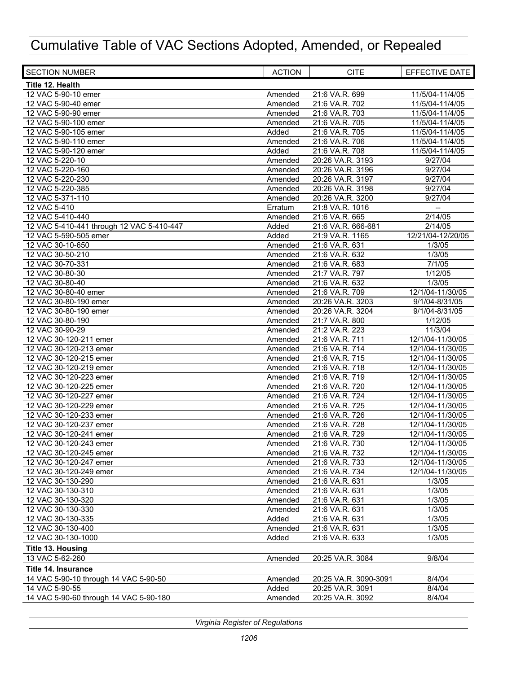| <b>SECTION NUMBER</b>                     | <b>ACTION</b>    | <b>CITE</b>                      | EFFECTIVE DATE    |
|-------------------------------------------|------------------|----------------------------------|-------------------|
| Title 12. Health                          |                  |                                  |                   |
| 12 VAC 5-90-10 emer                       | Amended          | 21:6 VA.R. 699                   | 11/5/04-11/4/05   |
| 12 VAC 5-90-40 emer                       | Amended          | 21:6 VA.R. 702                   | 11/5/04-11/4/05   |
| 12 VAC 5-90-90 emer                       | Amended          | 21:6 VA.R. 703                   | 11/5/04-11/4/05   |
| 12 VAC 5-90-100 emer                      | Amended          | 21:6 VA.R. 705                   | 11/5/04-11/4/05   |
| 12 VAC 5-90-105 emer                      | Added            | 21:6 VA.R. 705                   | 11/5/04-11/4/05   |
| 12 VAC 5-90-110 emer                      | Amended          | 21:6 VA.R. 706                   | 11/5/04-11/4/05   |
| 12 VAC 5-90-120 emer                      | Added            | 21:6 VA.R. 708                   | 11/5/04-11/4/05   |
| 12 VAC 5-220-10                           | Amended          | 20:26 VA.R. 3193                 | 9/27/04           |
| 12 VAC 5-220-160                          | Amended          | 20:26 VA.R. 3196                 | 9/27/04           |
| 12 VAC 5-220-230                          | Amended          | 20:26 VA.R. 3197                 | 9/27/04           |
| 12 VAC 5-220-385                          | Amended          | 20:26 VA.R. 3198                 | 9/27/04           |
| 12 VAC 5-371-110                          | Amended          | 20:26 VA.R. 3200                 | 9/27/04           |
| 12 VAC 5-410                              | Erratum          | 21:8 VA.R. 1016                  |                   |
| 12 VAC 5-410-440                          | Amended          | 21:6 VA.R. 665                   | 2/14/05           |
| 12 VAC 5-410-441 through 12 VAC 5-410-447 | Added            | 21:6 VA.R. 666-681               | 2/14/05           |
| 12 VAC 5-590-505 emer                     | Added            | 21:9 VA.R. 1165                  | 12/21/04-12/20/05 |
| 12 VAC 30-10-650                          | Amended          | 21:6 VA.R. 631                   | 1/3/05            |
| 12 VAC 30-50-210                          | Amended          | 21:6 VA.R. 632                   | 1/3/05            |
| 12 VAC 30-70-331                          | Amended          | 21:6 VA.R. 683                   | 7/1/05            |
| 12 VAC 30-80-30                           | Amended          | 21:7 VA.R. 797                   | 1/12/05           |
| 12 VAC 30-80-40                           | Amended          | 21:6 VA.R. 632                   | 1/3/05            |
| 12 VAC 30-80-40 emer                      | Amended          | 21:6 VA.R. 709                   | 12/1/04-11/30/05  |
| 12 VAC 30-80-190 emer                     | Amended          | 20:26 VA.R. 3203                 | 9/1/04-8/31/05    |
| 12 VAC 30-80-190 emer                     | Amended          | 20:26 VA.R. 3204                 | 9/1/04-8/31/05    |
| 12 VAC 30-80-190                          | Amended          | 21:7 VA.R. 800                   | 1/12/05           |
| 12 VAC 30-90-29                           | Amended          | 21:2 VA.R. 223                   | 11/3/04           |
| 12 VAC 30-120-211 emer                    | Amended          | 21:6 VA.R. 711                   | 12/1/04-11/30/05  |
| 12 VAC 30-120-213 emer                    | Amended          | 21:6 VA.R. 714                   | 12/1/04-11/30/05  |
| 12 VAC 30-120-215 emer                    | Amended          | 21:6 VA.R. 715                   | 12/1/04-11/30/05  |
| 12 VAC 30-120-219 emer                    | Amended          | 21:6 VA.R. 718                   | 12/1/04-11/30/05  |
| 12 VAC 30-120-223 emer                    | Amended          | 21:6 VA.R. 719                   | 12/1/04-11/30/05  |
| 12 VAC 30-120-225 emer                    | Amended          | 21:6 VA.R. 720                   | 12/1/04-11/30/05  |
| 12 VAC 30-120-227 emer                    | Amended          | 21:6 VA.R. 724                   | 12/1/04-11/30/05  |
| 12 VAC 30-120-229 emer                    | Amended          | 21:6 VA.R. 725                   | 12/1/04-11/30/05  |
| 12 VAC 30-120-233 emer                    | Amended          | 21:6 VA.R. 726                   | 12/1/04-11/30/05  |
| 12 VAC 30-120-237 emer                    | Amended          | 21:6 VA.R. 728                   | 12/1/04-11/30/05  |
| 12 VAC 30-120-241 emer                    | Amended          | 21:6 VA.R. 729                   | 12/1/04-11/30/05  |
| 12 VAC 30-120-243 emer                    | Amended          | 21:6 VA.R. 730                   | 12/1/04-11/30/05  |
| 12 VAC 30-120-245 emer                    | Amended          | 21:6 VA.R. 732                   | 12/1/04-11/30/05  |
| 12 VAC 30-120-247 emer                    | Amended          | 21:6 VA.R. 733                   | 12/1/04-11/30/05  |
| 12 VAC 30-120-249 emer                    | Amended          | 21:6 VA.R. 734                   | 12/1/04-11/30/05  |
| 12 VAC 30-130-290                         | Amended          | 21:6 VA.R. 631                   | 1/3/05            |
| 12 VAC 30-130-310<br>12 VAC 30-130-320    | Amended          | 21:6 VA.R. 631<br>21:6 VA.R. 631 | 1/3/05<br>1/3/05  |
|                                           | Amended          |                                  |                   |
| 12 VAC 30-130-330<br>12 VAC 30-130-335    | Amended<br>Added | 21:6 VA.R. 631                   | 1/3/05<br>1/3/05  |
|                                           |                  | 21:6 VA.R. 631<br>21:6 VA.R. 631 | 1/3/05            |
| 12 VAC 30-130-400                         | Amended          |                                  |                   |
| 12 VAC 30-130-1000                        | Added            | 21:6 VA.R. 633                   | 1/3/05            |
| <b>Title 13. Housing</b>                  |                  |                                  |                   |
| 13 VAC 5-62-260                           | Amended          | 20:25 VA.R. 3084                 | 9/8/04            |
| Title 14. Insurance                       |                  |                                  |                   |
| 14 VAC 5-90-10 through 14 VAC 5-90-50     | Amended          | 20:25 VA.R. 3090-3091            | 8/4/04            |
| 14 VAC 5-90-55                            | Added            | 20:25 VA.R. 3091                 | 8/4/04            |
| 14 VAC 5-90-60 through 14 VAC 5-90-180    | Amended          | 20:25 VA.R. 3092                 | 8/4/04            |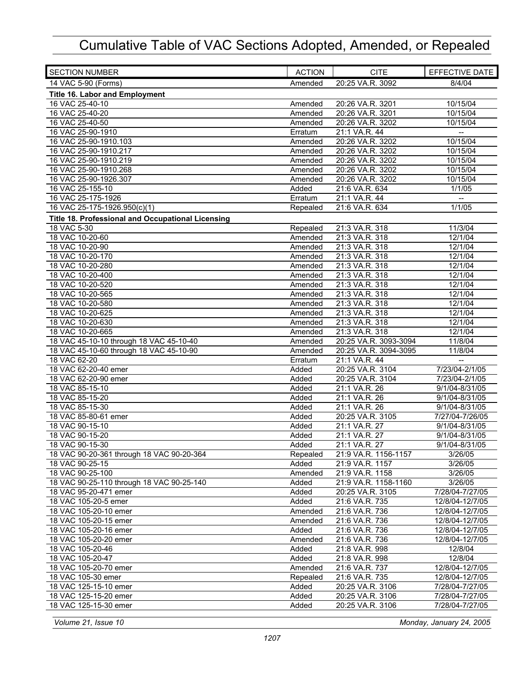| <b>SECTION NUMBER</b>                             | <b>ACTION</b> | <b>CITE</b>           | EFFECTIVE DATE           |
|---------------------------------------------------|---------------|-----------------------|--------------------------|
| 14 VAC 5-90 (Forms)                               | Amended       | 20:25 VA.R. 3092      | 8/4/04                   |
| <b>Title 16. Labor and Employment</b>             |               |                       |                          |
| 16 VAC 25-40-10                                   | Amended       | 20:26 VA.R. 3201      | 10/15/04                 |
| 16 VAC 25-40-20                                   | Amended       | 20:26 VA.R. 3201      | 10/15/04                 |
| 16 VAC 25-40-50                                   | Amended       | 20:26 VA.R. 3202      | 10/15/04                 |
| 16 VAC 25-90-1910                                 | Erratum       | 21:1 VA.R. 44         |                          |
| 16 VAC 25-90-1910.103                             | Amended       | 20:26 VA.R. 3202      | 10/15/04                 |
| 16 VAC 25-90-1910.217                             | Amended       | 20:26 VA.R. 3202      | 10/15/04                 |
| 16 VAC 25-90-1910.219                             | Amended       | 20:26 VA.R. 3202      | 10/15/04                 |
| 16 VAC 25-90-1910.268                             | Amended       | 20:26 VA.R. 3202      | 10/15/04                 |
| 16 VAC 25-90-1926.307                             | Amended       | 20:26 VA.R. 3202      | 10/15/04                 |
| 16 VAC 25-155-10                                  | Added         | 21:6 VA.R. 634        | 1/1/05                   |
| 16 VAC 25-175-1926                                | Erratum       | 21:1 VA.R. 44         | $\overline{\phantom{a}}$ |
| 16 VAC 25-175-1926.950(c)(1)                      | Repealed      | 21:6 VA.R. 634        | 1/1/05                   |
| Title 18. Professional and Occupational Licensing |               |                       |                          |
| 18 VAC 5-30                                       | Repealed      | 21:3 VA.R. 318        | 11/3/04                  |
| 18 VAC 10-20-60                                   | Amended       | 21:3 VA.R. 318        | 12/1/04                  |
| 18 VAC 10-20-90                                   | Amended       | 21:3 VA.R. 318        | 12/1/04                  |
| 18 VAC 10-20-170                                  | Amended       | 21:3 VA.R. 318        | 12/1/04                  |
| 18 VAC 10-20-280                                  | Amended       | 21:3 VA.R. 318        | 12/1/04                  |
| 18 VAC 10-20-400                                  | Amended       | 21:3 VA.R. 318        | 12/1/04                  |
| 18 VAC 10-20-520                                  | Amended       | 21:3 VA.R. 318        | 12/1/04                  |
| 18 VAC 10-20-565                                  | Amended       | 21:3 VA.R. 318        | 12/1/04                  |
| 18 VAC 10-20-580                                  | Amended       | 21:3 VA.R. 318        | 12/1/04                  |
| 18 VAC 10-20-625                                  | Amended       | 21:3 VA.R. 318        | 12/1/04                  |
| 18 VAC 10-20-630                                  | Amended       | 21:3 VA.R. 318        | 12/1/04                  |
| 18 VAC 10-20-665                                  | Amended       | 21:3 VA.R. 318        | 12/1/04                  |
| 18 VAC 45-10-10 through 18 VAC 45-10-40           | Amended       | 20:25 VA.R. 3093-3094 | 11/8/04                  |
| 18 VAC 45-10-60 through 18 VAC 45-10-90           | Amended       | 20:25 VA.R. 3094-3095 | 11/8/04                  |
| 18 VAC 62-20                                      | Erratum       | 21:1 VA.R. 44         |                          |
| 18 VAC 62-20-40 emer                              | Added         | 20:25 VA.R. 3104      | 7/23/04-2/1/05           |
| 18 VAC 62-20-90 emer                              | Added         | 20:25 VA.R. 3104      | 7/23/04-2/1/05           |
| 18 VAC 85-15-10                                   | Added         | 21:1 VA.R. 26         | 9/1/04-8/31/05           |
| 18 VAC 85-15-20                                   | Added         | 21:1 VA.R. 26         | 9/1/04-8/31/05           |
| 18 VAC 85-15-30                                   | Added         | 21:1 VA.R. 26         | 9/1/04-8/31/05           |
| 18 VAC 85-80-61 emer                              | Added         | 20:25 VA.R. 3105      | 7/27/04-7/26/05          |
| 18 VAC 90-15-10                                   | Added         | 21:1 VA.R. 27         | 9/1/04-8/31/05           |
| 18 VAC 90-15-20                                   | Added         | 21:1 VA.R. 27         | 9/1/04-8/31/05           |
| 18 VAC 90-15-30                                   | Added         | 21:1 VA.R. 27         | 9/1/04-8/31/05           |
| 18 VAC 90-20-361 through 18 VAC 90-20-364         | Repealed      | 21:9 VA.R. 1156-1157  | 3/26/05                  |
| 18 VAC 90-25-15                                   | Added         | 21:9 VA.R. 1157       | 3/26/05                  |
| 18 VAC 90-25-100                                  | Amended       | 21:9 VA.R. 1158       | 3/26/05                  |
| 18 VAC 90-25-110 through 18 VAC 90-25-140         | Added         | 21:9 VA.R. 1158-1160  | 3/26/05                  |
| 18 VAC 95-20-471 emer                             | Added         | 20:25 VA.R. 3105      | 7/28/04-7/27/05          |
| 18 VAC 105-20-5 emer                              | Added         | 21:6 VA.R. 735        | 12/8/04-12/7/05          |
| 18 VAC 105-20-10 emer                             | Amended       | 21:6 VA.R. 736        | 12/8/04-12/7/05          |
| 18 VAC 105-20-15 emer                             | Amended       | 21:6 VA.R. 736        | 12/8/04-12/7/05          |
| 18 VAC 105-20-16 emer                             | Added         | 21:6 VA.R. 736        | 12/8/04-12/7/05          |
| 18 VAC 105-20-20 emer                             | Amended       | 21:6 VA.R. 736        | 12/8/04-12/7/05          |
| 18 VAC 105-20-46                                  | Added         | 21:8 VA.R. 998        | 12/8/04                  |
| 18 VAC 105-20-47                                  | Added         | 21:8 VA.R. 998        | 12/8/04                  |
| 18 VAC 105-20-70 emer                             | Amended       | 21:6 VA.R. 737        | 12/8/04-12/7/05          |
| 18 VAC 105-30 emer                                | Repealed      | 21:6 VA.R. 735        | 12/8/04-12/7/05          |
| 18 VAC 125-15-10 emer                             | Added         | 20:25 VA.R. 3106      | 7/28/04-7/27/05          |
| 18 VAC 125-15-20 emer                             | Added         | 20:25 VA.R. 3106      | 7/28/04-7/27/05          |
| 18 VAC 125-15-30 emer                             | Added         | 20:25 VA.R. 3106      | 7/28/04-7/27/05          |
|                                                   |               |                       |                          |

*Volume 21, Issue 10 Monday, January 24, 2005*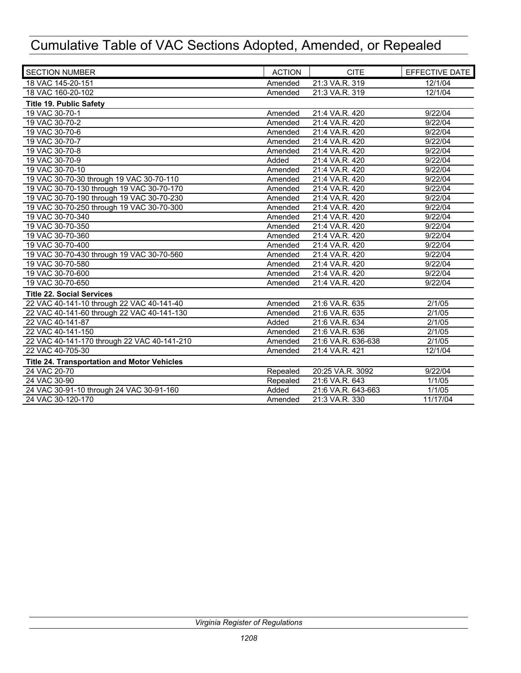| <b>SECTION NUMBER</b>                       | <b>ACTION</b> | <b>CITE</b>        | EFFECTIVE DATE |
|---------------------------------------------|---------------|--------------------|----------------|
| 18 VAC 145-20-151                           | Amended       | 21:3 VA.R. 319     | 12/1/04        |
| 18 VAC 160-20-102                           | Amended       | 21:3 VA.R. 319     | 12/1/04        |
| <b>Title 19. Public Safety</b>              |               |                    |                |
| 19 VAC 30-70-1                              | Amended       | 21:4 VA.R. 420     | 9/22/04        |
| 19 VAC 30-70-2                              | Amended       | 21:4 VA.R. 420     | 9/22/04        |
| 19 VAC 30-70-6                              | Amended       | 21:4 VA.R. 420     | 9/22/04        |
| 19 VAC 30-70-7                              | Amended       | 21:4 VA.R. 420     | 9/22/04        |
| 19 VAC 30-70-8                              | Amended       | 21:4 VA.R. 420     | 9/22/04        |
| 19 VAC 30-70-9                              | Added         | 21:4 VA.R. 420     | 9/22/04        |
| 19 VAC 30-70-10                             | Amended       | 21:4 VA.R. 420     | 9/22/04        |
| 19 VAC 30-70-30 through 19 VAC 30-70-110    | Amended       | 21:4 VA.R. 420     | 9/22/04        |
| 19 VAC 30-70-130 through 19 VAC 30-70-170   | Amended       | 21:4 VA.R. 420     | 9/22/04        |
| 19 VAC 30-70-190 through 19 VAC 30-70-230   | Amended       | 21:4 VA.R. 420     | 9/22/04        |
| 19 VAC 30-70-250 through 19 VAC 30-70-300   | Amended       | 21:4 VA.R. 420     | 9/22/04        |
| 19 VAC 30-70-340                            | Amended       | 21:4 VA.R. 420     | 9/22/04        |
| 19 VAC 30-70-350                            | Amended       | 21:4 VA.R. 420     | 9/22/04        |
| 19 VAC 30-70-360                            | Amended       | 21:4 VA.R. 420     | 9/22/04        |
| 19 VAC 30-70-400                            | Amended       | 21:4 VA.R. 420     | 9/22/04        |
| 19 VAC 30-70-430 through 19 VAC 30-70-560   | Amended       | 21:4 VA.R. 420     | 9/22/04        |
| 19 VAC 30-70-580                            | Amended       | 21:4 VA.R. 420     | 9/22/04        |
| 19 VAC 30-70-600                            | Amended       | 21:4 VA.R. 420     | 9/22/04        |
| 19 VAC 30-70-650                            | Amended       | 21:4 VA.R. 420     | 9/22/04        |
| <b>Title 22. Social Services</b>            |               |                    |                |
| 22 VAC 40-141-10 through 22 VAC 40-141-40   | Amended       | 21:6 VA.R. 635     | 2/1/05         |
| 22 VAC 40-141-60 through 22 VAC 40-141-130  | Amended       | 21:6 VA.R. 635     | 2/1/05         |
| 22 VAC 40-141-87                            | Added         | 21:6 VA.R. 634     | 2/1/05         |
| 22 VAC 40-141-150                           | Amended       | 21:6 VA.R. 636     | 2/1/05         |
| 22 VAC 40-141-170 through 22 VAC 40-141-210 | Amended       | 21:6 VA.R. 636-638 | 2/1/05         |
| 22 VAC 40-705-30                            | Amended       | 21:4 VA.R. 421     | 12/1/04        |
| Title 24. Transportation and Motor Vehicles |               |                    |                |
| 24 VAC 20-70                                | Repealed      | 20:25 VA.R. 3092   | 9/22/04        |
| 24 VAC 30-90                                | Repealed      | 21:6 VA.R. 643     | 1/1/05         |
| 24 VAC 30-91-10 through 24 VAC 30-91-160    | Added         | 21:6 VA.R. 643-663 | 1/1/05         |
| 24 VAC 30-120-170                           | Amended       | 21:3 VA.R. 330     | 11/17/04       |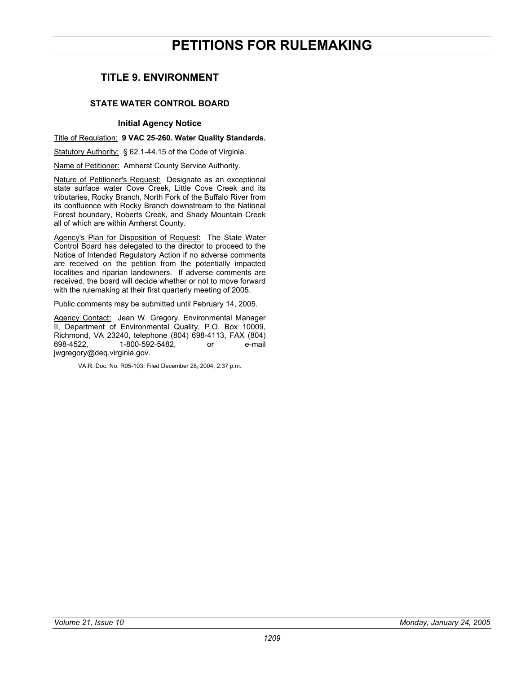# **PETITIONS FOR RULEMAKING**

# <span id="page-8-0"></span>**TITLE 9. ENVIRONMENT**

# **STATE WATER CONTROL BOARD**

#### **Initial Agency Notice**

Title of Regulation: **9 VAC 25-260. Water Quality Standards.** 

Statutory Authority: § 62.1-44.15 of the Code of Virginia.

Name of Petitioner: Amherst County Service Authority.

Nature of Petitioner's Request: Designate as an exceptional state surface water Cove Creek, Little Cove Creek and its tributaries, Rocky Branch, North Fork of the Buffalo River from its confluence with Rocky Branch downstream to the National Forest boundary, Roberts Creek, and Shady Mountain Creek all of which are within Amherst County.

Agency's Plan for Disposition of Request: The State Water Control Board has delegated to the director to proceed to the Notice of Intended Regulatory Action if no adverse comments are received on the petition from the potentially impacted localities and riparian landowners. If adverse comments are received, the board will decide whether or not to move forward with the rulemaking at their first quarterly meeting of 2005.

Public comments may be submitted until February 14, 2005.

Agency Contact: Jean W. Gregory, Environmental Manager II, Department of Environmental Quality, P.O. Box 10009, Richmond, VA 23240, telephone (804) 698-4113, FAX (804) 698-4522, 1-800-592-5482, or e-mail jwgregory@deq.virginia.gov.

VA.R. Doc. No. R05-103; Filed December 28, 2004, 2:37 p.m.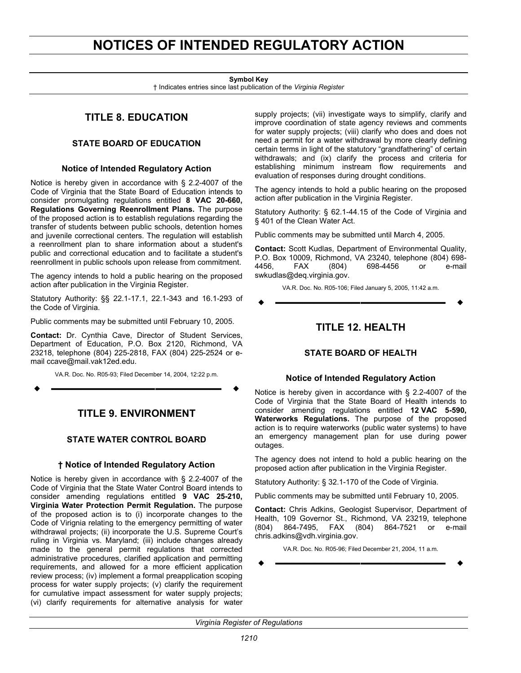# <span id="page-9-0"></span>**NOTICES OF INTENDED REGULATORY ACTION**

#### **Symbol Key**

† Indicates entries since last publication of the *Virginia Register*

# **TITLE 8. EDUCATION**

## **STATE BOARD OF EDUCATION**

#### **Notice of Intended Regulatory Action**

Notice is hereby given in accordance with § 2.2-4007 of the Code of Virginia that the State Board of Education intends to consider promulgating regulations entitled **8 VAC 20-660, Regulations Governing Reenrollment Plans.** The purpose of the proposed action is to establish regulations regarding the transfer of students between public schools, detention homes and juvenile correctional centers. The regulation will establish a reenrollment plan to share information about a student's public and correctional education and to facilitate a student's reenrollment in public schools upon release from commitment.

The agency intends to hold a public hearing on the proposed action after publication in the Virginia Register.

Statutory Authority: §§ 22.1-17.1, 22.1-343 and 16.1-293 of the Code of Virginia.

Public comments may be submitted until February 10, 2005.

**Contact:** Dr. Cynthia Cave, Director of Student Services, Department of Education, P.O. Box 2120, Richmond, VA 23218, telephone (804) 225-2818, FAX (804) 225-2524 or email ccave@mail.vak12ed.edu.

VA.R. Doc. No. R05-93; Filed December 14, 2004, 12:22 p.m.

**––––––––––––––––––**

# **TITLE 9. ENVIRONMENT**

# **STATE WATER CONTROL BOARD**

### **† Notice of Intended Regulatory Action**

Notice is hereby given in accordance with § 2.2-4007 of the Code of Virginia that the State Water Control Board intends to consider amending regulations entitled **9 VAC 25-210, Virginia Water Protection Permit Regulation.** The purpose of the proposed action is to (i) incorporate changes to the Code of Virignia relating to the emergency permitting of water withdrawal projects; (ii) incorporate the U.S. Supreme Court's ruling in Virginia vs. Maryland; (iii) include changes already made to the general permit regulations that corrected administrative procedures, clarified application and permitting requirements, and allowed for a more efficient application review process; (iv) implement a formal preapplication scoping process for water supply projects; (v) clarify the requirement for cumulative impact assessment for water supply projects; (vi) clarify requirements for alternative analysis for water

supply projects; (vii) investigate ways to simplify, clarify and improve coordination of state agency reviews and comments for water supply projects; (viii) clarify who does and does not need a permit for a water withdrawal by more clearly defining certain terms in light of the statutory "grandfathering" of certain withdrawals; and (ix) clarify the process and criteria for establishing minimum instream flow requirements and evaluation of responses during drought conditions.

The agency intends to hold a public hearing on the proposed action after publication in the Virginia Register.

Statutory Authority: § 62.1-44.15 of the Code of Virginia and § 401 of the Clean Water Act.

Public comments may be submitted until March 4, 2005.

**Contact:** Scott Kudlas, Department of Environmental Quality, P.O. Box 10009, Richmond, VA 23240, telephone (804) 698- 4456, FAX (804) 698-4456 or e-mail swkudlas@deq.virginia.gov.

VA.R. Doc. No. R05-106; Filed January 5, 2005, 11:42 a.m.

**––––––––––––––––––**

# **TITLE 12. HEALTH**

# **STATE BOARD OF HEALTH**

#### **Notice of Intended Regulatory Action**

Notice is hereby given in accordance with § 2.2-4007 of the Code of Virginia that the State Board of Health intends to consider amending regulations entitled **12 VAC 5-590, Waterworks Regulations.** The purpose of the proposed action is to require waterworks (public water systems) to have an emergency management plan for use during power outages.

The agency does not intend to hold a public hearing on the proposed action after publication in the Virginia Register.

Statutory Authority: § 32.1-170 of the Code of Virginia.

Public comments may be submitted until February 10, 2005.

**Contact:** Chris Adkins, Geologist Supervisor, Department of Health, 109 Governor St., Richmond, VA 23219, telephone (804) 864-7495, FAX (804) 864-7521 or e-mail chris.adkins@vdh.virginia.gov.

VA.R. Doc. No. R05-96; Filed December 21, 2004, 11 a.m. **––––––––––––––––––**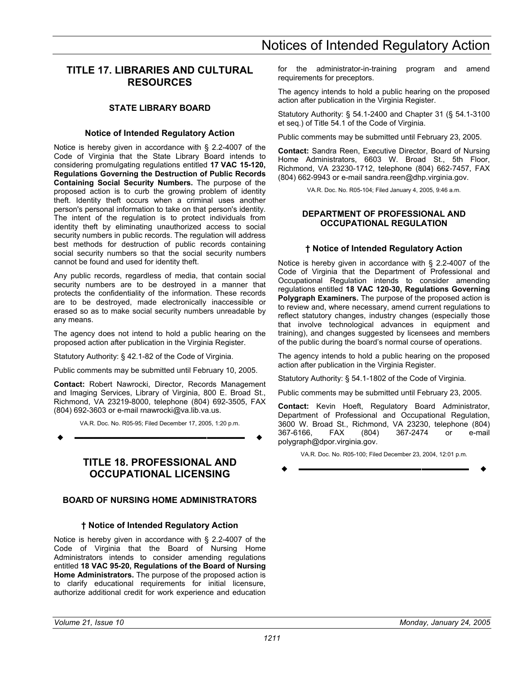# <span id="page-10-0"></span>**TITLE 17. LIBRARIES AND CULTURAL RESOURCES**

# **STATE LIBRARY BOARD**

### **Notice of Intended Regulatory Action**

Notice is hereby given in accordance with § 2.2-4007 of the Code of Virginia that the State Library Board intends to considering promulgating regulations entitled **17 VAC 15-120, Regulations Governing the Destruction of Public Records Containing Social Security Numbers.** The purpose of the proposed action is to curb the growing problem of identity theft. Identity theft occurs when a criminal uses another person's personal information to take on that person's identity. The intent of the regulation is to protect individuals from identity theft by eliminating unauthorized access to social security numbers in public records. The regulation will address best methods for destruction of public records containing social security numbers so that the social security numbers cannot be found and used for identity theft.

Any public records, regardless of media, that contain social security numbers are to be destroyed in a manner that protects the confidentiality of the information. These records are to be destroyed, made electronically inaccessible or erased so as to make social security numbers unreadable by any means.

The agency does not intend to hold a public hearing on the proposed action after publication in the Virginia Register.

Statutory Authority: § 42.1-82 of the Code of Virginia.

Public comments may be submitted until February 10, 2005.

**Contact:** Robert Nawrocki, Director, Records Management and Imaging Services, Library of Virginia, 800 E. Broad St., Richmond, VA 23219-8000, telephone (804) 692-3505, FAX (804) 692-3603 or e-mail rnawrocki@va.lib.va.us.

VA.R. Doc. No. R05-95; Filed December 17, 2005, 1:20 p.m.

**––––––––––––––––––**

# **TITLE 18. PROFESSIONAL AND OCCUPATIONAL LICENSING**

# **BOARD OF NURSING HOME ADMINISTRATORS**

### **† Notice of Intended Regulatory Action**

Notice is hereby given in accordance with § 2.2-4007 of the Code of Virginia that the Board of Nursing Home Administrators intends to consider amending regulations entitled **18 VAC 95-20, Regulations of the Board of Nursing Home Administrators.** The purpose of the proposed action is to clarify educational requirements for initial licensure, authorize additional credit for work experience and education

for the administrator-in-training program and amend requirements for preceptors.

The agency intends to hold a public hearing on the proposed action after publication in the Virginia Register.

Statutory Authority: § 54.1-2400 and Chapter 31 (§ 54.1-3100 et seq.) of Title 54.1 of the Code of Virginia.

Public comments may be submitted until February 23, 2005.

**Contact:** Sandra Reen, Executive Director, Board of Nursing Home Administrators, 6603 W. Broad St., 5th Floor, Richmond, VA 23230-1712, telephone (804) 662-7457, FAX (804) 662-9943 or e-mail sandra.reen@dhp.virginia.gov.

VA.R. Doc. No. R05-104; Filed January 4, 2005, 9:46 a.m.

#### **DEPARTMENT OF PROFESSIONAL AND OCCUPATIONAL REGULATION**

## **† Notice of Intended Regulatory Action**

Notice is hereby given in accordance with § 2.2-4007 of the Code of Virginia that the Department of Professional and Occupational Regulation intends to consider amending regulations entitled **18 VAC 120-30, Regulations Governing Polygraph Examiners.** The purpose of the proposed action is to review and, where necessary, amend current regulations to reflect statutory changes, industry changes (especially those that involve technological advances in equipment and training), and changes suggested by licensees and members of the public during the board's normal course of operations.

The agency intends to hold a public hearing on the proposed action after publication in the Virginia Register.

Statutory Authority: § 54.1-1802 of the Code of Virginia.

Public comments may be submitted until February 23, 2005.

**Contact:** Kevin Hoeft, Regulatory Board Administrator, Department of Professional and Occupational Regulation, 3600 W. Broad St., Richmond, VA 23230, telephone (804) 367-6166, FAX (804) 367-2474 or e-mail polygraph@dpor.virginia.gov.

VA.R. Doc. No. R05-100; Filed December 23, 2004, 12:01 p.m.

$$
\bullet \hspace{2.7cm} \longrightarrow \hspace{2.7cm} \bullet
$$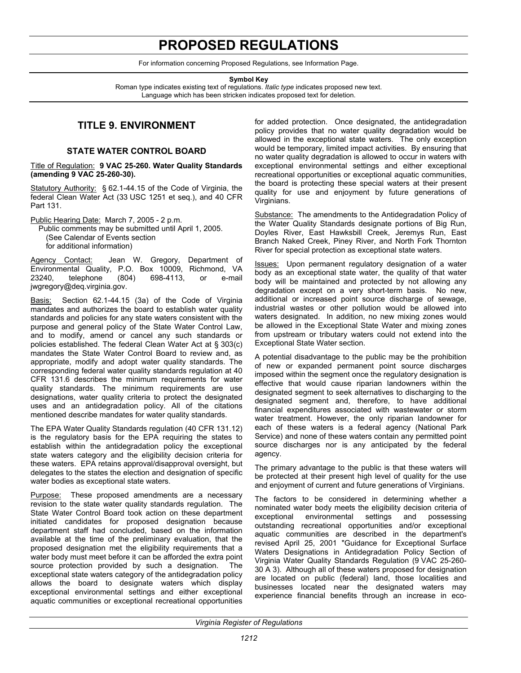# **PROPOSED REGULATIONS**

For information concerning Proposed Regulations, see Information Page.

**Symbol Key** 

<span id="page-11-0"></span>Roman type indicates existing text of regulations. *Italic type* indicates proposed new text. Language which has been stricken indicates proposed text for deletion.

# **TITLE 9. ENVIRONMENT**

# **STATE WATER CONTROL BOARD**

Title of Regulation: **9 VAC 25-260. Water Quality Standards (amending 9 VAC 25-260-30).** 

Statutory Authority: § 62.1-44.15 of the Code of Virginia, the federal Clean Water Act (33 USC 1251 et seq.), and 40 CFR Part 131.

Public Hearing Date: March 7, 2005 - 2 p.m.

Public comments may be submitted until April 1, 2005. (See Calendar of Events section for additional information)

Agency Contact: Jean W. Gregory, Department of Environmental Quality, P.O. Box 10009, Richmond, VA 23240, telephone (804) 698-4113, or e-mail jwgregory@deq.virginia.gov.

Basis: Section 62.1-44.15 (3a) of the Code of Virginia mandates and authorizes the board to establish water quality standards and policies for any state waters consistent with the purpose and general policy of the State Water Control Law, and to modify, amend or cancel any such standards or policies established. The federal Clean Water Act at § 303(c) mandates the State Water Control Board to review and, as appropriate, modify and adopt water quality standards. The corresponding federal water quality standards regulation at 40 CFR 131.6 describes the minimum requirements for water quality standards. The minimum requirements are use designations, water quality criteria to protect the designated uses and an antidegradation policy. All of the citations mentioned describe mandates for water quality standards.

The EPA Water Quality Standards regulation (40 CFR 131.12) is the regulatory basis for the EPA requiring the states to establish within the antidegradation policy the exceptional state waters category and the eligibility decision criteria for these waters. EPA retains approval/disapproval oversight, but delegates to the states the election and designation of specific water bodies as exceptional state waters.

Purpose: These proposed amendments are a necessary revision to the state water quality standards regulation. The State Water Control Board took action on these department initiated candidates for proposed designation because department staff had concluded, based on the information available at the time of the preliminary evaluation, that the proposed designation met the eligibility requirements that a water body must meet before it can be afforded the extra point source protection provided by such a designation. The exceptional state waters category of the antidegradation policy allows the board to designate waters which display exceptional environmental settings and either exceptional aquatic communities or exceptional recreational opportunities for added protection. Once designated, the antidegradation policy provides that no water quality degradation would be allowed in the exceptional state waters. The only exception would be temporary, limited impact activities. By ensuring that no water quality degradation is allowed to occur in waters with exceptional environmental settings and either exceptional recreational opportunities or exceptional aquatic communities, the board is protecting these special waters at their present quality for use and enjoyment by future generations of Virginians.

Substance: The amendments to the Antidegradation Policy of the Water Quality Standards designate portions of Big Run, Doyles River, East Hawksbill Creek, Jeremys Run, East Branch Naked Creek, Piney River, and North Fork Thornton River for special protection as exceptional state waters.

Issues: Upon permanent regulatory designation of a water body as an exceptional state water, the quality of that water body will be maintained and protected by not allowing any degradation except on a very short-term basis. No new, additional or increased point source discharge of sewage, industrial wastes or other pollution would be allowed into waters designated. In addition, no new mixing zones would be allowed in the Exceptional State Water and mixing zones from upstream or tributary waters could not extend into the Exceptional State Water section.

A potential disadvantage to the public may be the prohibition of new or expanded permanent point source discharges imposed within the segment once the regulatory designation is effective that would cause riparian landowners within the designated segment to seek alternatives to discharging to the designated segment and, therefore, to have additional financial expenditures associated with wastewater or storm water treatment. However, the only riparian landowner for each of these waters is a federal agency (National Park Service) and none of these waters contain any permitted point source discharges nor is any anticipated by the federal agency.

The primary advantage to the public is that these waters will be protected at their present high level of quality for the use and enjoyment of current and future generations of Virginians.

The factors to be considered in determining whether a nominated water body meets the eligibility decision criteria of<br>exceptional environmental settings and possessing exceptional environmental settings and possessing outstanding recreational opportunities and/or exceptional aquatic communities are described in the department's revised April 25, 2001 "Guidance for Exceptional Surface Waters Designations in Antidegradation Policy Section of Virginia Water Quality Standards Regulation (9 VAC 25-260- 30 A 3). Although all of these waters proposed for designation are located on public (federal) land, those localities and businesses located near the designated waters may experience financial benefits through an increase in eco-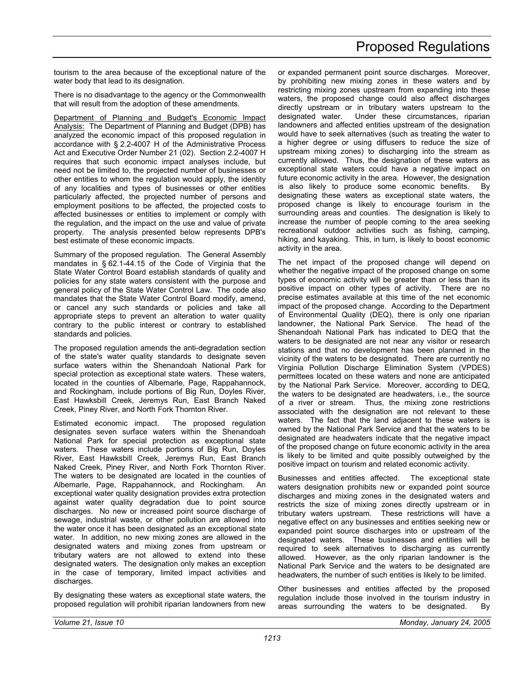tourism to the area because of the exceptional nature of the water body that lead to its designation.

There is no disadvantage to the agency or the Commonwealth that will result from the adoption of these amendments.

Department of Planning and Budget's Economic Impact Analysis: The Department of Planning and Budget (DPB) has analyzed the economic impact of this proposed regulation in accordance with § 2.2-4007 H of the Administrative Process Act and Executive Order Number 21 (02). Section 2.2-4007 H requires that such economic impact analyses include, but need not be limited to, the projected number of businesses or other entities to whom the regulation would apply, the identity of any localities and types of businesses or other entities particularly affected, the projected number of persons and employment positions to be affected, the projected costs to affected businesses or entities to implement or comply with the regulation, and the impact on the use and value of private property. The analysis presented below represents DPB's best estimate of these economic impacts.

Summary of the proposed regulation. The General Assembly mandates in § 62.1-44.15 of the Code of Virginia that the State Water Control Board establish standards of quality and policies for any state waters consistent with the purpose and general policy of the State Water Control Law. The code also mandates that the State Water Control Board modify, amend, or cancel any such standards or policies and take all appropriate steps to prevent an alteration to water quality contrary to the public interest or contrary to established standards and policies.

The proposed regulation amends the anti-degradation section of the state's water quality standards to designate seven surface waters within the Shenandoah National Park for special protection as exceptional state waters. These waters, located in the counties of Albemarle, Page, Rappahannock, and Rockingham, include portions of Big Run, Doyles River, East Hawksbill Creek, Jeremys Run, East Branch Naked Creek, Piney River, and North Fork Thornton River.

Estimated economic impact. The proposed regulation designates seven surface waters within the Shenandoah National Park for special protection as exceptional state waters. These waters include portions of Big Run, Doyles River, East Hawksbill Creek, Jeremys Run, East Branch Naked Creek, Piney River, and North Fork Thornton River. The waters to be designated are located in the counties of Albemarle, Page, Rappahannock, and Rockingham. An exceptional water quality designation provides extra protection against water quality degradation due to point source discharges. No new or increased point source discharge of sewage, industrial waste, or other pollution are allowed into the water once it has been designated as an exceptional state water. In addition, no new mixing zones are allowed in the designated waters and mixing zones from upstream or tributary waters are not allowed to extend into these designated waters. The designation only makes an exception in the case of temporary, limited impact activities and discharges.

By designating these waters as exceptional state waters, the proposed regulation will prohibit riparian landowners from new or expanded permanent point source discharges. Moreover, by prohibiting new mixing zones in these waters and by restricting mixing zones upstream from expanding into these waters, the proposed change could also affect discharges directly upstream or in tributary waters upstream to the designated water. Under these circumstances, riparian landowners and affected entities upstream of the designation would have to seek alternatives (such as treating the water to a higher degree or using diffusers to reduce the size of upstream mixing zones) to discharging into the stream as currently allowed. Thus, the designation of these waters as exceptional state waters could have a negative impact on future economic activity in the area. However, the designation is also likely to produce some economic benefits. By designating these waters as exceptional state waters, the proposed change is likely to encourage tourism in the surrounding areas and counties. The designation is likely to increase the number of people coming to the area seeking recreational outdoor activities such as fishing, camping, hiking, and kayaking. This, in turn, is likely to boost economic activity in the area.

The net impact of the proposed change will depend on whether the negative impact of the proposed change on some types of economic activity will be greater than or less than its positive impact on other types of activity. There are no precise estimates available at this time of the net economic impact of the proposed change. According to the Department of Environmental Quality (DEQ), there is only one riparian landowner, the National Park Service. The head of the Shenandoah National Park has indicated to DEQ that the waters to be designated are not near any visitor or research stations and that no development has been planned in the vicinity of the waters to be designated. There are currently no Virginia Pollution Discharge Elimination System (VPDES) permittees located on these waters and none are anticipated by the National Park Service. Moreover, according to DEQ, the waters to be designated are headwaters, i.e., the source of a river or stream. Thus, the mixing zone restrictions associated with the designation are not relevant to these waters. The fact that the land adjacent to these waters is owned by the National Park Service and that the waters to be designated are headwaters indicate that the negative impact of the proposed change on future economic activity in the area is likely to be limited and quite possibly outweighed by the positive impact on tourism and related economic activity.

Businesses and entities affected. The exceptional state waters designation prohibits new or expanded point source discharges and mixing zones in the designated waters and restricts the size of mixing zones directly upstream or in tributary waters upstream. These restrictions will have a negative effect on any businesses and entities seeking new or expanded point source discharges into or upstream of the designated waters. These businesses and entities will be required to seek alternatives to discharging as currently allowed. However, as the only riparian landowner is the National Park Service and the waters to be designated are headwaters, the number of such entities is likely to be limited.

Other businesses and entities affected by the proposed regulation include those involved in the tourism industry in areas surrounding the waters to be designated. By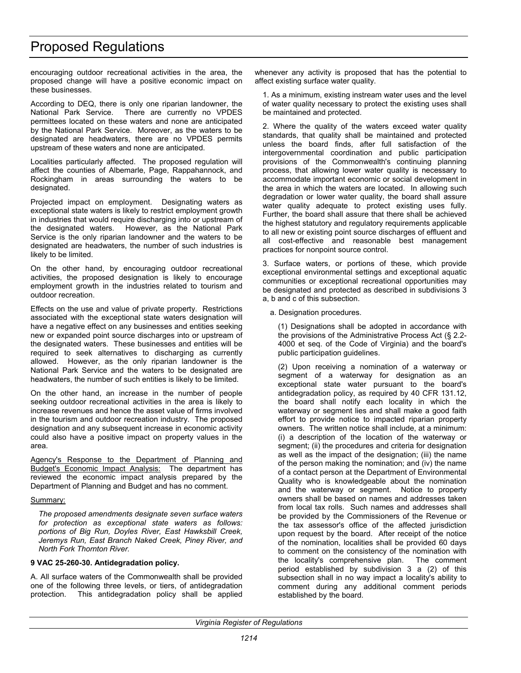encouraging outdoor recreational activities in the area, the proposed change will have a positive economic impact on these businesses.

According to DEQ, there is only one riparian landowner, the National Park Service. There are currently no VPDES permittees located on these waters and none are anticipated by the National Park Service. Moreover, as the waters to be designated are headwaters, there are no VPDES permits upstream of these waters and none are anticipated.

Localities particularly affected. The proposed regulation will affect the counties of Albemarle, Page, Rappahannock, and Rockingham in areas surrounding the waters to be designated.

Projected impact on employment. Designating waters as exceptional state waters is likely to restrict employment growth in industries that would require discharging into or upstream of the designated waters. However, as the National Park Service is the only riparian landowner and the waters to be designated are headwaters, the number of such industries is likely to be limited.

On the other hand, by encouraging outdoor recreational activities, the proposed designation is likely to encourage employment growth in the industries related to tourism and outdoor recreation.

Effects on the use and value of private property. Restrictions associated with the exceptional state waters designation will have a negative effect on any businesses and entities seeking new or expanded point source discharges into or upstream of the designated waters. These businesses and entities will be required to seek alternatives to discharging as currently allowed. However, as the only riparian landowner is the National Park Service and the waters to be designated are headwaters, the number of such entities is likely to be limited.

On the other hand, an increase in the number of people seeking outdoor recreational activities in the area is likely to increase revenues and hence the asset value of firms involved in the tourism and outdoor recreation industry. The proposed designation and any subsequent increase in economic activity could also have a positive impact on property values in the area.

Agency's Response to the Department of Planning and Budget's Economic Impact Analysis: The department has reviewed the economic impact analysis prepared by the Department of Planning and Budget and has no comment.

### Summary:

*The proposed amendments designate seven surface waters for protection as exceptional state waters as follows: portions of Big Run, Doyles River, East Hawksbill Creek, Jeremys Run, East Branch Naked Creek, Piney River, and North Fork Thornton River.* 

### **9 VAC 25-260-30. Antidegradation policy.**

A. All surface waters of the Commonwealth shall be provided one of the following three levels, or tiers, of antidegradation protection. This antidegradation policy shall be applied whenever any activity is proposed that has the potential to affect existing surface water quality.

1. As a minimum, existing instream water uses and the level of water quality necessary to protect the existing uses shall be maintained and protected.

2. Where the quality of the waters exceed water quality standards, that quality shall be maintained and protected unless the board finds, after full satisfaction of the intergovernmental coordination and public participation provisions of the Commonwealth's continuing planning process, that allowing lower water quality is necessary to accommodate important economic or social development in the area in which the waters are located. In allowing such degradation or lower water quality, the board shall assure water quality adequate to protect existing uses fully. Further, the board shall assure that there shall be achieved the highest statutory and regulatory requirements applicable to all new or existing point source discharges of effluent and all cost-effective and reasonable best management practices for nonpoint source control.

3. Surface waters, or portions of these, which provide exceptional environmental settings and exceptional aquatic communities or exceptional recreational opportunities may be designated and protected as described in subdivisions 3 a, b and c of this subsection.

a. Designation procedures.

(1) Designations shall be adopted in accordance with the provisions of the Administrative Process Act (§ 2.2- 4000 et seq. of the Code of Virginia) and the board's public participation guidelines.

(2) Upon receiving a nomination of a waterway or segment of a waterway for designation as an exceptional state water pursuant to the board's antidegradation policy, as required by 40 CFR 131.12, the board shall notify each locality in which the waterway or segment lies and shall make a good faith effort to provide notice to impacted riparian property owners. The written notice shall include, at a minimum: (i) a description of the location of the waterway or segment; (ii) the procedures and criteria for designation as well as the impact of the designation; (iii) the name of the person making the nomination; and (iv) the name of a contact person at the Department of Environmental Quality who is knowledgeable about the nomination and the waterway or segment. Notice to property owners shall be based on names and addresses taken from local tax rolls. Such names and addresses shall be provided by the Commissioners of the Revenue or the tax assessor's office of the affected jurisdiction upon request by the board. After receipt of the notice of the nomination, localities shall be provided 60 days to comment on the consistency of the nomination with the locality's comprehensive plan. The comment period established by subdivision 3 a (2) of this subsection shall in no way impact a locality's ability to comment during any additional comment periods established by the board.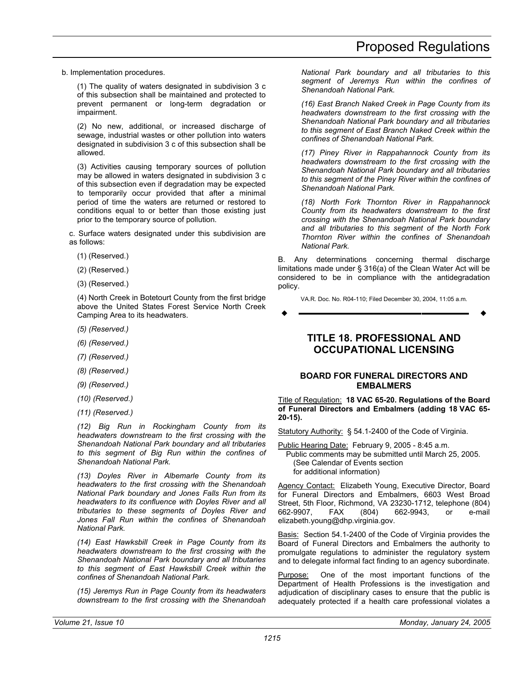<span id="page-14-0"></span>b. Implementation procedures.

(1) The quality of waters designated in subdivision 3 c of this subsection shall be maintained and protected to prevent permanent or long-term degradation or impairment.

(2) No new, additional, or increased discharge of sewage, industrial wastes or other pollution into waters designated in subdivision 3 c of this subsection shall be allowed.

(3) Activities causing temporary sources of pollution may be allowed in waters designated in subdivision 3 c of this subsection even if degradation may be expected to temporarily occur provided that after a minimal period of time the waters are returned or restored to conditions equal to or better than those existing just prior to the temporary source of pollution.

c. Surface waters designated under this subdivision are as follows:

- (1) (Reserved.)
- (2) (Reserved.)
- (3) (Reserved.)

(4) North Creek in Botetourt County from the first bridge above the United States Forest Service North Creek Camping Area to its headwaters.

- *(5) (Reserved.)*
- *(6) (Reserved.)*
- *(7) (Reserved.)*
- *(8) (Reserved.)*
- *(9) (Reserved.)*
- *(10) (Reserved.)*
- *(11) (Reserved.)*

*(12) Big Run in Rockingham County from its headwaters downstream to the first crossing with the Shenandoah National Park boundary and all tributaries to this segment of Big Run within the confines of Shenandoah National Park.* 

*(13) Doyles River in Albemarle County from its headwaters to the first crossing with the Shenandoah National Park boundary and Jones Falls Run from its headwaters to its confluence with Doyles River and all tributaries to these segments of Doyles River and Jones Fall Run within the confines of Shenandoah National Park.* 

*(14) East Hawksbill Creek in Page County from its headwaters downstream to the first crossing with the Shenandoah National Park boundary and all tributaries to this segment of East Hawksbill Creek within the confines of Shenandoah National Park.* 

*(15) Jeremys Run in Page County from its headwaters downstream to the first crossing with the Shenandoah*  *National Park boundary and all tributaries to this segment of Jeremys Run within the confines of Shenandoah National Park.* 

*(16) East Branch Naked Creek in Page County from its headwaters downstream to the first crossing with the Shenandoah National Park boundary and all tributaries to this segment of East Branch Naked Creek within the confines of Shenandoah National Park.* 

*(17) Piney River in Rappahannock County from its headwaters downstream to the first crossing with the Shenandoah National Park boundary and all tributaries to this segment of the Piney River within the confines of Shenandoah National Park.* 

*(18) North Fork Thornton River in Rappahannock County from its headwaters downstream to the first crossing with the Shenandoah National Park boundary and all tributaries to this segment of the North Fork Thornton River within the confines of Shenandoah National Park.* 

B. Any determinations concerning thermal discharge limitations made under § 316(a) of the Clean Water Act will be considered to be in compliance with the antidegradation policy.

VA.R. Doc. No. R04-110; Filed December 30, 2004, 11:05 a.m.

**––––––––––––––––––**

# **TITLE 18. PROFESSIONAL AND OCCUPATIONAL LICENSING**

## **BOARD FOR FUNERAL DIRECTORS AND EMBALMERS**

Title of Regulation: **18 VAC 65-20. Regulations of the Board of Funeral Directors and Embalmers (adding 18 VAC 65- 20-15).** 

Statutory Authority: § 54.1-2400 of the Code of Virginia.

Public Hearing Date: February 9, 2005 - 8:45 a.m.

Public comments may be submitted until March 25, 2005. (See Calendar of Events section for additional information)

Agency Contact: Elizabeth Young, Executive Director, Board for Funeral Directors and Embalmers, 6603 West Broad Street, 5th Floor, Richmond, VA 23230-1712, telephone (804) 662-9907, FAX (804) 662-9943, or e-mail elizabeth.young@dhp.virginia.gov.

Basis: Section 54.1-2400 of the Code of Virginia provides the Board of Funeral Directors and Embalmers the authority to promulgate regulations to administer the regulatory system and to delegate informal fact finding to an agency subordinate.

Purpose: One of the most important functions of the Department of Health Professions is the investigation and adjudication of disciplinary cases to ensure that the public is adequately protected if a health care professional violates a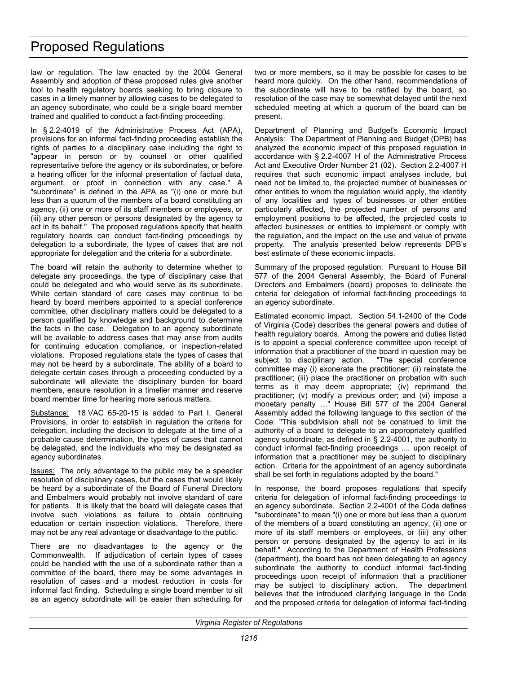law or regulation. The law enacted by the 2004 General Assembly and adoption of these proposed rules give another tool to health regulatory boards seeking to bring closure to cases in a timely manner by allowing cases to be delegated to an agency subordinate, who could be a single board member trained and qualified to conduct a fact-finding proceeding.

In § 2.2-4019 of the Administrative Process Act (APA), provisions for an informal fact-finding proceeding establish the rights of parties to a disciplinary case including the right to "appear in person or by counsel or other qualified representative before the agency or its subordinates, or before a hearing officer for the informal presentation of factual data, argument, or proof in connection with any case." A "subordinate" is defined in the APA as "(i) one or more but less than a quorum of the members of a board constituting an agency, (ii) one or more of its staff members or employees, or (iii) any other person or persons designated by the agency to act in its behalf." The proposed regulations specify that health regulatory boards can conduct fact-finding proceedings by delegation to a subordinate, the types of cases that are not appropriate for delegation and the criteria for a subordinate.

The board will retain the authority to determine whether to delegate any proceedings, the type of disciplinary case that could be delegated and who would serve as its subordinate. While certain standard of care cases may continue to be heard by board members appointed to a special conference committee, other disciplinary matters could be delegated to a person qualified by knowledge and background to determine the facts in the case. Delegation to an agency subordinate will be available to address cases that may arise from audits for continuing education compliance, or inspection-related violations. Proposed regulations state the types of cases that may not be heard by a subordinate. The ability of a board to delegate certain cases through a proceeding conducted by a subordinate will alleviate the disciplinary burden for board members, ensure resolution in a timelier manner and reserve board member time for hearing more serious matters.

Substance: 18 VAC 65-20-15 is added to Part I, General Provisions, in order to establish in regulation the criteria for delegation, including the decision to delegate at the time of a probable cause determination, the types of cases that cannot be delegated, and the individuals who may be designated as agency subordinates.

Issues: The only advantage to the public may be a speedier resolution of disciplinary cases, but the cases that would likely be heard by a subordinate of the Board of Funeral Directors and Embalmers would probably not involve standard of care for patients. It is likely that the board will delegate cases that involve such violations as failure to obtain continuing education or certain inspection violations. Therefore, there may not be any real advantage or disadvantage to the public.

There are no disadvantages to the agency or the Commonwealth. If adjudication of certain types of cases could be handled with the use of a subordinate rather than a committee of the board, there may be some advantages in resolution of cases and a modest reduction in costs for informal fact finding. Scheduling a single board member to sit as an agency subordinate will be easier than scheduling for

two or more members, so it may be possible for cases to be heard more quickly. On the other hand, recommendations of the subordinate will have to be ratified by the board, so resolution of the case may be somewhat delayed until the next scheduled meeting at which a quorum of the board can be present.

Department of Planning and Budget's Economic Impact Analysis: The Department of Planning and Budget (DPB) has analyzed the economic impact of this proposed regulation in accordance with § 2.2-4007 H of the Administrative Process Act and Executive Order Number 21 (02). Section 2.2-4007 H requires that such economic impact analyses include, but need not be limited to, the projected number of businesses or other entities to whom the regulation would apply, the identity of any localities and types of businesses or other entities particularly affected, the projected number of persons and employment positions to be affected, the projected costs to affected businesses or entities to implement or comply with the regulation, and the impact on the use and value of private property. The analysis presented below represents DPB's best estimate of these economic impacts.

Summary of the proposed regulation. Pursuant to House Bill 577 of the 2004 General Assembly, the Board of Funeral Directors and Embalmers (board) proposes to delineate the criteria for delegation of informal fact-finding proceedings to an agency subordinate.

Estimated economic impact. Section 54.1-2400 of the Code of Virginia (Code) describes the general powers and duties of health regulatory boards. Among the powers and duties listed is to appoint a special conference committee upon receipt of information that a practitioner of the board in question may be subject to disciplinary action. "The special conference committee may (i) exonerate the practitioner; (ii) reinstate the practitioner; (iii) place the practitioner on probation with such terms as it may deem appropriate; (iv) reprimand the practitioner; (v) modify a previous order; and (vi) impose a monetary penalty …" House Bill 577 of the 2004 General Assembly added the following language to this section of the Code: "This subdivision shall not be construed to limit the authority of a board to delegate to an appropriately qualified agency subordinate, as defined in § 2.2-4001, the authority to conduct informal fact-finding proceedings ..., upon receipt of information that a practitioner may be subject to disciplinary action. Criteria for the appointment of an agency subordinate shall be set forth in regulations adopted by the board."

In response, the board proposes regulations that specify criteria for delegation of informal fact-finding proceedings to an agency subordinate. Section 2.2-4001 of the Code defines "subordinate" to mean "(i) one or more but less than a quorum of the members of a board constituting an agency, (ii) one or more of its staff members or employees, or (iii) any other person or persons designated by the agency to act in its behalf." According to the Department of Health Professions (department), the board has not been delegating to an agency subordinate the authority to conduct informal fact-finding proceedings upon receipt of information that a practitioner may be subject to disciplinary action. The department believes that the introduced clarifying language in the Code and the proposed criteria for delegation of informal fact-finding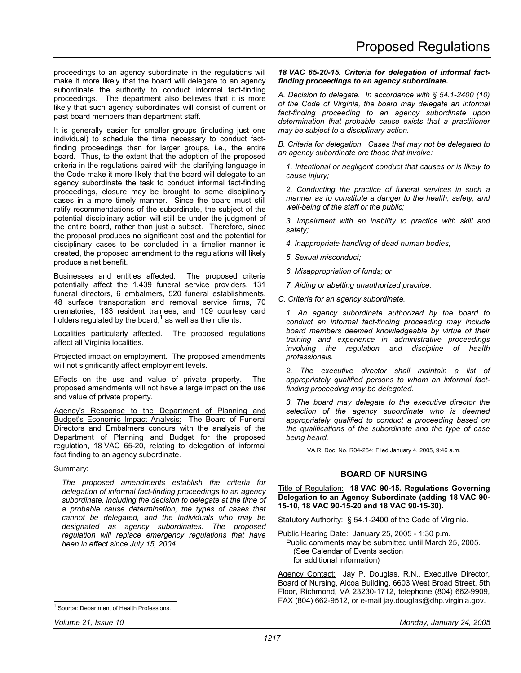<span id="page-16-0"></span>proceedings to an agency subordinate in the regulations will make it more likely that the board will delegate to an agency subordinate the authority to conduct informal fact-finding proceedings. The department also believes that it is more likely that such agency subordinates will consist of current or past board members than department staff.

It is generally easier for smaller groups (including just one individual) to schedule the time necessary to conduct factfinding proceedings than for larger groups, i.e., the entire board. Thus, to the extent that the adoption of the proposed criteria in the regulations paired with the clarifying language in the Code make it more likely that the board will delegate to an agency subordinate the task to conduct informal fact-finding proceedings, closure may be brought to some disciplinary cases in a more timely manner. Since the board must still ratify recommendations of the subordinate, the subject of the potential disciplinary action will still be under the judgment of the entire board, rather than just a subset. Therefore, since the proposal produces no significant cost and the potential for disciplinary cases to be concluded in a timelier manner is created, the proposed amendment to the regulations will likely produce a net benefit.

Businesses and entities affected. The proposed criteria potentially affect the 1,439 funeral service providers, 131 funeral directors, 6 embalmers, 520 funeral establishments, 48 surface transportation and removal service firms, 70 crematories, 183 resident trainees, and 109 courtesy card holders regulated by the board, $1$  as well as their clients.

Localities particularly affected. The proposed regulations affect all Virginia localities.

Projected impact on employment. The proposed amendments will not significantly affect employment levels.

Effects on the use and value of private property. The proposed amendments will not have a large impact on the use and value of private property.

Agency's Response to the Department of Planning and Budget's Economic Impact Analysis: The Board of Funeral Directors and Embalmers concurs with the analysis of the Department of Planning and Budget for the proposed regulation, 18 VAC 65-20, relating to delegation of informal fact finding to an agency subordinate.

#### Summary:

*The proposed amendments establish the criteria for delegation of informal fact-finding proceedings to an agency subordinate, including the decision to delegate at the time of a probable cause determination, the types of cases that cannot be delegated, and the individuals who may be designated as agency subordinates. The proposed regulation will replace emergency regulations that have been in effect since July 15, 2004.* 

*18 VAC 65-20-15. Criteria for delegation of informal factfinding proceedings to an agency subordinate.* 

*A. Decision to delegate. In accordance with § 54.1-2400 (10) of the Code of Virginia, the board may delegate an informal fact-finding proceeding to an agency subordinate upon determination that probable cause exists that a practitioner may be subject to a disciplinary action.* 

*B. Criteria for delegation. Cases that may not be delegated to an agency subordinate are those that involve:* 

*1. Intentional or negligent conduct that causes or is likely to cause injury;* 

*2. Conducting the practice of funeral services in such a manner as to constitute a danger to the health, safety, and well-being of the staff or the public;* 

*3. Impairment with an inability to practice with skill and safety;* 

*4. Inappropriate handling of dead human bodies;* 

*5. Sexual misconduct;* 

*6. Misappropriation of funds; or* 

*7. Aiding or abetting unauthorized practice.* 

*C. Criteria for an agency subordinate.* 

*1. An agency subordinate authorized by the board to conduct an informal fact-finding proceeding may include board members deemed knowledgeable by virtue of their training and experience in administrative proceedings involving the regulation and discipline of health professionals.* 

*2. The executive director shall maintain a list of appropriately qualified persons to whom an informal factfinding proceeding may be delegated.* 

*3. The board may delegate to the executive director the selection of the agency subordinate who is deemed appropriately qualified to conduct a proceeding based on the qualifications of the subordinate and the type of case being heard.* 

VA.R. Doc. No. R04-254; Filed January 4, 2005, 9:46 a.m.

# **BOARD OF NURSING**

Title of Regulation: **18 VAC 90-15. Regulations Governing Delegation to an Agency Subordinate (adding 18 VAC 90- 15-10, 18 VAC 90-15-20 and 18 VAC 90-15-30).** 

Statutory Authority: § 54.1-2400 of the Code of Virginia.

Public Hearing Date: January 25, 2005 - 1:30 p.m.

Public comments may be submitted until March 25, 2005. (See Calendar of Events section

for additional information)

Agency Contact: Jay P. Douglas, R.N., Executive Director, Board of Nursing, Alcoa Building, 6603 West Broad Street, 5th Floor, Richmond, VA 23230-1712, telephone (804) 662-9909, FAX (804) 662-9512, or e-mail jay.douglas@dhp.virginia.gov.

-

<sup>1</sup> Source: Department of Health Professions.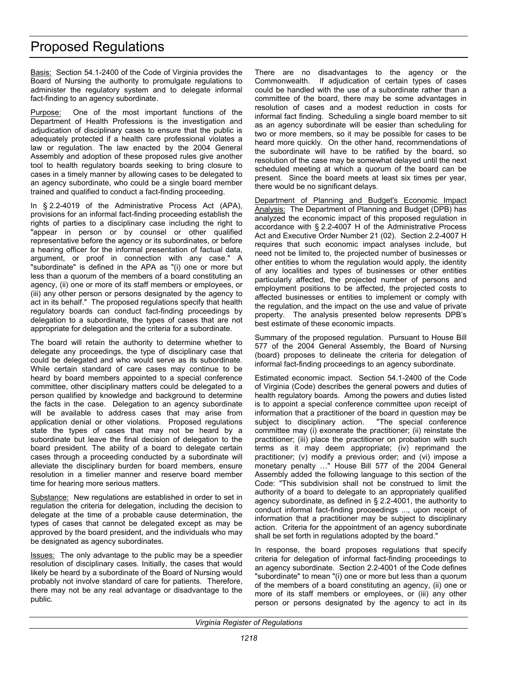Basis: Section 54.1-2400 of the Code of Virginia provides the Board of Nursing the authority to promulgate regulations to administer the regulatory system and to delegate informal fact-finding to an agency subordinate.

Purpose: One of the most important functions of the Department of Health Professions is the investigation and adjudication of disciplinary cases to ensure that the public is adequately protected if a health care professional violates a law or regulation. The law enacted by the 2004 General Assembly and adoption of these proposed rules give another tool to health regulatory boards seeking to bring closure to cases in a timely manner by allowing cases to be delegated to an agency subordinate, who could be a single board member trained and qualified to conduct a fact-finding proceeding.

In § 2.2-4019 of the Administrative Process Act (APA), provisions for an informal fact-finding proceeding establish the rights of parties to a disciplinary case including the right to "appear in person or by counsel or other qualified representative before the agency or its subordinates, or before a hearing officer for the informal presentation of factual data, argument, or proof in connection with any case." A "subordinate" is defined in the APA as "(i) one or more but less than a quorum of the members of a board constituting an agency, (ii) one or more of its staff members or employees, or (iii) any other person or persons designated by the agency to act in its behalf." The proposed regulations specify that health regulatory boards can conduct fact-finding proceedings by delegation to a subordinate, the types of cases that are not appropriate for delegation and the criteria for a subordinate.

The board will retain the authority to determine whether to delegate any proceedings, the type of disciplinary case that could be delegated and who would serve as its subordinate. While certain standard of care cases may continue to be heard by board members appointed to a special conference committee, other disciplinary matters could be delegated to a person qualified by knowledge and background to determine the facts in the case. Delegation to an agency subordinate will be available to address cases that may arise from application denial or other violations. Proposed regulations state the types of cases that may not be heard by a subordinate but leave the final decision of delegation to the board president. The ability of a board to delegate certain cases through a proceeding conducted by a subordinate will alleviate the disciplinary burden for board members, ensure resolution in a timelier manner and reserve board member time for hearing more serious matters.

Substance: New regulations are established in order to set in regulation the criteria for delegation, including the decision to delegate at the time of a probable cause determination, the types of cases that cannot be delegated except as may be approved by the board president, and the individuals who may be designated as agency subordinates.

**Issues:** The only advantage to the public may be a speedier resolution of disciplinary cases. Initially, the cases that would likely be heard by a subordinate of the Board of Nursing would probably not involve standard of care for patients. Therefore, there may not be any real advantage or disadvantage to the public.

There are no disadvantages to the agency or the Commonwealth. If adjudication of certain types of cases could be handled with the use of a subordinate rather than a committee of the board, there may be some advantages in resolution of cases and a modest reduction in costs for informal fact finding. Scheduling a single board member to sit as an agency subordinate will be easier than scheduling for two or more members, so it may be possible for cases to be heard more quickly. On the other hand, recommendations of the subordinate will have to be ratified by the board, so resolution of the case may be somewhat delayed until the next scheduled meeting at which a quorum of the board can be present. Since the board meets at least six times per year, there would be no significant delays.

Department of Planning and Budget's Economic Impact Analysis: The Department of Planning and Budget (DPB) has analyzed the economic impact of this proposed regulation in accordance with § 2.2-4007 H of the Administrative Process Act and Executive Order Number 21 (02). Section 2.2-4007 H requires that such economic impact analyses include, but need not be limited to, the projected number of businesses or other entities to whom the regulation would apply, the identity of any localities and types of businesses or other entities particularly affected, the projected number of persons and employment positions to be affected, the projected costs to affected businesses or entities to implement or comply with the regulation, and the impact on the use and value of private property. The analysis presented below represents DPB's best estimate of these economic impacts.

Summary of the proposed regulation. Pursuant to House Bill 577 of the 2004 General Assembly, the Board of Nursing (board) proposes to delineate the criteria for delegation of informal fact-finding proceedings to an agency subordinate.

Estimated economic impact. Section 54.1-2400 of the Code of Virginia (Code) describes the general powers and duties of health regulatory boards. Among the powers and duties listed is to appoint a special conference committee upon receipt of information that a practitioner of the board in question may be subject to disciplinary action. "The special conference committee may (i) exonerate the practitioner; (ii) reinstate the practitioner; (iii) place the practitioner on probation with such terms as it may deem appropriate; (iv) reprimand the practitioner; (v) modify a previous order; and (vi) impose a monetary penalty …" House Bill 577 of the 2004 General Assembly added the following language to this section of the Code: "This subdivision shall not be construed to limit the authority of a board to delegate to an appropriately qualified agency subordinate, as defined in § 2.2-4001, the authority to conduct informal fact-finding proceedings ..., upon receipt of information that a practitioner may be subject to disciplinary action. Criteria for the appointment of an agency subordinate shall be set forth in regulations adopted by the board."

In response, the board proposes regulations that specify criteria for delegation of informal fact-finding proceedings to an agency subordinate. Section 2.2-4001 of the Code defines "subordinate" to mean "(i) one or more but less than a quorum of the members of a board constituting an agency, (ii) one or more of its staff members or employees, or (iii) any other person or persons designated by the agency to act in its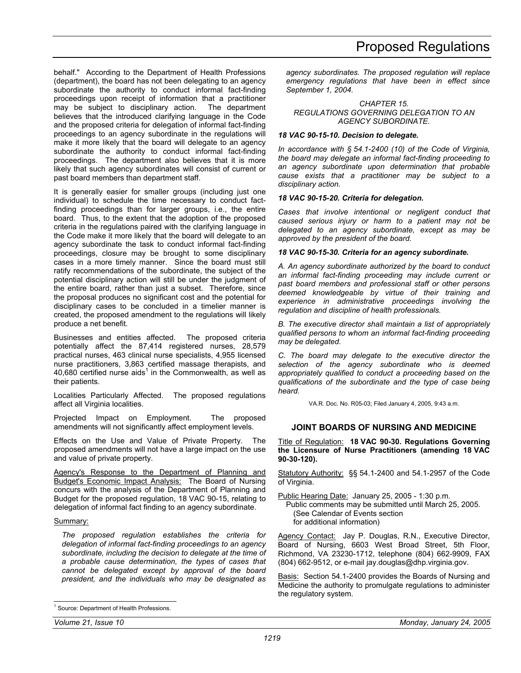<span id="page-18-0"></span>behalf." According to the Department of Health Professions (department), the board has not been delegating to an agency subordinate the authority to conduct informal fact-finding proceedings upon receipt of information that a practitioner may be subject to disciplinary action. The department believes that the introduced clarifying language in the Code and the proposed criteria for delegation of informal fact-finding proceedings to an agency subordinate in the regulations will make it more likely that the board will delegate to an agency subordinate the authority to conduct informal fact-finding proceedings. The department also believes that it is more likely that such agency subordinates will consist of current or past board members than department staff.

It is generally easier for smaller groups (including just one individual) to schedule the time necessary to conduct factfinding proceedings than for larger groups, i.e., the entire board. Thus, to the extent that the adoption of the proposed criteria in the regulations paired with the clarifying language in the Code make it more likely that the board will delegate to an agency subordinate the task to conduct informal fact-finding proceedings, closure may be brought to some disciplinary cases in a more timely manner. Since the board must still ratify recommendations of the subordinate, the subject of the potential disciplinary action will still be under the judgment of the entire board, rather than just a subset. Therefore, since the proposal produces no significant cost and the potential for disciplinary cases to be concluded in a timelier manner is created, the proposed amendment to the regulations will likely produce a net benefit.

Businesses and entities affected. The proposed criteria potentially affect the 87,414 registered nurses, 28,579 practical nurses, 463 clinical nurse specialists, 4,955 licensed nurse practitioners, 3,863 certified massage therapists, and 40,680 certified nurse aids<sup>1</sup> in the Commonwealth, as well as their patients.

Localities Particularly Affected. The proposed regulations affect all Virginia localities.

Projected Impact on Employment. The proposed amendments will not significantly affect employment levels.

Effects on the Use and Value of Private Property. The proposed amendments will not have a large impact on the use and value of private property.

Agency's Response to the Department of Planning and Budget's Economic Impact Analysis: The Board of Nursing concurs with the analysis of the Department of Planning and Budget for the proposed regulation, 18 VAC 90-15, relating to delegation of informal fact finding to an agency subordinate.

### Summary:

-

*The proposed regulation establishes the criteria for delegation of informal fact-finding proceedings to an agency subordinate, including the decision to delegate at the time of a probable cause determination, the types of cases that cannot be delegated except by approval of the board president, and the individuals who may be designated as* 

*agency subordinates. The proposed regulation will replace emergency regulations that have been in effect since September 1, 2004.* 

*CHAPTER 15. REGULATIONS GOVERNING DELEGATION TO AN AGENCY SUBORDINATE.* 

#### *18 VAC 90-15-10. Decision to delegate.*

*In accordance with § 54.1-2400 (10) of the Code of Virginia, the board may delegate an informal fact-finding proceeding to an agency subordinate upon determination that probable cause exists that a practitioner may be subject to a disciplinary action.* 

#### *18 VAC 90-15-20. Criteria for delegation.*

*Cases that involve intentional or negligent conduct that caused serious injury or harm to a patient may not be delegated to an agency subordinate, except as may be approved by the president of the board.* 

#### *18 VAC 90-15-30. Criteria for an agency subordinate.*

*A. An agency subordinate authorized by the board to conduct an informal fact-finding proceeding may include current or past board members and professional staff or other persons deemed knowledgeable by virtue of their training and experience in administrative proceedings involving the regulation and discipline of health professionals.* 

*B. The executive director shall maintain a list of appropriately qualified persons to whom an informal fact-finding proceeding may be delegated.* 

*C. The board may delegate to the executive director the selection of the agency subordinate who is deemed appropriately qualified to conduct a proceeding based on the qualifications of the subordinate and the type of case being heard.* 

VA.R. Doc. No. R05-03; Filed January 4, 2005, 9:43 a.m.

### **JOINT BOARDS OF NURSING AND MEDICINE**

Title of Regulation: **18 VAC 90-30. Regulations Governing the Licensure of Nurse Practitioners (amending 18 VAC 90-30-120).** 

Statutory Authority: §§ 54.1-2400 and 54.1-2957 of the Code of Virginia.

Public Hearing Date: January 25, 2005 - 1:30 p.m.

Public comments may be submitted until March 25, 2005. (See Calendar of Events section for additional information)

Agency Contact: Jay P. Douglas, R.N., Executive Director, Board of Nursing, 6603 West Broad Street, 5th Floor, Richmond, VA 23230-1712, telephone (804) 662-9909, FAX (804) 662-9512, or e-mail jay.douglas@dhp.virginia.gov.

Basis: Section 54.1-2400 provides the Boards of Nursing and Medicine the authority to promulgate regulations to administer the regulatory system.

<sup>1</sup> Source: Department of Health Professions.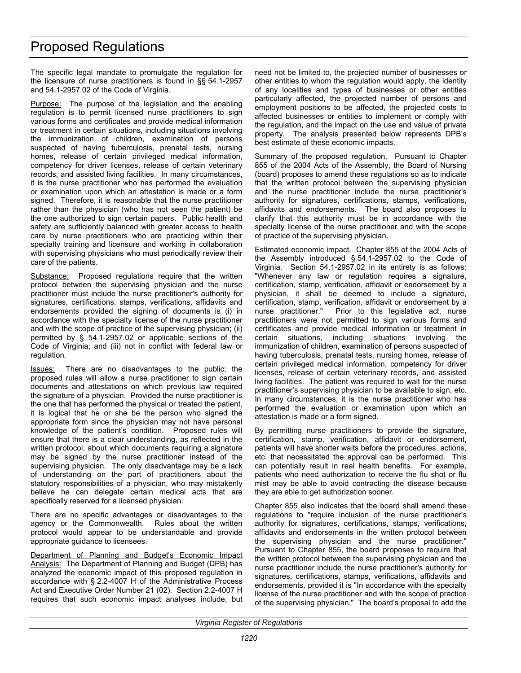The specific legal mandate to promulgate the regulation for the licensure of nurse practitioners is found in §§ 54.1-2957 and 54.1-2957.02 of the Code of Virginia.

Purpose: The purpose of the legislation and the enabling regulation is to permit licensed nurse practitioners to sign various forms and certificates and provide medical information or treatment in certain situations, including situations involving the immunization of children, examination of persons suspected of having tuberculosis, prenatal tests, nursing homes, release of certain privileged medical information, competency for driver licenses, release of certain veterinary records, and assisted living facilities. In many circumstances, it is the nurse practitioner who has performed the evaluation or examination upon which an attestation is made or a form signed. Therefore, it is reasonable that the nurse practitioner rather than the physician (who has not seen the patient) be the one authorized to sign certain papers. Public health and safety are sufficiently balanced with greater access to health care by nurse practitioners who are practicing within their specialty training and licensure and working in collaboration with supervising physicians who must periodically review their care of the patients.

Substance: Proposed regulations require that the written protocol between the supervising physician and the nurse practitioner must include the nurse practitioner's authority for signatures, certifications, stamps, verifications, affidavits and endorsements provided the signing of documents is (i) in accordance with the specialty license of the nurse practitioner and with the scope of practice of the supervising physician; (ii) permitted by § 54.1-2957.02 or applicable sections of the Code of Virginia; and (iii) not in conflict with federal law or regulation.

Issues: There are no disadvantages to the public; the proposed rules will allow a nurse practitioner to sign certain documents and attestations on which previous law required the signature of a physician. Provided the nurse practitioner is the one that has performed the physical or treated the patient, it is logical that he or she be the person who signed the appropriate form since the physician may not have personal knowledge of the patient's condition. Proposed rules will ensure that there is a clear understanding, as reflected in the written protocol, about which documents requiring a signature may be signed by the nurse practitioner instead of the supervising physician. The only disadvantage may be a lack of understanding on the part of practitioners about the statutory responsibilities of a physician, who may mistakenly believe he can delegate certain medical acts that are specifically reserved for a licensed physician.

There are no specific advantages or disadvantages to the agency or the Commonwealth. Rules about the written protocol would appear to be understandable and provide appropriate guidance to licensees.

Department of Planning and Budget's Economic Impact Analysis: The Department of Planning and Budget (DPB) has analyzed the economic impact of this proposed regulation in accordance with § 2.2-4007 H of the Administrative Process Act and Executive Order Number 21 (02). Section 2.2-4007 H requires that such economic impact analyses include, but need not be limited to, the projected number of businesses or other entities to whom the regulation would apply, the identity of any localities and types of businesses or other entities particularly affected, the projected number of persons and employment positions to be affected, the projected costs to affected businesses or entities to implement or comply with the regulation, and the impact on the use and value of private property. The analysis presented below represents DPB's best estimate of these economic impacts.

Summary of the proposed regulation. Pursuant to Chapter 855 of the 2004 Acts of the Assembly, the Board of Nursing (board) proposes to amend these regulations so as to indicate that the written protocol between the supervising physician and the nurse practitioner include the nurse practitioner's authority for signatures, certifications, stamps, verifications, affidavits and endorsements. The board also proposes to clarify that this authority must be in accordance with the specialty license of the nurse practitioner and with the scope of practice of the supervising physician.

Estimated economic impact. Chapter 855 of the 2004 Acts of the Assembly introduced § 54.1-2957.02 to the Code of Virginia. Section 54.1-2957.02 in its entirety is as follows: "Whenever any law or regulation requires a signature, certification, stamp, verification, affidavit or endorsement by a physician, it shall be deemed to include a signature, certification, stamp, verification, affidavit or endorsement by a nurse practitioner." Prior to this legislative act, nurse practitioners were not permitted to sign various forms and certificates and provide medical information or treatment in certain situations, including situations involving the immunization of children, examination of persons suspected of having tuberculosis, prenatal tests, nursing homes, release of certain privileged medical information, competency for driver licenses, release of certain veterinary records, and assisted living facilities. The patient was required to wait for the nurse practitioner's supervising physician to be available to sign, etc. In many circumstances, it is the nurse practitioner who has performed the evaluation or examination upon which an attestation is made or a form signed.

By permitting nurse practitioners to provide the signature, certification, stamp, verification, affidavit or endorsement, patients will have shorter waits before the procedures, actions, etc. that necessitated the approval can be performed. This can potentially result in real health benefits. For example, patients who need authorization to receive the flu shot or flu mist may be able to avoid contracting the disease because they are able to get authorization sooner.

Chapter 855 also indicates that the board shall amend these regulations to "require inclusion of the nurse practitioner's authority for signatures, certifications, stamps, verifications, affidavits and endorsements in the written protocol between the supervising physician and the nurse practitioner." Pursuant to Chapter 855, the board proposes to require that the written protocol between the supervising physician and the nurse practitioner include the nurse practitioner's authority for signatures, certifications, stamps, verifications, affidavits and endorsements, provided it is "In accordance with the specialty license of the nurse practitioner and with the scope of practice of the supervising physician." The board's proposal to add the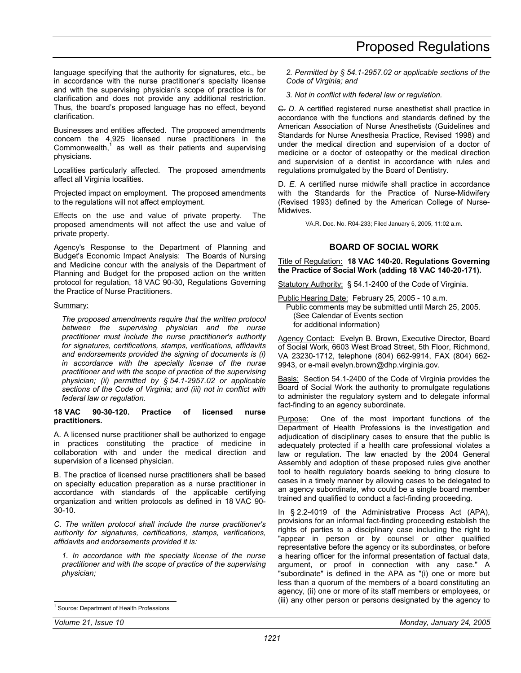<span id="page-20-0"></span>language specifying that the authority for signatures, etc., be in accordance with the nurse practitioner's specialty license and with the supervising physician's scope of practice is for clarification and does not provide any additional restriction. Thus, the board's proposed language has no effect, beyond clarification.

Businesses and entities affected. The proposed amendments concern the 4,925 licensed nurse practitioners in the Commonwealth, $<sup>1</sup>$  as well as their patients and supervising</sup> physicians.

Localities particularly affected. The proposed amendments affect all Virginia localities.

Projected impact on employment. The proposed amendments to the regulations will not affect employment.

Effects on the use and value of private property. The proposed amendments will not affect the use and value of private property.

Agency's Response to the Department of Planning and **Budget's Economic Impact Analysis: The Boards of Nursing** and Medicine concur with the analysis of the Department of Planning and Budget for the proposed action on the written protocol for regulation, 18 VAC 90-30, Regulations Governing the Practice of Nurse Practitioners.

#### Summary:

*The proposed amendments require that the written protocol between the supervising physician and the nurse practitioner must include the nurse practitioner's authority for signatures, certifications, stamps, verifications, affidavits and endorsements provided the signing of documents is (i) in accordance with the specialty license of the nurse practitioner and with the scope of practice of the supervising physician; (ii) permitted by § 54.1-2957.02 or applicable sections of the Code of Virginia; and (iii) not in conflict with federal law or regulation.* 

#### **18 VAC 90-30-120. Practice of licensed nurse practitioners.**

A. A licensed nurse practitioner shall be authorized to engage in practices constituting the practice of medicine in collaboration with and under the medical direction and supervision of a licensed physician.

B. The practice of licensed nurse practitioners shall be based on specialty education preparation as a nurse practitioner in accordance with standards of the applicable certifying organization and written protocols as defined in 18 VAC 90- 30-10.

*C. The written protocol shall include the nurse practitioner's authority for signatures, certifications, stamps, verifications, affidavits and endorsements provided it is:* 

*1. In accordance with the specialty license of the nurse practitioner and with the scope of practice of the supervising physician;* 

*3. Not in conflict with federal law or regulation.* 

C. *D.* A certified registered nurse anesthetist shall practice in accordance with the functions and standards defined by the American Association of Nurse Anesthetists (Guidelines and Standards for Nurse Anesthesia Practice, Revised 1998) and under the medical direction and supervision of a doctor of medicine or a doctor of osteopathy or the medical direction and supervision of a dentist in accordance with rules and regulations promulgated by the Board of Dentistry.

D. *E.* A certified nurse midwife shall practice in accordance with the Standards for the Practice of Nurse-Midwifery (Revised 1993) defined by the American College of Nurse-Midwives.

VA.R. Doc. No. R04-233; Filed January 5, 2005, 11:02 a.m.

# **BOARD OF SOCIAL WORK**

Title of Regulation: **18 VAC 140-20. Regulations Governing the Practice of Social Work (adding 18 VAC 140-20-171).** 

Statutory Authority: § 54.1-2400 of the Code of Virginia.

Public Hearing Date: February 25, 2005 - 10 a.m.

Public comments may be submitted until March 25, 2005. (See Calendar of Events section for additional information)

Agency Contact: Evelyn B. Brown, Executive Director, Board of Social Work, 6603 West Broad Street, 5th Floor, Richmond, VA 23230-1712, telephone (804) 662-9914, FAX (804) 662- 9943, or e-mail evelyn.brown@dhp.virginia.gov.

Basis: Section 54.1-2400 of the Code of Virginia provides the Board of Social Work the authority to promulgate regulations to administer the regulatory system and to delegate informal fact-finding to an agency subordinate.

Purpose: One of the most important functions of the Department of Health Professions is the investigation and adjudication of disciplinary cases to ensure that the public is adequately protected if a health care professional violates a law or regulation. The law enacted by the 2004 General Assembly and adoption of these proposed rules give another tool to health regulatory boards seeking to bring closure to cases in a timely manner by allowing cases to be delegated to an agency subordinate, who could be a single board member trained and qualified to conduct a fact-finding proceeding.

In § 2.2-4019 of the Administrative Process Act (APA), provisions for an informal fact-finding proceeding establish the rights of parties to a disciplinary case including the right to "appear in person or by counsel or other qualified representative before the agency or its subordinates, or before a hearing officer for the informal presentation of factual data, argument, or proof in connection with any case." A "subordinate" is defined in the APA as "(i) one or more but less than a quorum of the members of a board constituting an agency, (ii) one or more of its staff members or employees, or (iii) any other person or persons designated by the agency to

-

*<sup>2.</sup> Permitted by § 54.1-2957.02 or applicable sections of the Code of Virginia; and* 

<sup>1</sup> Source: Department of Health Professions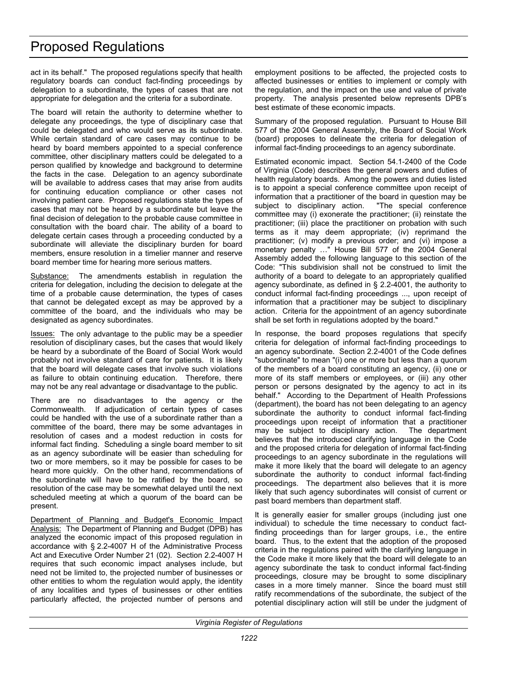act in its behalf." The proposed regulations specify that health regulatory boards can conduct fact-finding proceedings by delegation to a subordinate, the types of cases that are not appropriate for delegation and the criteria for a subordinate.

The board will retain the authority to determine whether to delegate any proceedings, the type of disciplinary case that could be delegated and who would serve as its subordinate. While certain standard of care cases may continue to be heard by board members appointed to a special conference committee, other disciplinary matters could be delegated to a person qualified by knowledge and background to determine the facts in the case. Delegation to an agency subordinate will be available to address cases that may arise from audits for continuing education compliance or other cases not involving patient care. Proposed regulations state the types of cases that may not be heard by a subordinate but leave the final decision of delegation to the probable cause committee in consultation with the board chair. The ability of a board to delegate certain cases through a proceeding conducted by a subordinate will alleviate the disciplinary burden for board members, ensure resolution in a timelier manner and reserve board member time for hearing more serious matters.

Substance: The amendments establish in regulation the criteria for delegation, including the decision to delegate at the time of a probable cause determination, the types of cases that cannot be delegated except as may be approved by a committee of the board, and the individuals who may be designated as agency subordinates.

Issues: The only advantage to the public may be a speedier resolution of disciplinary cases, but the cases that would likely be heard by a subordinate of the Board of Social Work would probably not involve standard of care for patients. It is likely that the board will delegate cases that involve such violations as failure to obtain continuing education. Therefore, there may not be any real advantage or disadvantage to the public.

There are no disadvantages to the agency or the Commonwealth. If adjudication of certain types of cases could be handled with the use of a subordinate rather than a committee of the board, there may be some advantages in resolution of cases and a modest reduction in costs for informal fact finding. Scheduling a single board member to sit as an agency subordinate will be easier than scheduling for two or more members, so it may be possible for cases to be heard more quickly. On the other hand, recommendations of the subordinate will have to be ratified by the board, so resolution of the case may be somewhat delayed until the next scheduled meeting at which a quorum of the board can be present.

Department of Planning and Budget's Economic Impact Analysis: The Department of Planning and Budget (DPB) has analyzed the economic impact of this proposed regulation in accordance with § 2.2-4007 H of the Administrative Process Act and Executive Order Number 21 (02). Section 2.2-4007 H requires that such economic impact analyses include, but need not be limited to, the projected number of businesses or other entities to whom the regulation would apply, the identity of any localities and types of businesses or other entities particularly affected, the projected number of persons and

employment positions to be affected, the projected costs to affected businesses or entities to implement or comply with the regulation, and the impact on the use and value of private property. The analysis presented below represents DPB's best estimate of these economic impacts.

Summary of the proposed regulation. Pursuant to House Bill 577 of the 2004 General Assembly, the Board of Social Work (board) proposes to delineate the criteria for delegation of informal fact-finding proceedings to an agency subordinate.

Estimated economic impact. Section 54.1-2400 of the Code of Virginia (Code) describes the general powers and duties of health regulatory boards. Among the powers and duties listed is to appoint a special conference committee upon receipt of information that a practitioner of the board in question may be subject to disciplinary action. "The special conference committee may (i) exonerate the practitioner; (ii) reinstate the practitioner; (iii) place the practitioner on probation with such terms as it may deem appropriate; (iv) reprimand the practitioner; (v) modify a previous order; and (vi) impose a monetary penalty …" House Bill 577 of the 2004 General Assembly added the following language to this section of the Code: "This subdivision shall not be construed to limit the authority of a board to delegate to an appropriately qualified agency subordinate, as defined in § 2.2-4001, the authority to conduct informal fact-finding proceedings ..., upon receipt of information that a practitioner may be subject to disciplinary action. Criteria for the appointment of an agency subordinate shall be set forth in regulations adopted by the board."

In response, the board proposes regulations that specify criteria for delegation of informal fact-finding proceedings to an agency subordinate. Section 2.2-4001 of the Code defines "subordinate" to mean "(i) one or more but less than a quorum of the members of a board constituting an agency, (ii) one or more of its staff members or employees, or (iii) any other person or persons designated by the agency to act in its behalf." According to the Department of Health Professions (department), the board has not been delegating to an agency subordinate the authority to conduct informal fact-finding proceedings upon receipt of information that a practitioner may be subject to disciplinary action. The department believes that the introduced clarifying language in the Code and the proposed criteria for delegation of informal fact-finding proceedings to an agency subordinate in the regulations will make it more likely that the board will delegate to an agency subordinate the authority to conduct informal fact-finding proceedings. The department also believes that it is more likely that such agency subordinates will consist of current or past board members than department staff.

It is generally easier for smaller groups (including just one individual) to schedule the time necessary to conduct factfinding proceedings than for larger groups, i.e., the entire board. Thus, to the extent that the adoption of the proposed criteria in the regulations paired with the clarifying language in the Code make it more likely that the board will delegate to an agency subordinate the task to conduct informal fact-finding proceedings, closure may be brought to some disciplinary cases in a more timely manner. Since the board must still ratify recommendations of the subordinate, the subject of the potential disciplinary action will still be under the judgment of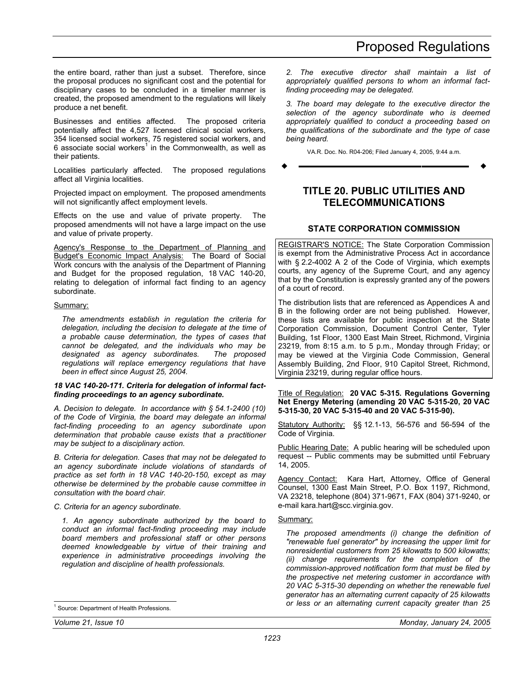<span id="page-22-0"></span>the entire board, rather than just a subset. Therefore, since the proposal produces no significant cost and the potential for disciplinary cases to be concluded in a timelier manner is created, the proposed amendment to the regulations will likely produce a net benefit.

Businesses and entities affected. The proposed criteria potentially affect the 4,527 licensed clinical social workers, 354 licensed social workers, 75 registered social workers, and 6 associate social workers<sup>1</sup> in the Commonwealth, as well as their patients.

Localities particularly affected. The proposed regulations affect all Virginia localities.

Projected impact on employment. The proposed amendments will not significantly affect employment levels.

Effects on the use and value of private property. The proposed amendments will not have a large impact on the use and value of private property.

Agency's Response to the Department of Planning and Budget's Economic Impact Analysis: The Board of Social Work concurs with the analysis of the Department of Planning and Budget for the proposed regulation, 18 VAC 140-20, relating to delegation of informal fact finding to an agency subordinate.

#### Summary:

*The amendments establish in regulation the criteria for delegation, including the decision to delegate at the time of a probable cause determination, the types of cases that cannot be delegated, and the individuals who may be designated as agency subordinates. The proposed regulations will replace emergency regulations that have been in effect since August 25, 2004.* 

#### *18 VAC 140-20-171. Criteria for delegation of informal factfinding proceedings to an agency subordinate.*

*A. Decision to delegate. In accordance with § 54.1-2400 (10) of the Code of Virginia, the board may delegate an informal fact-finding proceeding to an agency subordinate upon determination that probable cause exists that a practitioner may be subject to a disciplinary action.* 

*B. Criteria for delegation. Cases that may not be delegated to an agency subordinate include violations of standards of practice as set forth in 18 VAC 140-20-150, except as may otherwise be determined by the probable cause committee in consultation with the board chair.* 

*C. Criteria for an agency subordinate.* 

*1. An agency subordinate authorized by the board to conduct an informal fact-finding proceeding may include board members and professional staff or other persons deemed knowledgeable by virtue of their training and experience in administrative proceedings involving the regulation and discipline of health professionals.* 

-

*2. The executive director shall maintain a list of appropriately qualified persons to whom an informal factfinding proceeding may be delegated.* 

*3. The board may delegate to the executive director the selection of the agency subordinate who is deemed appropriately qualified to conduct a proceeding based on the qualifications of the subordinate and the type of case being heard.* 

VA.R. Doc. No. R04-206; Filed January 4, 2005, 9:44 a.m.

**––––––––––––––––––**

# **TITLE 20. PUBLIC UTILITIES AND TELECOMMUNICATIONS**

# **STATE CORPORATION COMMISSION**

REGISTRAR'S NOTICE: The State Corporation Commission is exempt from the Administrative Process Act in accordance with § 2.2-4002 A 2 of the Code of Virginia, which exempts courts, any agency of the Supreme Court, and any agency that by the Constitution is expressly granted any of the powers of a court of record.

The distribution lists that are referenced as Appendices A and B in the following order are not being published. However, these lists are available for public inspection at the State Corporation Commission, Document Control Center, Tyler Building, 1st Floor, 1300 East Main Street, Richmond, Virginia 23219, from 8:15 a.m. to 5 p.m., Monday through Friday; or may be viewed at the Virginia Code Commission, General Assembly Building, 2nd Floor, 910 Capitol Street, Richmond, Virginia 23219, during regular office hours.

Title of Regulation: **20 VAC 5-315. Regulations Governing Net Energy Metering (amending 20 VAC 5-315-20, 20 VAC 5-315-30, 20 VAC 5-315-40 and 20 VAC 5-315-90).** 

Statutory Authority: §§ 12.1-13, 56-576 and 56-594 of the Code of Virginia.

Public Hearing Date: A public hearing will be scheduled upon request -- Public comments may be submitted until February 14, 2005.

Agency Contact: Kara Hart, Attorney, Office of General Counsel, 1300 East Main Street, P.O. Box 1197, Richmond, VA 23218, telephone (804) 371-9671, FAX (804) 371-9240, or e-mail kara.hart@scc.virginia.gov.

#### Summary:

*The proposed amendments (i) change the definition of "renewable fuel generator" by increasing the upper limit for nonresidential customers from 25 kilowatts to 500 kilowatts; (ii) change requirements for the completion of the commission-approved notification form that must be filed by the prospective net metering customer in accordance with 20 VAC 5-315-30 depending on whether the renewable fuel generator has an alternating current capacity of 25 kilowatts or less or an alternating current capacity greater than 25* 

<sup>1</sup> Source: Department of Health Professions.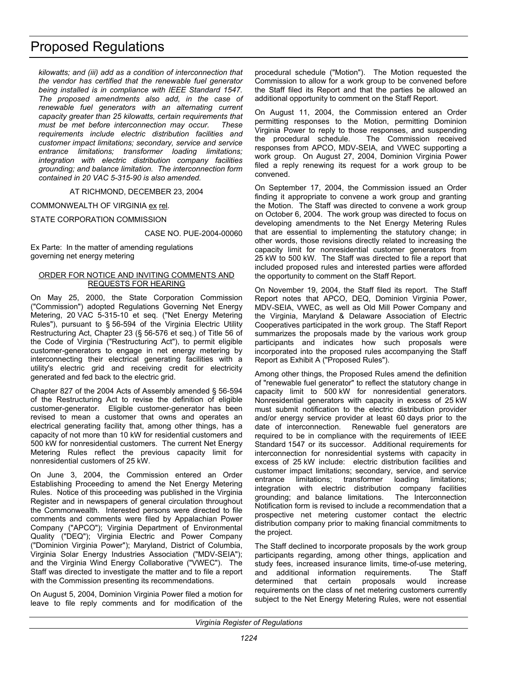*kilowatts; and (iii) add as a condition of interconnection that the vendor has certified that the renewable fuel generator being installed is in compliance with IEEE Standard 1547. The proposed amendments also add, in the case of renewable fuel generators with an alternating current capacity greater than 25 kilowatts, certain requirements that must be met before interconnection may occur. These requirements include electric distribution facilities and customer impact limitations; secondary, service and service entrance limitations; transformer loading limitations; integration with electric distribution company facilities grounding; and balance limitation. The interconnection form contained in 20 VAC 5-315-90 is also amended.* 

AT RICHMOND, DECEMBER 23, 2004

COMMONWEALTH OF VIRGINIA ex rel.

STATE CORPORATION COMMISSION

CASE NO. PUE-2004-00060

Ex Parte: In the matter of amending regulations governing net energy metering

#### ORDER FOR NOTICE AND INVITING COMMENTS AND REQUESTS FOR HEARING

On May 25, 2000, the State Corporation Commission ("Commission") adopted Regulations Governing Net Energy Metering, 20 VAC 5-315-10 et seq. ("Net Energy Metering Rules"), pursuant to § 56-594 of the Virginia Electric Utility Restructuring Act, Chapter 23 (§ 56-576 et seq.) of Title 56 of the Code of Virginia ("Restructuring Act"), to permit eligible customer-generators to engage in net energy metering by interconnecting their electrical generating facilities with a utility's electric grid and receiving credit for electricity generated and fed back to the electric grid.

Chapter 827 of the 2004 Acts of Assembly amended § 56-594 of the Restructuring Act to revise the definition of eligible customer-generator. Eligible customer-generator has been revised to mean a customer that owns and operates an electrical generating facility that, among other things, has a capacity of not more than 10 kW for residential customers and 500 kW for nonresidential customers. The current Net Energy Metering Rules reflect the previous capacity limit for nonresidential customers of 25 kW.

On June 3, 2004, the Commission entered an Order Establishing Proceeding to amend the Net Energy Metering Rules. Notice of this proceeding was published in the Virginia Register and in newspapers of general circulation throughout the Commonwealth. Interested persons were directed to file comments and comments were filed by Appalachian Power Company ("APCO"); Virginia Department of Environmental Quality ("DEQ"); Virginia Electric and Power Company ("Dominion Virginia Power"); Maryland, District of Columbia, Virginia Solar Energy Industries Association ("MDV-SEIA"); and the Virginia Wind Energy Collaborative ("VWEC"). The Staff was directed to investigate the matter and to file a report with the Commission presenting its recommendations.

On August 5, 2004, Dominion Virginia Power filed a motion for leave to file reply comments and for modification of the

procedural schedule ("Motion"). The Motion requested the Commission to allow for a work group to be convened before the Staff filed its Report and that the parties be allowed an additional opportunity to comment on the Staff Report.

On August 11, 2004, the Commission entered an Order permitting responses to the Motion, permitting Dominion Virginia Power to reply to those responses, and suspending the procedural schedule. The Commission received responses from APCO, MDV-SEIA, and VWEC supporting a work group. On August 27, 2004, Dominion Virginia Power filed a reply renewing its request for a work group to be convened.

On September 17, 2004, the Commission issued an Order finding it appropriate to convene a work group and granting the Motion. The Staff was directed to convene a work group on October 6, 2004. The work group was directed to focus on developing amendments to the Net Energy Metering Rules that are essential to implementing the statutory change; in other words, those revisions directly related to increasing the capacity limit for nonresidential customer generators from 25 kW to 500 kW. The Staff was directed to file a report that included proposed rules and interested parties were afforded the opportunity to comment on the Staff Report.

On November 19, 2004, the Staff filed its report. The Staff Report notes that APCO, DEQ, Dominion Virginia Power, MDV-SEIA, VWEC, as well as Old Mill Power Company and the Virginia, Maryland & Delaware Association of Electric Cooperatives participated in the work group. The Staff Report summarizes the proposals made by the various work group participants and indicates how such proposals were incorporated into the proposed rules accompanying the Staff Report as Exhibit A ("Proposed Rules").

Among other things, the Proposed Rules amend the definition of "renewable fuel generator" to reflect the statutory change in capacity limit to 500 kW for nonresidential generators. Nonresidential generators with capacity in excess of 25 kW must submit notification to the electric distribution provider and/or energy service provider at least 60 days prior to the date of interconnection. Renewable fuel generators are required to be in compliance with the requirements of IEEE Standard 1547 or its successor. Additional requirements for interconnection for nonresidential systems with capacity in excess of 25 kW include: electric distribution facilities and customer impact limitations; secondary, service, and service entrance limitations; transformer loading limitations; integration with electric distribution company facilities grounding; and balance limitations. The Interconnection Notification form is revised to include a recommendation that a prospective net metering customer contact the electric distribution company prior to making financial commitments to the project.

The Staff declined to incorporate proposals by the work group participants regarding, among other things, application and study fees, increased insurance limits, time-of-use metering, and additional information requirements. The Staff determined that certain proposals would increase requirements on the class of net metering customers currently subject to the Net Energy Metering Rules, were not essential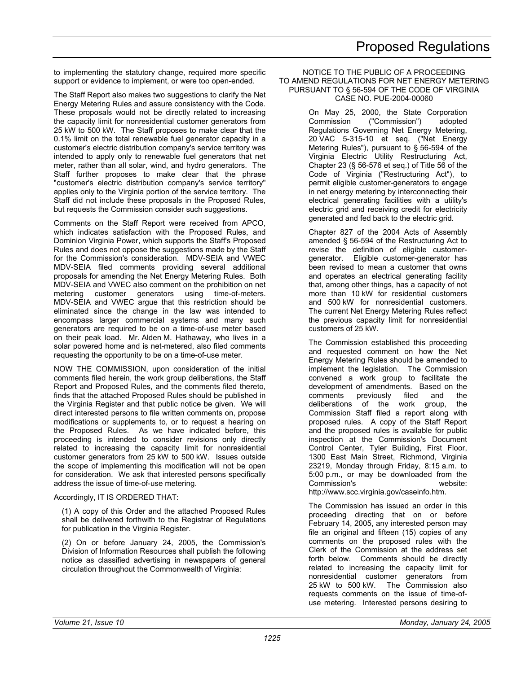to implementing the statutory change, required more specific support or evidence to implement, or were too open-ended.

The Staff Report also makes two suggestions to clarify the Net Energy Metering Rules and assure consistency with the Code. These proposals would not be directly related to increasing the capacity limit for nonresidential customer generators from 25 kW to 500 kW. The Staff proposes to make clear that the 0.1% limit on the total renewable fuel generator capacity in a customer's electric distribution company's service territory was intended to apply only to renewable fuel generators that net meter, rather than all solar, wind, and hydro generators. The Staff further proposes to make clear that the phrase "customer's electric distribution company's service territory" applies only to the Virginia portion of the service territory. The Staff did not include these proposals in the Proposed Rules, but requests the Commission consider such suggestions.

Comments on the Staff Report were received from APCO, which indicates satisfaction with the Proposed Rules, and Dominion Virginia Power, which supports the Staff's Proposed Rules and does not oppose the suggestions made by the Staff for the Commission's consideration. MDV-SEIA and VWEC MDV-SEIA filed comments providing several additional proposals for amending the Net Energy Metering Rules. Both MDV-SEIA and VWEC also comment on the prohibition on net metering customer generators using time-of-meters. MDV-SEIA and VWEC argue that this restriction should be eliminated since the change in the law was intended to encompass larger commercial systems and many such generators are required to be on a time-of-use meter based on their peak load. Mr. Alden M. Hathaway, who lives in a solar powered home and is net-metered, also filed comments requesting the opportunity to be on a time-of-use meter.

NOW THE COMMISSION, upon consideration of the initial comments filed herein, the work group deliberations, the Staff Report and Proposed Rules, and the comments filed thereto, finds that the attached Proposed Rules should be published in the Virginia Register and that public notice be given. We will direct interested persons to file written comments on, propose modifications or supplements to, or to request a hearing on the Proposed Rules. As we have indicated before, this proceeding is intended to consider revisions only directly related to increasing the capacity limit for nonresidential customer generators from 25 kW to 500 kW. Issues outside the scope of implementing this modification will not be open for consideration. We ask that interested persons specifically address the issue of time-of-use metering.

#### Accordingly, IT IS ORDERED THAT:

(1) A copy of this Order and the attached Proposed Rules shall be delivered forthwith to the Registrar of Regulations for publication in the Virginia Register.

(2) On or before January 24, 2005, the Commission's Division of Information Resources shall publish the following notice as classified advertising in newspapers of general circulation throughout the Commonwealth of Virginia:

#### NOTICE TO THE PUBLIC OF A PROCEEDING TO AMEND REGULATIONS FOR NET ENERGY METERING PURSUANT TO § 56-594 OF THE CODE OF VIRGINIA CASE NO. PUE-2004-00060

On May 25, 2000, the State Corporation Commission ("Commission") adopted Regulations Governing Net Energy Metering, 20 VAC 5-315-10 et seq. ("Net Energy Metering Rules"), pursuant to § 56-594 of the Virginia Electric Utility Restructuring Act, Chapter 23 (§ 56-576 et seq.) of Title 56 of the Code of Virginia ("Restructuring Act"), to permit eligible customer-generators to engage in net energy metering by interconnecting their electrical generating facilities with a utility's electric grid and receiving credit for electricity generated and fed back to the electric grid.

Chapter 827 of the 2004 Acts of Assembly amended § 56-594 of the Restructuring Act to revise the definition of eligible customergenerator. Eligible customer-generator has been revised to mean a customer that owns and operates an electrical generating facility that, among other things, has a capacity of not more than 10 kW for residential customers and 500 kW for nonresidential customers. The current Net Energy Metering Rules reflect the previous capacity limit for nonresidential customers of 25 kW.

The Commission established this proceeding and requested comment on how the Net Energy Metering Rules should be amended to implement the legislation. The Commission convened a work group to facilitate the development of amendments. Based on the comments previously filed and the deliberations of the work group, the Commission Staff filed a report along with proposed rules. A copy of the Staff Report and the proposed rules is available for public inspection at the Commission's Document Control Center, Tyler Building, First Floor, 1300 East Main Street, Richmond, Virginia 23219, Monday through Friday, 8:15 a.m. to 5:00 p.m., or may be downloaded from the Commission's website: http://www.scc.virginia.gov/caseinfo.htm.

The Commission has issued an order in this proceeding directing that on or before February 14, 2005, any interested person may file an original and fifteen (15) copies of any comments on the proposed rules with the Clerk of the Commission at the address set forth below. Comments should be directly related to increasing the capacity limit for nonresidential customer generators from 25 kW to 500 kW. The Commission also requests comments on the issue of time-ofuse metering. Interested persons desiring to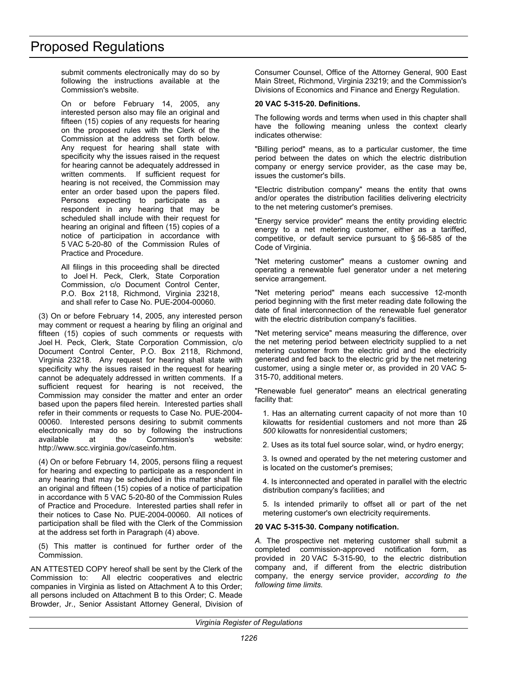submit comments electronically may do so by following the instructions available at the Commission's website.

On or before February 14, 2005, any interested person also may file an original and fifteen (15) copies of any requests for hearing on the proposed rules with the Clerk of the Commission at the address set forth below. Any request for hearing shall state with specificity why the issues raised in the request for hearing cannot be adequately addressed in written comments. If sufficient request for hearing is not received, the Commission may enter an order based upon the papers filed. Persons expecting to participate as a respondent in any hearing that may be scheduled shall include with their request for hearing an original and fifteen (15) copies of a notice of participation in accordance with 5 VAC 5-20-80 of the Commission Rules of Practice and Procedure.

All filings in this proceeding shall be directed to Joel H. Peck, Clerk, State Corporation Commission, c/o Document Control Center, P.O. Box 2118, Richmond, Virginia 23218, and shall refer to Case No. PUE-2004-00060.

(3) On or before February 14, 2005, any interested person may comment or request a hearing by filing an original and fifteen (15) copies of such comments or requests with Joel H. Peck, Clerk, State Corporation Commission, c/o Document Control Center, P.O. Box 2118, Richmond, Virginia 23218. Any request for hearing shall state with specificity why the issues raised in the request for hearing cannot be adequately addressed in written comments. If a sufficient request for hearing is not received, the Commission may consider the matter and enter an order based upon the papers filed herein. Interested parties shall refer in their comments or requests to Case No. PUE-2004- 00060. Interested persons desiring to submit comments electronically may do so by following the instructions available at the Commission's website: http://www.scc.virginia.gov/caseinfo.htm.

(4) On or before February 14, 2005, persons filing a request for hearing and expecting to participate as a respondent in any hearing that may be scheduled in this matter shall file an original and fifteen (15) copies of a notice of participation in accordance with 5 VAC 5-20-80 of the Commission Rules of Practice and Procedure. Interested parties shall refer in their notices to Case No. PUE-2004-00060. All notices of participation shall be filed with the Clerk of the Commission at the address set forth in Paragraph (4) above.

(5) This matter is continued for further order of the Commission.

AN ATTESTED COPY hereof shall be sent by the Clerk of the Commission to: All electric cooperatives and electric companies in Virginia as listed on Attachment A to this Order; all persons included on Attachment B to this Order; C. Meade Browder, Jr., Senior Assistant Attorney General, Division of Consumer Counsel, Office of the Attorney General, 900 East Main Street, Richmond, Virginia 23219; and the Commission's Divisions of Economics and Finance and Energy Regulation.

#### **20 VAC 5-315-20. Definitions.**

The following words and terms when used in this chapter shall have the following meaning unless the context clearly indicates otherwise:

"Billing period" means, as to a particular customer, the time period between the dates on which the electric distribution company or energy service provider, as the case may be, issues the customer's bills.

"Electric distribution company" means the entity that owns and/or operates the distribution facilities delivering electricity to the net metering customer's premises.

"Energy service provider" means the entity providing electric energy to a net metering customer, either as a tariffed, competitive, or default service pursuant to § 56-585 of the Code of Virginia.

"Net metering customer" means a customer owning and operating a renewable fuel generator under a net metering service arrangement.

"Net metering period" means each successive 12-month period beginning with the first meter reading date following the date of final interconnection of the renewable fuel generator with the electric distribution company's facilities.

"Net metering service" means measuring the difference, over the net metering period between electricity supplied to a net metering customer from the electric grid and the electricity generated and fed back to the electric grid by the net metering customer, using a single meter or, as provided in 20 VAC 5- 315-70, additional meters.

"Renewable fuel generator" means an electrical generating facility that:

1. Has an alternating current capacity of not more than 10 kilowatts for residential customers and not more than 25 *500* kilowatts for nonresidential customers;

2. Uses as its total fuel source solar, wind, or hydro energy;

3. Is owned and operated by the net metering customer and is located on the customer's premises;

4. Is interconnected and operated in parallel with the electric distribution company's facilities; and

5. Is intended primarily to offset all or part of the net metering customer's own electricity requirements.

### **20 VAC 5-315-30. Company notification.**

*A.* The prospective net metering customer shall submit a completed commission-approved notification form, as provided in 20 VAC 5-315-90, to the electric distribution company and, if different from the electric distribution company, the energy service provider, *according to the following time limits.*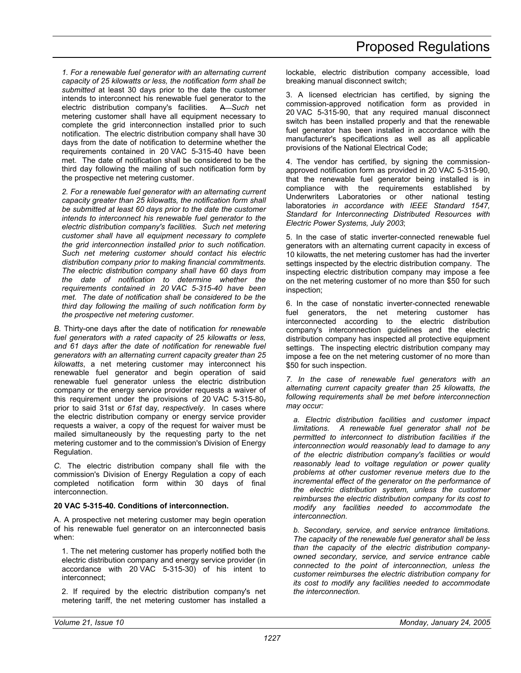*1. For a renewable fuel generator with an alternating current capacity of 25 kilowatts or less, the notification form shall be submitted* at least 30 days prior to the date the customer intends to interconnect his renewable fuel generator to the electric distribution company's facilities. A *Such* net metering customer shall have all equipment necessary to complete the grid interconnection installed prior to such notification. The electric distribution company shall have 30 days from the date of notification to determine whether the requirements contained in 20 VAC 5-315-40 have been met. The date of notification shall be considered to be the third day following the mailing of such notification form by the prospective net metering customer.

*2. For a renewable fuel generator with an alternating current capacity greater than 25 kilowatts, the notification form shall be submitted at least 60 days prior to the date the customer intends to interconnect his renewable fuel generator to the electric distribution company's facilities. Such net metering customer shall have all equipment necessary to complete the grid interconnection installed prior to such notification. Such net metering customer should contact his electric distribution company prior to making financial commitments. The electric distribution company shall have 60 days from the date of notification to determine whether the requirements contained in 20 VAC 5-315-40 have been met. The date of notification shall be considered to be the third day following the mailing of such notification form by the prospective net metering customer.* 

*B.* Thirty-one days after the date of notification *for renewable fuel generators with a rated capacity of 25 kilowatts or less, and 61 days after the date of notification for renewable fuel generators with an alternating current capacity greater than 25 kilowatts*, a net metering customer may interconnect his renewable fuel generator and begin operation of said renewable fuel generator unless the electric distribution company or the energy service provider requests a waiver of this requirement under the provisions of 20 VAC 5-315-80, prior to said 31st *or 61st* day*, respectively*. In cases where the electric distribution company or energy service provider requests a waiver, a copy of the request for waiver must be mailed simultaneously by the requesting party to the net metering customer and to the commission's Division of Energy Regulation.

*C.* The electric distribution company shall file with the commission's Division of Energy Regulation a copy of each completed notification form within 30 days of final interconnection.

#### **20 VAC 5-315-40. Conditions of interconnection.**

A. A prospective net metering customer may begin operation of his renewable fuel generator on an interconnected basis when:

1. The net metering customer has properly notified both the electric distribution company and energy service provider (in accordance with 20 VAC 5-315-30) of his intent to interconnect;

2. If required by the electric distribution company's net metering tariff, the net metering customer has installed a

lockable, electric distribution company accessible, load breaking manual disconnect switch;

3. A licensed electrician has certified, by signing the commission-approved notification form as provided in 20 VAC 5-315-90, that any required manual disconnect switch has been installed properly and that the renewable fuel generator has been installed in accordance with the manufacturer's specifications as well as all applicable provisions of the National Electrical Code;

4. The vendor has certified, by signing the commissionapproved notification form as provided in 20 VAC 5-315-90, that the renewable fuel generator being installed is in compliance with the requirements established by Underwriters Laboratories or other national testing laboratories *in accordance with IEEE Standard 1547, Standard for Interconnecting Distributed Resources with Electric Power Systems, July 2003*;

5. In the case of static inverter-connected renewable fuel generators with an alternating current capacity in excess of 10 kilowatts, the net metering customer has had the inverter settings inspected by the electric distribution company. The inspecting electric distribution company may impose a fee on the net metering customer of no more than \$50 for such inspection;

6. In the case of nonstatic inverter-connected renewable fuel generators, the net metering customer has interconnected according to the electric distribution company's interconnection guidelines and the electric distribution company has inspected all protective equipment settings. The inspecting electric distribution company may impose a fee on the net metering customer of no more than \$50 for such inspection.

*7. In the case of renewable fuel generators with an alternating current capacity greater than 25 kilowatts, the following requirements shall be met before interconnection may occur:* 

*a. Electric distribution facilities and customer impact limitations. A renewable fuel generator shall not be permitted to interconnect to distribution facilities if the interconnection would reasonably lead to damage to any of the electric distribution company's facilities or would reasonably lead to voltage regulation or power quality problems at other customer revenue meters due to the incremental effect of the generator on the performance of the electric distribution system, unless the customer reimburses the electric distribution company for its cost to modify any facilities needed to accommodate the interconnection.* 

*b. Secondary, service, and service entrance limitations. The capacity of the renewable fuel generator shall be less than the capacity of the electric distribution companyowned secondary, service, and service entrance cable connected to the point of interconnection, unless the customer reimburses the electric distribution company for its cost to modify any facilities needed to accommodate the interconnection.*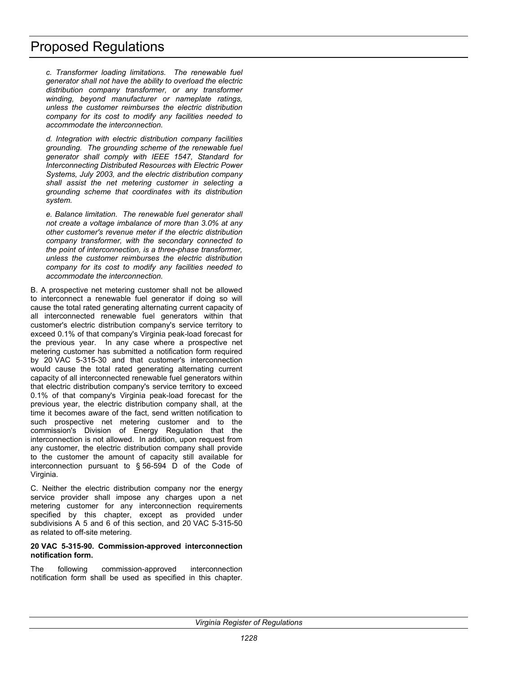*c. Transformer loading limitations. The renewable fuel generator shall not have the ability to overload the electric distribution company transformer, or any transformer winding, beyond manufacturer or nameplate ratings, unless the customer reimburses the electric distribution company for its cost to modify any facilities needed to accommodate the interconnection.* 

*d. Integration with electric distribution company facilities grounding. The grounding scheme of the renewable fuel generator shall comply with IEEE 1547, Standard for Interconnecting Distributed Resources with Electric Power Systems, July 2003, and the electric distribution company shall assist the net metering customer in selecting a grounding scheme that coordinates with its distribution system.* 

*e. Balance limitation. The renewable fuel generator shall not create a voltage imbalance of more than 3.0% at any other customer's revenue meter if the electric distribution company transformer, with the secondary connected to the point of interconnection, is a three-phase transformer, unless the customer reimburses the electric distribution company for its cost to modify any facilities needed to accommodate the interconnection.* 

B. A prospective net metering customer shall not be allowed to interconnect a renewable fuel generator if doing so will cause the total rated generating alternating current capacity of all interconnected renewable fuel generators within that customer's electric distribution company's service territory to exceed 0.1% of that company's Virginia peak-load forecast for the previous year. In any case where a prospective net metering customer has submitted a notification form required by 20 VAC 5-315-30 and that customer's interconnection would cause the total rated generating alternating current capacity of all interconnected renewable fuel generators within that electric distribution company's service territory to exceed 0.1% of that company's Virginia peak-load forecast for the previous year, the electric distribution company shall, at the time it becomes aware of the fact, send written notification to such prospective net metering customer and to the commission's Division of Energy Regulation that the interconnection is not allowed. In addition, upon request from any customer, the electric distribution company shall provide to the customer the amount of capacity still available for interconnection pursuant to § 56-594 D of the Code of Virginia.

C. Neither the electric distribution company nor the energy service provider shall impose any charges upon a net metering customer for any interconnection requirements specified by this chapter, except as provided under subdivisions A 5 and 6 of this section, and 20 VAC 5-315-50 as related to off-site metering.

#### **20 VAC 5-315-90. Commission-approved interconnection notification form.**

The following commission-approved interconnection notification form shall be used as specified in this chapter.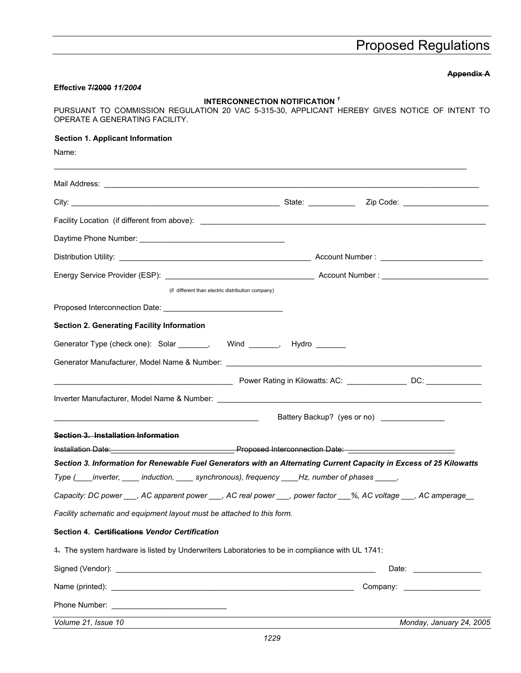# **Appendix A**

#### **Effective 7/2000** *11/2004*

# **INTERCONNECTION NOTIFICATION** *<sup>1</sup>*

PURSUANT TO COMMISSION REGULATION 20 VAC 5-315-30, APPLICANT HEREBY GIVES NOTICE OF INTENT TO OPERATE A GENERATING FACILITY.

# **Section 1. Applicant Information**

Name:

| (if different than electric distribution company)                                                                        |                                              |
|--------------------------------------------------------------------------------------------------------------------------|----------------------------------------------|
| Proposed Interconnection Date: National Assembly Proposed Interconnection Date:                                          |                                              |
| <b>Section 2. Generating Facility Information</b>                                                                        |                                              |
| Generator Type (check one): Solar _______, Wind ______, Hydro _______                                                    |                                              |
|                                                                                                                          |                                              |
|                                                                                                                          |                                              |
|                                                                                                                          |                                              |
|                                                                                                                          | Battery Backup? (yes or no) ________________ |
| Section 3. Installation Information                                                                                      |                                              |
| <u>Installation Date:</u> No. 2016. The Proposed Interconnection Date: No. 2016. No. 2016. The Second Line of American C |                                              |
| Section 3. Information for Renewable Fuel Generators with an Alternating Current Capacity in Excess of 25 Kilowatts      |                                              |
| Type (____inverter, _____ induction, _____ synchronous), frequency ____Hz, number of phases _____,                       |                                              |
| Capacity: DC power ___, AC apparent power ___, AC real power ___, power factor ___%, AC voltage ___, AC amperage__       |                                              |
| Facility schematic and equipment layout must be attached to this form.                                                   |                                              |
| Section 4. Certifications Vendor Certification                                                                           |                                              |
| 4. The system hardware is listed by Underwriters Laboratories to be in compliance with UL 1741:                          |                                              |
|                                                                                                                          |                                              |
|                                                                                                                          |                                              |
|                                                                                                                          |                                              |
|                                                                                                                          |                                              |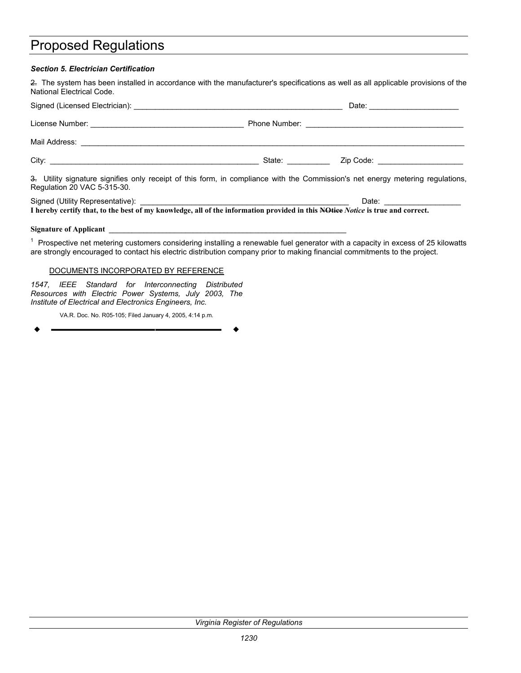### *Section 5. Electrician Certification*

2. The system has been installed in accordance with the manufacturer's specifications as well as all applicable provisions of the National Electrical Code.

|                                                                                                                                                               |                                                                                                                 | Date: ________________________    |  |  |
|---------------------------------------------------------------------------------------------------------------------------------------------------------------|-----------------------------------------------------------------------------------------------------------------|-----------------------------------|--|--|
|                                                                                                                                                               |                                                                                                                 |                                   |  |  |
|                                                                                                                                                               |                                                                                                                 |                                   |  |  |
|                                                                                                                                                               | State: and the state of the state of the state of the state of the state of the state of the state of the state | Zip Code: _______________________ |  |  |
| 3. Utility signature signifies only receipt of this form, in compliance with the Commission's net energy metering regulations,<br>Regulation 20 VAC 5-315-30. |                                                                                                                 |                                   |  |  |
|                                                                                                                                                               |                                                                                                                 | Date: ___________________         |  |  |

**I hereby certify that, to the best of my knowledge, all of the information provided in this NOtice** *Notice* **is true and correct.** 

#### Signature of Applicant

<sup>1</sup> Prospective net metering customers considering installing a renewable fuel generator with a capacity in excess of 25 kilowatts are strongly encouraged to contact his electric distribution company prior to making financial commitments to the project.

#### DOCUMENTS INCORPORATED BY REFERENCE

*1547, IEEE Standard for Interconnecting Distributed Resources with Electric Power Systems, July 2003, The Institute of Electrical and Electronics Engineers, Inc.* 

VA.R. Doc. No. R05-105; Filed January 4, 2005, 4:14 p.m.

**––––––––––––––––––**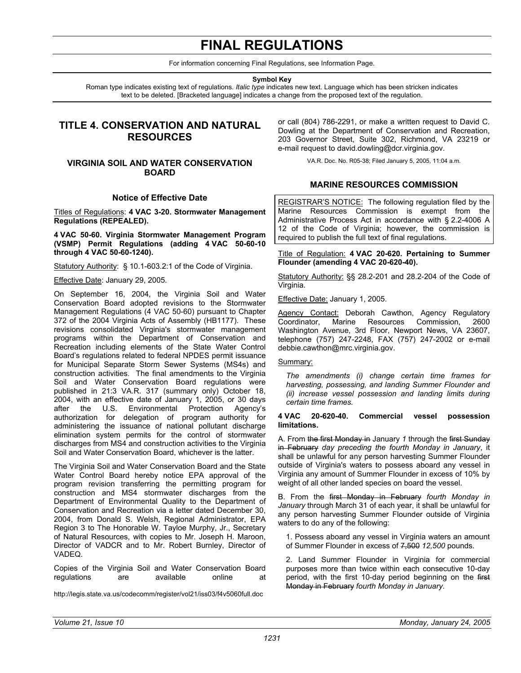# **FINAL REGULATIONS**

For information concerning Final Regulations, see Information Page.

**Symbol Key** 

<span id="page-30-0"></span>Roman type indicates existing text of regulations. *Italic type* indicates new text. Language which has been stricken indicates text to be deleted. [Bracketed language] indicates a change from the proposed text of the regulation.

# **TITLE 4. CONSERVATION AND NATURAL RESOURCES**

# **VIRGINIA SOIL AND WATER CONSERVATION BOARD**

#### **Notice of Effective Date**

Titles of Regulations: **4 VAC 3-20. Stormwater Management Regulations (REPEALED).** 

**4 VAC 50-60. Virginia Stormwater Management Program (VSMP) Permit Regulations (adding 4 VAC 50-60-10 through 4 VAC 50-60-1240).** 

Statutory Authority: § 10.1-603.2:1 of the Code of Virginia.

Effective Date: January 29, 2005.

On September 16, 2004, the Virginia Soil and Water Conservation Board adopted revisions to the Stormwater Management Regulations (4 VAC 50-60) pursuant to Chapter 372 of the 2004 Virginia Acts of Assembly (HB1177). These revisions consolidated Virginia's stormwater management programs within the Department of Conservation and Recreation including elements of the State Water Control Board's regulations related to federal NPDES permit issuance for Municipal Separate Storm Sewer Systems (MS4s) and construction activities. The final amendments to the Virginia Soil and Water Conservation Board regulations were published in 21:3 VA.R. 317 (summary only) October 18, 2004, with an effective date of January 1, 2005, or 30 days after the U.S. Environmental Protection Agency's authorization for delegation of program authority for administering the issuance of national pollutant discharge elimination system permits for the control of stormwater discharges from MS4 and construction activities to the Virginia Soil and Water Conservation Board, whichever is the latter.

The Virginia Soil and Water Conservation Board and the State Water Control Board hereby notice EPA approval of the program revision transferring the permitting program for construction and MS4 stormwater discharges from the Department of Environmental Quality to the Department of Conservation and Recreation via a letter dated December 30, 2004, from Donald S. Welsh, Regional Administrator, EPA Region 3 to The Honorable W. Tayloe Murphy, Jr., Secretary of Natural Resources, with copies to Mr. Joseph H. Maroon, Director of VADCR and to Mr. Robert Burnley, Director of VADEQ.

Copies of the Virginia Soil and Water Conservation Board regulations are available online at

http://legis.state.va.us/codecomm/register/vol21/iss03/f4v5060full.doc

or call (804) 786-2291, or make a written request to David C. Dowling at the Department of Conservation and Recreation, 203 Governor Street, Suite 302, Richmond, VA 23219 or e-mail request to david.dowling@dcr.virginia.gov.

VA.R. Doc. No. R05-38; Filed January 5, 2005, 11:04 a.m.

## **MARINE RESOURCES COMMISSION**

REGISTRAR'S NOTICE: The following regulation filed by the Marine Resources Commission is exempt from the Administrative Process Act in accordance with § 2.2-4006 A 12 of the Code of Virginia; however, the commission is required to publish the full text of final regulations.

Title of Regulation: **4 VAC 20-620. Pertaining to Summer Flounder (amending 4 VAC 20-620-40).** 

Statutory Authority: §§ 28.2-201 and 28.2-204 of the Code of Virginia.

Effective Date: January 1, 2005.

Agency Contact: Deborah Cawthon, Agency Regulatory<br>Coordinator. Marine Resources Commission. 2600 Coordinator, Marine Resources Commission, 2600 Washington Avenue, 3rd Floor, Newport News, VA 23607, telephone (757) 247-2248, FAX (757) 247-2002 or e-mail debbie.cawthon@mrc.virginia.gov.

#### Summary:

*The amendments (i) change certain time frames for harvesting, possessing, and landing Summer Flounder and (ii) increase vessel possession and landing limits during certain time frames.* 

#### **4 VAC 20-620-40. Commercial vessel possession limitations.**

A. From the first Monday in January *1* through the first Sunday in February *day preceding the fourth Monday in January*, it shall be unlawful for any person harvesting Summer Flounder outside of Virginia's waters to possess aboard any vessel in Virginia any amount of Summer Flounder in excess of 10% by weight of all other landed species on board the vessel.

B. From the first Monday in February *fourth Monday in January* through March 31 of each year, it shall be unlawful for any person harvesting Summer Flounder outside of Virginia waters to do any of the following:

1. Possess aboard any vessel in Virginia waters an amount of Summer Flounder in excess of 7,500 *12,500* pounds.

2. Land Summer Flounder in Virginia for commercial purposes more than twice within each consecutive 10-day period, with the first 10-day period beginning on the first Monday in February *fourth Monday in January*.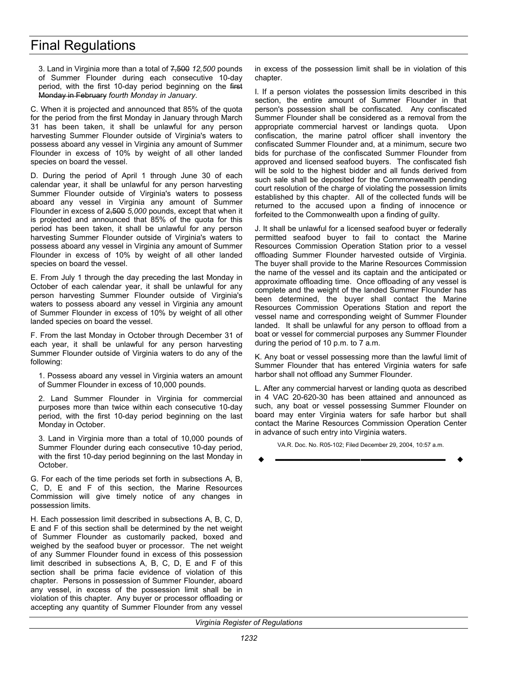# Final Regulations

3. Land in Virginia more than a total of 7,500 *12,500* pounds of Summer Flounder during each consecutive 10-day period, with the first 10-day period beginning on the first Monday in February *fourth Monday in January*.

C. When it is projected and announced that 85% of the quota for the period from the first Monday in January through March 31 has been taken, it shall be unlawful for any person harvesting Summer Flounder outside of Virginia's waters to possess aboard any vessel in Virginia any amount of Summer Flounder in excess of 10% by weight of all other landed species on board the vessel.

D. During the period of April 1 through June 30 of each calendar year, it shall be unlawful for any person harvesting Summer Flounder outside of Virginia's waters to possess aboard any vessel in Virginia any amount of Summer Flounder in excess of 2,500 *5,000* pounds, except that when it is projected and announced that 85% of the quota for this period has been taken, it shall be unlawful for any person harvesting Summer Flounder outside of Virginia's waters to possess aboard any vessel in Virginia any amount of Summer Flounder in excess of 10% by weight of all other landed species on board the vessel.

E. From July 1 through the day preceding the last Monday in October of each calendar year, it shall be unlawful for any person harvesting Summer Flounder outside of Virginia's waters to possess aboard any vessel in Virginia any amount of Summer Flounder in excess of 10% by weight of all other landed species on board the vessel.

F. From the last Monday in October through December 31 of each year, it shall be unlawful for any person harvesting Summer Flounder outside of Virginia waters to do any of the following:

1. Possess aboard any vessel in Virginia waters an amount of Summer Flounder in excess of 10,000 pounds.

2. Land Summer Flounder in Virginia for commercial purposes more than twice within each consecutive 10-day period, with the first 10-day period beginning on the last Monday in October.

3. Land in Virginia more than a total of 10,000 pounds of Summer Flounder during each consecutive 10-day period, with the first 10-day period beginning on the last Monday in October.

G. For each of the time periods set forth in subsections A, B, C, D, E and F of this section, the Marine Resources Commission will give timely notice of any changes in possession limits.

H. Each possession limit described in subsections A, B, C, D, E and F of this section shall be determined by the net weight of Summer Flounder as customarily packed, boxed and weighed by the seafood buyer or processor. The net weight of any Summer Flounder found in excess of this possession limit described in subsections A, B, C, D, E and F of this section shall be prima facie evidence of violation of this chapter. Persons in possession of Summer Flounder, aboard any vessel, in excess of the possession limit shall be in violation of this chapter. Any buyer or processor offloading or accepting any quantity of Summer Flounder from any vessel

in excess of the possession limit shall be in violation of this chapter.

I. If a person violates the possession limits described in this section, the entire amount of Summer Flounder in that person's possession shall be confiscated. Any confiscated Summer Flounder shall be considered as a removal from the appropriate commercial harvest or landings quota. Upon confiscation, the marine patrol officer shall inventory the confiscated Summer Flounder and, at a minimum, secure two bids for purchase of the confiscated Summer Flounder from approved and licensed seafood buyers. The confiscated fish will be sold to the highest bidder and all funds derived from such sale shall be deposited for the Commonwealth pending court resolution of the charge of violating the possession limits established by this chapter. All of the collected funds will be returned to the accused upon a finding of innocence or forfeited to the Commonwealth upon a finding of guilty.

J. It shall be unlawful for a licensed seafood buyer or federally permitted seafood buyer to fail to contact the Marine Resources Commission Operation Station prior to a vessel offloading Summer Flounder harvested outside of Virginia. The buyer shall provide to the Marine Resources Commission the name of the vessel and its captain and the anticipated or approximate offloading time. Once offloading of any vessel is complete and the weight of the landed Summer Flounder has been determined, the buyer shall contact the Marine Resources Commission Operations Station and report the vessel name and corresponding weight of Summer Flounder landed. It shall be unlawful for any person to offload from a boat or vessel for commercial purposes any Summer Flounder during the period of 10 p.m. to 7 a.m.

K. Any boat or vessel possessing more than the lawful limit of Summer Flounder that has entered Virginia waters for safe harbor shall not offload any Summer Flounder.

L. After any commercial harvest or landing quota as described in 4 VAC 20-620-30 has been attained and announced as such, any boat or vessel possessing Summer Flounder on board may enter Virginia waters for safe harbor but shall contact the Marine Resources Commission Operation Center in advance of such entry into Virginia waters.

VA.R. Doc. No. R05-102; Filed December 29, 2004, 10:57 a.m. **––––––––––––––––––**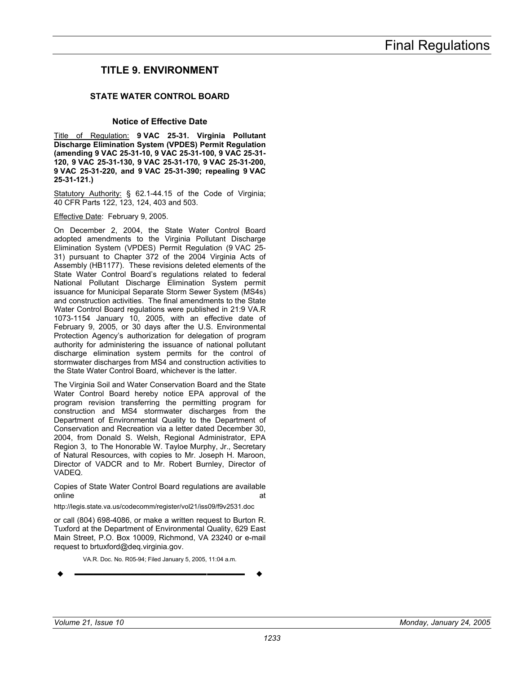# <span id="page-32-0"></span>**TITLE 9. ENVIRONMENT**

## **STATE WATER CONTROL BOARD**

#### **Notice of Effective Date**

Title of Regulation: **9 VAC 25-31. Virginia Pollutant Discharge Elimination System (VPDES) Permit Regulation (amending 9 VAC 25-31-10, 9 VAC 25-31-100, 9 VAC 25-31- 120, 9 VAC 25-31-130, 9 VAC 25-31-170, 9 VAC 25-31-200, 9 VAC 25-31-220, and 9 VAC 25-31-390; repealing 9 VAC 25-31-121.)** 

Statutory Authority: § 62.1-44.15 of the Code of Virginia; 40 CFR Parts 122, 123, 124, 403 and 503.

Effective Date: February 9, 2005.

On December 2, 2004, the State Water Control Board adopted amendments to the Virginia Pollutant Discharge Elimination System (VPDES) Permit Regulation (9 VAC 25- 31) pursuant to Chapter 372 of the 2004 Virginia Acts of Assembly (HB1177). These revisions deleted elements of the State Water Control Board's regulations related to federal National Pollutant Discharge Elimination System permit issuance for Municipal Separate Storm Sewer System (MS4s) and construction activities. The final amendments to the State Water Control Board regulations were published in 21:9 VA.R 1073-1154 January 10, 2005, with an effective date of February 9, 2005, or 30 days after the U.S. Environmental Protection Agency's authorization for delegation of program authority for administering the issuance of national pollutant discharge elimination system permits for the control of stormwater discharges from MS4 and construction activities to the State Water Control Board, whichever is the latter.

The Virginia Soil and Water Conservation Board and the State Water Control Board hereby notice EPA approval of the program revision transferring the permitting program for construction and MS4 stormwater discharges from the Department of Environmental Quality to the Department of Conservation and Recreation via a letter dated December 30, 2004, from Donald S. Welsh, Regional Administrator, EPA Region 3, to The Honorable W. Tayloe Murphy, Jr., Secretary of Natural Resources, with copies to Mr. Joseph H. Maroon, Director of VADCR and to Mr. Robert Burnley, Director of VADEQ.

Copies of State Water Control Board regulations are available online at a state of the state of the state  $\alpha$ 

http://legis.state.va.us/codecomm/register/vol21/iss09/f9v2531.doc

or call (804) 698-4086, or make a written request to Burton R. Tuxford at the Department of Environmental Quality, 629 East Main Street, P.O. Box 10009, Richmond, VA 23240 or e-mail request to brtuxford@deq.virginia.gov.

VA.R. Doc. No. R05-94; Filed January 5, 2005, 11:04 a.m.

$$
\bullet
$$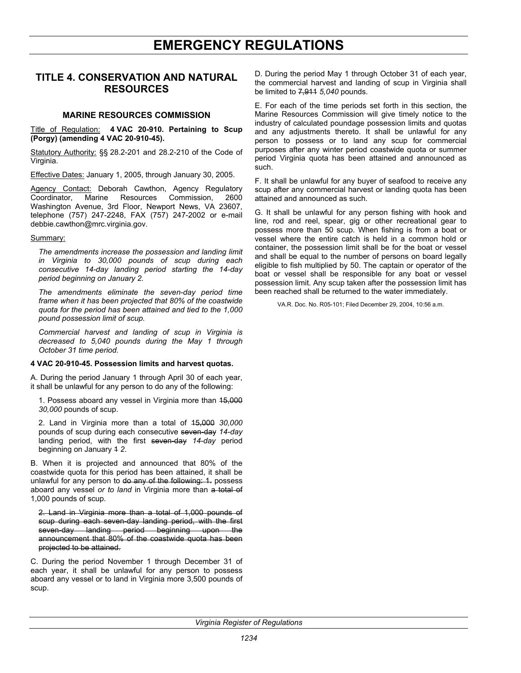# **EMERGENCY REGULATIONS**

# <span id="page-33-0"></span>**TITLE 4. CONSERVATION AND NATURAL RESOURCES**

#### **MARINE RESOURCES COMMISSION**

Title of Regulation: **4 VAC 20-910. Pertaining to Scup (Porgy) (amending 4 VAC 20-910-45).** 

Statutory Authority: §§ 28.2-201 and 28.2-210 of the Code of Virginia.

Effective Dates: January 1, 2005, through January 30, 2005.

Agency Contact: Deborah Cawthon, Agency Regulatory Coordinator, Marine Resources Commission, 2600 Washington Avenue, 3rd Floor, Newport News, VA 23607, telephone (757) 247-2248, FAX (757) 247-2002 or e-mail debbie.cawthon@mrc.virginia.gov.

#### Summary:

*The amendments increase the possession and landing limit in Virginia to 30,000 pounds of scup during each consecutive 14-day landing period starting the 14-day period beginning on January 2.* 

*The amendments eliminate the seven-day period time frame when it has been projected that 80% of the coastwide quota for the period has been attained and tied to the 1,000 pound possession limit of scup.* 

*Commercial harvest and landing of scup in Virginia is decreased to 5,040 pounds during the May 1 through October 31 time period.* 

#### **4 VAC 20-910-45. Possession limits and harvest quotas.**

A. During the period January 1 through April 30 of each year, it shall be unlawful for any person to do any of the following:

1. Possess aboard any vessel in Virginia more than 15,000 *30,000* pounds of scup.

2. Land in Virginia more than a total of 15,000 *30,000* pounds of scup during each consecutive seven-day *14-day* landing period, with the first seven-day *14-day* period beginning on January 4 2.

B. When it is projected and announced that 80% of the coastwide quota for this period has been attained, it shall be unlawful for any person to do any of the following: 1. possess aboard any vessel *or to land* in Virginia more than a total of 1,000 pounds of scup.

2. Land in Virginia more than a total of 1,000 pounds of scup during each seven-day landing period, with the first seven-day landing period beginning upon the announcement that 80% of the coastwide quota has been projected to be attained.

C. During the period November 1 through December 31 of each vear, it shall be unlawful for any person to possess aboard any vessel or to land in Virginia more 3,500 pounds of scup.

D. During the period May 1 through October 31 of each year, the commercial harvest and landing of scup in Virginia shall be limited to 7,911 *5,040* pounds.

E. For each of the time periods set forth in this section, the Marine Resources Commission will give timely notice to the industry of calculated poundage possession limits and quotas and any adjustments thereto. It shall be unlawful for any person to possess or to land any scup for commercial purposes after any winter period coastwide quota or summer period Virginia quota has been attained and announced as such.

F. It shall be unlawful for any buyer of seafood to receive any scup after any commercial harvest or landing quota has been attained and announced as such.

G. It shall be unlawful for any person fishing with hook and line, rod and reel, spear, gig or other recreational gear to possess more than 50 scup. When fishing is from a boat or vessel where the entire catch is held in a common hold or container, the possession limit shall be for the boat or vessel and shall be equal to the number of persons on board legally eligible to fish multiplied by 50. The captain or operator of the boat or vessel shall be responsible for any boat or vessel possession limit. Any scup taken after the possession limit has been reached shall be returned to the water immediately.

VA.R. Doc. No. R05-101; Filed December 29, 2004, 10:56 a.m.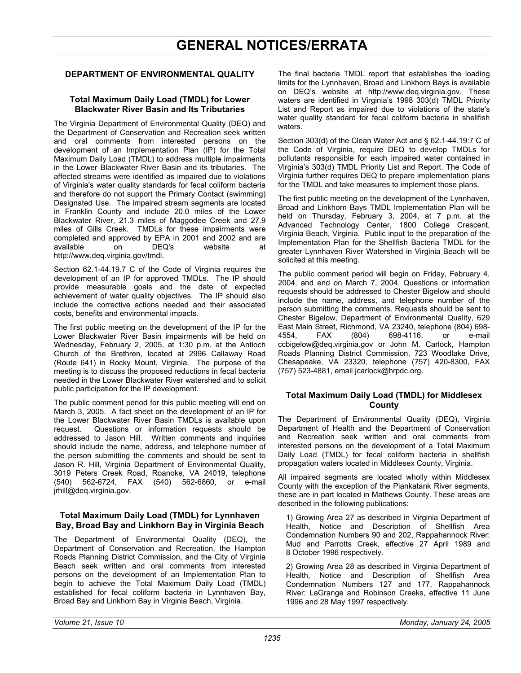# **GENERAL NOTICES/ERRATA**

## <span id="page-34-0"></span>**DEPARTMENT OF ENVIRONMENTAL QUALITY**

#### **Total Maximum Daily Load (TMDL) for Lower Blackwater River Basin and Its Tributaries**

The Virginia Department of Environmental Quality (DEQ) and the Department of Conservation and Recreation seek written and oral comments from interested persons on the development of an Implementation Plan (IP) for the Total Maximum Daily Load (TMDL) to address multiple impairments in the Lower Blackwater River Basin and its tributaries. The affected streams were identified as impaired due to violations of Virginia's water quality standards for fecal coliform bacteria and therefore do not support the Primary Contact (swimming) Designated Use. The impaired stream segments are located in Franklin County and include 20.0 miles of the Lower Blackwater River, 21.3 miles of Maggodee Creek and 27.9 miles of Gills Creek. TMDLs for these impairments were completed and approved by EPA in 2001 and 2002 and are available on DEQ's website at http://www.deq.virginia.gov/tmdl.

Section 62.1-44.19.7 C of the Code of Virginia requires the development of an IP for approved TMDLs. The IP should provide measurable goals and the date of expected achievement of water quality objectives. The IP should also include the corrective actions needed and their associated costs, benefits and environmental impacts.

The first public meeting on the development of the IP for the Lower Blackwater River Basin impairments will be held on Wednesday, February 2, 2005, at 1:30 p.m. at the Antioch Church of the Brethren, located at 2996 Callaway Road (Route 641) in Rocky Mount, Virginia. The purpose of the meeting is to discuss the proposed reductions in fecal bacteria needed in the Lower Blackwater River watershed and to solicit public participation for the IP development.

The public comment period for this public meeting will end on March 3, 2005. A fact sheet on the development of an IP for the Lower Blackwater River Basin TMDLs is available upon request. Questions or information requests should be addressed to Jason Hill. Written comments and inquiries should include the name, address, and telephone number of the person submitting the comments and should be sent to Jason R. Hill, Virginia Department of Environmental Quality, 3019 Peters Creek Road, Roanoke, VA 24019, telephone (540) 562-6724, FAX (540) 562-6860, or e-mail jrhill@deq.virginia.gov.

### **Total Maximum Daily Load (TMDL) for Lynnhaven Bay, Broad Bay and Linkhorn Bay in Virginia Beach**

The Department of Environmental Quality (DEQ), the Department of Conservation and Recreation, the Hampton Roads Planning District Commission, and the City of Virginia Beach seek written and oral comments from interested persons on the development of an Implementation Plan to begin to achieve the Total Maximum Daily Load (TMDL) established for fecal coliform bacteria in Lynnhaven Bay, Broad Bay and Linkhorn Bay in Virginia Beach, Virginia.

The final bacteria TMDL report that establishes the loading limits for the Lynnhaven, Broad and Linkhorn Bays is available on DEQ's website at http://www.deq.virginia.gov. These waters are identified in Virginia's 1998 303(d) TMDL Priority List and Report as impaired due to violations of the state's water quality standard for fecal coliform bacteria in shellfish waters.

Section 303(d) of the Clean Water Act and § 62.1-44.19:7 C of the Code of Virginia, require DEQ to develop TMDLs for pollutants responsible for each impaired water contained in Virginia's 303(d) TMDL Priority List and Report. The Code of Virginia further requires DEQ to prepare implementation plans for the TMDL and take measures to implement those plans.

The first public meeting on the development of the Lynnhaven, Broad and Linkhorn Bays TMDL Implementation Plan will be held on Thursday, February 3, 2004, at 7 p.m. at the Advanced Technology Center, 1800 College Crescent, Virginia Beach, Virginia. Public input to the preparation of the Implementation Plan for the Shellfish Bacteria TMDL for the greater Lynnhaven River Watershed in Virginia Beach will be solicited at this meeting.

The public comment period will begin on Friday, February 4, 2004, and end on March 7, 2004. Questions or information requests should be addressed to Chester Bigelow and should include the name, address, and telephone number of the person submitting the comments. Requests should be sent to Chester Bigelow, Department of Environmental Quality, 629 East Main Street, Richmond, VA 23240, telephone (804) 698- 4554, FAX (804) 698-4116, or e-mail ccbigelow@deq.virginia.gov or John M. Carlock, Hampton Roads Planning District Commission, 723 Woodlake Drive, Chesapeake, VA 23320, telephone (757) 420-8300, FAX (757) 523-4881, email jcarlock@hrpdc.org.

### **Total Maximum Daily Load (TMDL) for Middlesex County**

The Department of Environmental Quality (DEQ), Virginia Department of Health and the Department of Conservation and Recreation seek written and oral comments from interested persons on the development of a Total Maximum Daily Load (TMDL) for fecal coliform bacteria in shellfish propagation waters located in Middlesex County, Virginia.

All impaired segments are located wholly within Middlesex County with the exception of the Piankatank River segments, these are in part located in Mathews County. These areas are described in the following publications:

1) Growing Area 27 as described in Virginia Department of Health, Notice and Description of Shellfish Area Condemnation Numbers 90 and 202, Rappahannock River: Mud and Parrotts Creek, effective 27 April 1989 and 8 October 1996 respectively.

2) Growing Area 28 as described in Virginia Department of Health, Notice and Description of Shellfish Area Condemnation Numbers 127 and 177, Rappahannock River: LaGrange and Robinson Creeks, effective 11 June 1996 and 28 May 1997 respectively.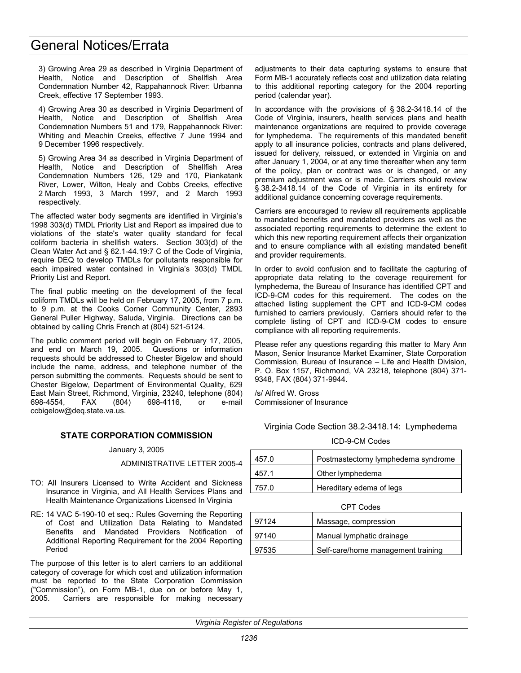# <span id="page-35-0"></span>General Notices/Errata

3) Growing Area 29 as described in Virginia Department of Health, Notice and Description of Shellfish Area Condemnation Number 42, Rappahannock River: Urbanna Creek, effective 17 September 1993.

4) Growing Area 30 as described in Virginia Department of Health, Notice and Description of Shellfish Area Condemnation Numbers 51 and 179, Rappahannock River: Whiting and Meachin Creeks, effective 7 June 1994 and 9 December 1996 respectively.

5) Growing Area 34 as described in Virginia Department of Health, Notice and Description of Shellfish Area Condemnation Numbers 126, 129 and 170, Piankatank River, Lower, Wilton, Healy and Cobbs Creeks, effective 2 March 1993, 3 March 1997, and 2 March 1993 respectively.

The affected water body segments are identified in Virginia's 1998 303(d) TMDL Priority List and Report as impaired due to violations of the state's water quality standard for fecal coliform bacteria in shellfish waters. Section 303(d) of the Clean Water Act and § 62.1-44.19:7 C of the Code of Virginia, require DEQ to develop TMDLs for pollutants responsible for each impaired water contained in Virginia's 303(d) TMDL Priority List and Report.

The final public meeting on the development of the fecal coliform TMDLs will be held on February 17, 2005, from 7 p.m. to 9 p.m. at the Cooks Corner Community Center, 2893 General Puller Highway, Saluda, Virginia. Directions can be obtained by calling Chris French at (804) 521-5124.

The public comment period will begin on February 17, 2005, and end on March 19, 2005. Questions or information requests should be addressed to Chester Bigelow and should include the name, address, and telephone number of the person submitting the comments. Requests should be sent to Chester Bigelow, Department of Environmental Quality, 629 East Main Street, Richmond, Virginia, 23240, telephone (804) 698-4554, FAX (804) 698-4116, or e-mail ccbigelow@deq.state.va.us.

# **STATE CORPORATION COMMISSION**

#### January 3, 2005

ADMINISTRATIVE LETTER 2005-4

- TO: All Insurers Licensed to Write Accident and Sickness Insurance in Virginia, and All Health Services Plans and Health Maintenance Organizations Licensed In Virginia
- RE: 14 VAC 5-190-10 et seq.: Rules Governing the Reporting of Cost and Utilization Data Relating to Mandated Benefits and Mandated Providers Notification of Additional Reporting Requirement for the 2004 Reporting Period

The purpose of this letter is to alert carriers to an additional category of coverage for which cost and utilization information must be reported to the State Corporation Commission ("Commission"), on Form MB-1, due on or before May 1, 2005. Carriers are responsible for making necessary

adjustments to their data capturing systems to ensure that Form MB-1 accurately reflects cost and utilization data relating to this additional reporting category for the 2004 reporting period (calendar year).

In accordance with the provisions of § 38.2-3418.14 of the Code of Virginia, insurers, health services plans and health maintenance organizations are required to provide coverage for lymphedema. The requirements of this mandated benefit apply to all insurance policies, contracts and plans delivered, issued for delivery, reissued, or extended in Virginia on and after January 1, 2004, or at any time thereafter when any term of the policy, plan or contract was or is changed, or any premium adjustment was or is made. Carriers should review § 38.2-3418.14 of the Code of Virginia in its entirety for additional guidance concerning coverage requirements.

Carriers are encouraged to review all requirements applicable to mandated benefits and mandated providers as well as the associated reporting requirements to determine the extent to which this new reporting requirement affects their organization and to ensure compliance with all existing mandated benefit and provider requirements.

In order to avoid confusion and to facilitate the capturing of appropriate data relating to the coverage requirement for lymphedema, the Bureau of Insurance has identified CPT and ICD-9-CM codes for this requirement. The codes on the attached listing supplement the CPT and ICD-9-CM codes furnished to carriers previously. Carriers should refer to the complete listing of CPT and ICD-9-CM codes to ensure compliance with all reporting requirements.

Please refer any questions regarding this matter to Mary Ann Mason, Senior Insurance Market Examiner, State Corporation Commission, Bureau of Insurance – Life and Health Division, P. O. Box 1157, Richmond, VA 23218, telephone (804) 371- 9348, FAX (804) 371-9944.

/s/ Alfred W. Gross Commissioner of Insurance

Virginia Code Section 38.2-3418.14: Lymphedema

| 457.0 | Postmastectomy lymphedema syndrome |
|-------|------------------------------------|
| 4571  | Other lymphedema                   |
| 757 O | Hereditary edema of legs           |

CPT Codes

| 97124 | Massage, compression               |  |
|-------|------------------------------------|--|
| 97140 | Manual lymphatic drainage          |  |
| 97535 | Self-care/home management training |  |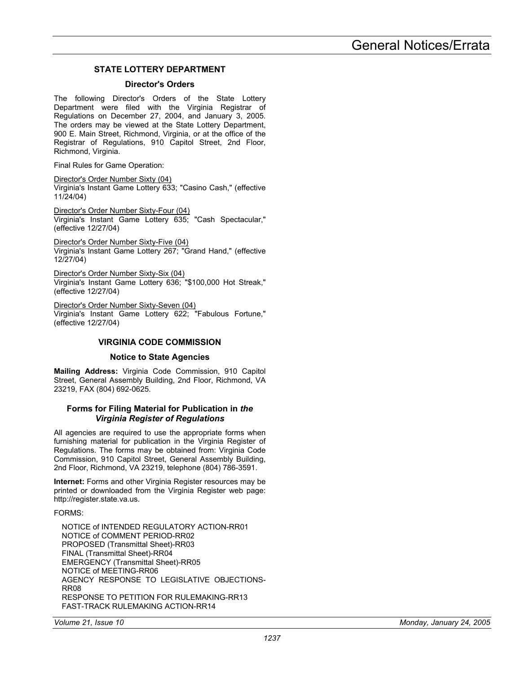# **STATE LOTTERY DEPARTMENT**

#### **Director's Orders**

<span id="page-36-0"></span>The following Director's Orders of the State Lottery Department were filed with the Virginia Registrar of Regulations on December 27, 2004, and January 3, 2005. The orders may be viewed at the State Lottery Department, 900 E. Main Street, Richmond, Virginia, or at the office of the Registrar of Regulations, 910 Capitol Street, 2nd Floor, Richmond, Virginia.

Final Rules for Game Operation:

Director's Order Number Sixty (04)

Virginia's Instant Game Lottery 633; "Casino Cash," (effective 11/24/04)

Director's Order Number Sixty-Four (04) Virginia's Instant Game Lottery 635; "Cash Spectacular," (effective 12/27/04)

Director's Order Number Sixty-Five (04) Virginia's Instant Game Lottery 267; "Grand Hand," (effective 12/27/04)

Director's Order Number Sixty-Six (04) Virginia's Instant Game Lottery 636; "\$100,000 Hot Streak," (effective 12/27/04)

Director's Order Number Sixty-Seven (04) Virginia's Instant Game Lottery 622; "Fabulous Fortune," (effective 12/27/04)

### **VIRGINIA CODE COMMISSION**

## **Notice to State Agencies**

**Mailing Address:** Virginia Code Commission, 910 Capitol Street, General Assembly Building, 2nd Floor, Richmond, VA 23219, FAX (804) 692-0625.

#### **Forms for Filing Material for Publication in** *the Virginia Register of Regulations*

All agencies are required to use the appropriate forms when furnishing material for publication in the Virginia Register of Regulations. The forms may be obtained from: Virginia Code Commission, 910 Capitol Street, General Assembly Building, 2nd Floor, Richmond, VA 23219, telephone (804) 786-3591.

**Internet:** Forms and other Virginia Register resources may be printed or downloaded from the Virginia Register web page: http://register.state.va.us.

FORMS:

NOTICE of INTENDED REGULATORY ACTION-RR01 NOTICE of COMMENT PERIOD-RR02 PROPOSED (Transmittal Sheet)-RR03 FINAL (Transmittal Sheet)-RR04 EMERGENCY (Transmittal Sheet)-RR05 NOTICE of MEETING-RR06 AGENCY RESPONSE TO LEGISLATIVE OBJECTIONS-RR08 RESPONSE TO PETITION FOR RULEMAKING-RR13 FAST-TRACK RULEMAKING ACTION-RR14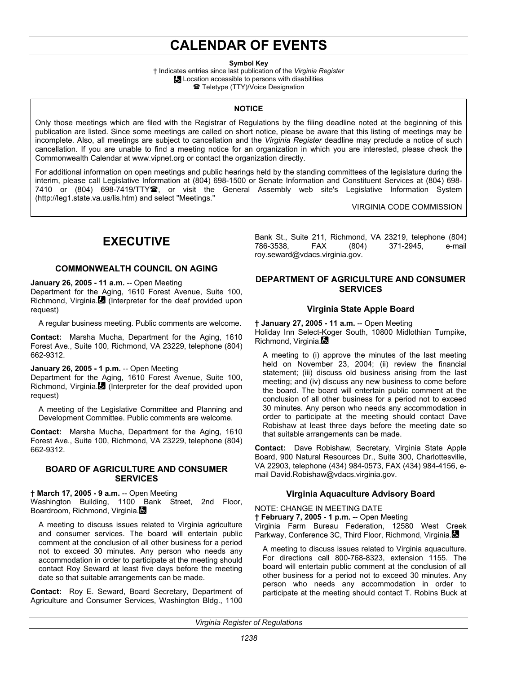# **CALENDAR OF EVENTS**

**Symbol Key** 

† Indicates entries since last publication of the *Virginia Register* **Location accessible to persons with disabilities ■ Teletype (TTY)/Voice Designation** 

#### **NOTICE**

<span id="page-37-0"></span>Only those meetings which are filed with the Registrar of Regulations by the filing deadline noted at the beginning of this publication are listed. Since some meetings are called on short notice, please be aware that this listing of meetings may be incomplete. Also, all meetings are subject to cancellation and the *Virginia Register* deadline may preclude a notice of such cancellation. If you are unable to find a meeting notice for an organization in which you are interested, please check the Commonwealth Calendar at www.vipnet.org or contact the organization directly.

For additional information on open meetings and public hearings held by the standing committees of the legislature during the interim, please call Legislative Information at (804) 698-1500 or Senate Information and Constituent Services at (804) 698- 7410 or (804) 698-7419/TTY雪, or visit the General Assembly web site's Legislative Information System (http://leg1.state.va.us/lis.htm) and select "Meetings."

VIRGINIA CODE COMMISSION

# **EXECUTIVE**

### **COMMONWEALTH COUNCIL ON AGING**

**January 26, 2005 - 11 a.m.** -- Open Meeting Department for the Aging, 1610 Forest Avenue, Suite 100, Richmond, Virginia. (Interpreter for the deaf provided upon request)

A regular business meeting. Public comments are welcome.

**Contact:** Marsha Mucha, Department for the Aging, 1610 Forest Ave., Suite 100, Richmond, VA 23229, telephone (804) 662-9312.

## **January 26, 2005 - 1 p.m.** -- Open Meeting

Department for the Aging, 1610 Forest Avenue, Suite 100, Richmond, Virginia. (Interpreter for the deaf provided upon request)

A meeting of the Legislative Committee and Planning and Development Committee. Public comments are welcome.

**Contact:** Marsha Mucha, Department for the Aging, 1610 Forest Ave., Suite 100, Richmond, VA 23229, telephone (804) 662-9312.

#### **BOARD OF AGRICULTURE AND CONSUMER SERVICES**

**† March 17, 2005 - 9 a.m.** -- Open Meeting

Washington Building, 1100 Bank Street, 2nd Floor, Boardroom, Richmond, Virginia.

A meeting to discuss issues related to Virginia agriculture and consumer services. The board will entertain public comment at the conclusion of all other business for a period not to exceed 30 minutes. Any person who needs any accommodation in order to participate at the meeting should contact Roy Seward at least five days before the meeting date so that suitable arrangements can be made.

**Contact:** Roy E. Seward, Board Secretary, Department of Agriculture and Consumer Services, Washington Bldg., 1100

Bank St., Suite 211, Richmond, VA 23219, telephone (804) 786-3538, FAX (804) 371-2945, e-mail roy.seward@vdacs.virginia.gov.

## **DEPARTMENT OF AGRICULTURE AND CONSUMER SERVICES**

### **Virginia State Apple Board**

**† January 27, 2005 - 11 a.m.** -- Open Meeting Holiday Inn Select-Koger South, 10800 Midlothian Turnpike, Richmond, Virginia.

A meeting to (i) approve the minutes of the last meeting held on November 23, 2004; (ii) review the financial statement; (iii) discuss old business arising from the last meeting; and (iv) discuss any new business to come before the board. The board will entertain public comment at the conclusion of all other business for a period not to exceed 30 minutes. Any person who needs any accommodation in order to participate at the meeting should contact Dave Robishaw at least three days before the meeting date so that suitable arrangements can be made.

**Contact:** Dave Robishaw, Secretary, Virginia State Apple Board, 900 Natural Resources Dr., Suite 300, Charlottesville, VA 22903, telephone (434) 984-0573, FAX (434) 984-4156, email David.Robishaw@vdacs.virginia.gov.

### **Virginia Aquaculture Advisory Board**

NOTE: CHANGE IN MEETING DATE

**† February 7, 2005 - 1 p.m.** -- Open Meeting Virginia Farm Bureau Federation, 12580 West Creek Parkway, Conference 3C, Third Floor, Richmond, Virginia.

A meeting to discuss issues related to Virginia aquaculture. For directions call 800-768-8323, extension 1155. The board will entertain public comment at the conclusion of all other business for a period not to exceed 30 minutes. Any person who needs any accommodation in order to participate at the meeting should contact T. Robins Buck at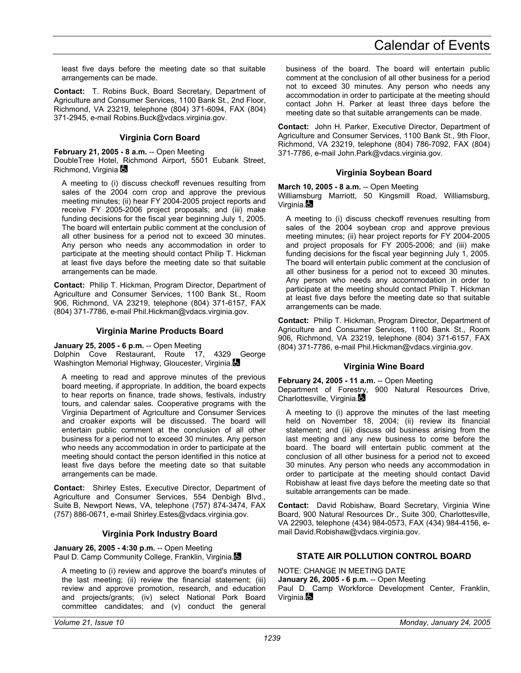least five days before the meeting date so that suitable arrangements can be made.

**Contact:** T. Robins Buck, Board Secretary, Department of Agriculture and Consumer Services, 1100 Bank St., 2nd Floor, Richmond, VA 23219, telephone (804) 371-6094, FAX (804) 371-2945, e-mail Robins.Buck@vdacs.virginia.gov.

### **Virginia Corn Board**

**February 21, 2005 - 8 a.m.** -- Open Meeting DoubleTree Hotel, Richmond Airport, 5501 Eubank Street, Richmond, Virginia

A meeting to (i) discuss checkoff revenues resulting from sales of the 2004 corn crop and approve the previous meeting minutes; (ii) hear FY 2004-2005 project reports and receive FY 2005-2006 project proposals; and (iii) make funding decisions for the fiscal year beginning July 1, 2005. The board will entertain public comment at the conclusion of all other business for a period not to exceed 30 minutes. Any person who needs any accommodation in order to participate at the meeting should contact Philip T. Hickman at least five days before the meeting date so that suitable arrangements can be made.

**Contact:** Philip T. Hickman, Program Director, Department of Agriculture and Consumer Services, 1100 Bank St., Room 906, Richmond, VA 23219, telephone (804) 371-6157, FAX (804) 371-7786, e-mail Phil.Hickman@vdacs.virginia.gov.

#### **Virginia Marine Products Board**

**January 25, 2005 - 6 p.m.** -- Open Meeting

Dolphin Cove Restaurant, Route 17, 4329 George Washington Memorial Highway, Gloucester, Virginia.

A meeting to read and approve minutes of the previous board meeting, if appropriate. In addition, the board expects to hear reports on finance, trade shows, festivals, industry tours, and calendar sales. Cooperative programs with the Virginia Department of Agriculture and Consumer Services and croaker exports will be discussed. The board will entertain public comment at the conclusion of all other business for a period not to exceed 30 minutes. Any person who needs any accommodation in order to participate at the meeting should contact the person identified in this notice at least five days before the meeting date so that suitable arrangements can be made.

**Contact:** Shirley Estes, Executive Director, Department of Agriculture and Consumer Services, 554 Denbigh Blvd., Suite B, Newport News, VA, telephone (757) 874-3474, FAX (757) 886-0671, e-mail Shirley.Estes@vdacs.virginia.gov.

### **Virginia Pork Industry Board**

**January 26, 2005 - 4:30 p.m.** -- Open Meeting Paul D. Camp Community College, Franklin, Virginia.

A meeting to (i) review and approve the board's minutes of the last meeting; (ii) review the financial statement; (iii) review and approve promotion, research, and education and projects/grants; (iv) select National Pork Board committee candidates; and (v) conduct the general

business of the board. The board will entertain public comment at the conclusion of all other business for a period not to exceed 30 minutes. Any person who needs any accommodation in order to participate at the meeting should contact John H. Parker at least three days before the meeting date so that suitable arrangements can be made.

**Contact:** John H. Parker, Executive Director, Department of Agriculture and Consumer Services, 1100 Bank St., 9th Floor, Richmond, VA 23219, telephone (804) 786-7092, FAX (804) 371-7786, e-mail John.Park@vdacs.virginia.gov.

#### **Virginia Soybean Board**

**March 10, 2005 - 8 a.m.** -- Open Meeting

Williamsburg Marriott, 50 Kingsmill Road, Williamsburg, Virginia.

A meeting to (i) discuss checkoff revenues resulting from sales of the 2004 soybean crop and approve previous meeting minutes; (ii) hear project reports for FY 2004-2005 and project proposals for FY 2005-2006; and (iii) make funding decisions for the fiscal year beginning July 1, 2005. The board will entertain public comment at the conclusion of all other business for a period not to exceed 30 minutes. Any person who needs any accommodation in order to participate at the meeting should contact Philip T. Hickman at least five days before the meeting date so that suitable arrangements can be made.

**Contact:** Philip T. Hickman, Program Director, Department of Agriculture and Consumer Services, 1100 Bank St., Room 906, Richmond, VA 23219, telephone (804) 371-6157, FAX (804) 371-7786, e-mail Phil.Hickman@vdacs.virginia.gov.

#### **Virginia Wine Board**

**February 24, 2005 - 11 a.m.** -- Open Meeting Department of Forestry, 900 Natural Resources Drive, Charlottesville, Virginia.

A meeting to (i) approve the minutes of the last meeting held on November 18, 2004; (ii) review its financial statement; and (iii) discuss old business arising from the last meeting and any new business to come before the board. The board will entertain public comment at the conclusion of all other business for a period not to exceed 30 minutes. Any person who needs any accommodation in order to participate at the meeting should contact David Robishaw at least five days before the meeting date so that suitable arrangements can be made.

**Contact:** David Robishaw, Board Secretary, Virginia Wine Board, 900 Natural Resources Dr., Suite 300, Charlottesville, VA 22903, telephone (434) 984-0573, FAX (434) 984-4156, email David.Robishaw@vdacs.virginia.gov.

### **STATE AIR POLLUTION CONTROL BOARD**

NOTE: CHANGE IN MEETING DATE **January 26, 2005 - 6 p.m.** -- Open Meeting Paul D. Camp Workforce Development Center, Franklin, Virginia.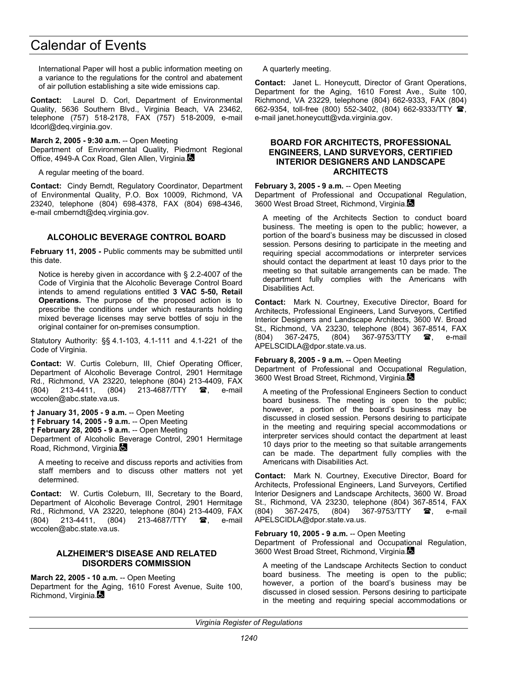International Paper will host a public information meeting on a variance to the regulations for the control and abatement of air pollution establishing a site wide emissions cap.

**Contact:** Laurel D. Corl, Department of Environmental Quality, 5636 Southern Blvd., Virginia Beach, VA 23462, telephone (757) 518-2178, FAX (757) 518-2009, e-mail ldcorl@deq.virginia.gov.

**March 2, 2005 - 9:30 a.m.** -- Open Meeting Department of Environmental Quality, Piedmont Regional Office, 4949-A Cox Road, Glen Allen, Virginia.

A regular meeting of the board.

**Contact:** Cindy Berndt, Regulatory Coordinator, Department of Environmental Quality, P.O. Box 10009, Richmond, VA 23240, telephone (804) 698-4378, FAX (804) 698-4346, e-mail cmberndt@deq.virginia.gov.

# **ALCOHOLIC BEVERAGE CONTROL BOARD**

**February 11, 2005 -** Public comments may be submitted until this date.

Notice is hereby given in accordance with § 2.2-4007 of the Code of Virginia that the Alcoholic Beverage Control Board intends to amend regulations entitled **3 VAC 5-50, Retail Operations.** The purpose of the proposed action is to prescribe the conditions under which restaurants holding mixed beverage licenses may serve bottles of soju in the original container for on-premises consumption.

Statutory Authority: §§ 4.1-103, 4.1-111 and 4.1-221 of the Code of Virginia.

**Contact:** W. Curtis Coleburn, III, Chief Operating Officer, Department of Alcoholic Beverage Control, 2901 Hermitage Rd., Richmond, VA 23220, telephone (804) 213-4409, FAX (804) 213-4411, (804) 213-4687/TTY **雷**, e-mail wccolen@abc.state.va.us.

**† January 31, 2005 - 9 a.m.** -- Open Meeting **† February 14, 2005 - 9 a.m.** -- Open Meeting **† February 28, 2005 - 9 a.m.** -- Open Meeting Department of Alcoholic Beverage Control, 2901 Hermitage Road, Richmond, Virginia.

A meeting to receive and discuss reports and activities from staff members and to discuss other matters not yet determined.

**Contact:** W. Curtis Coleburn, III, Secretary to the Board, Department of Alcoholic Beverage Control, 2901 Hermitage Rd., Richmond, VA 23220, telephone (804) 213-4409, FAX (804) 213-4411, (804) 213-4687/TTY **@**, e-mail wccolen@abc.state.va.us.

### **ALZHEIMER'S DISEASE AND RELATED DISORDERS COMMISSION**

**March 22, 2005 - 10 a.m.** -- Open Meeting

Department for the Aging, 1610 Forest Avenue, Suite 100, Richmond, Virginia.

A quarterly meeting.

**Contact:** Janet L. Honeycutt, Director of Grant Operations, Department for the Aging, 1610 Forest Ave., Suite 100, Richmond, VA 23229, telephone (804) 662-9333, FAX (804) 662-9354, toll-free (800) 552-3402, (804) 662-9333/TTY 2, e-mail janet.honeycutt@vda.virginia.gov.

#### **BOARD FOR ARCHITECTS, PROFESSIONAL ENGINEERS, LAND SURVEYORS, CERTIFIED INTERIOR DESIGNERS AND LANDSCAPE ARCHITECTS**

#### **February 3, 2005 - 9 a.m.** -- Open Meeting

Department of Professional and Occupational Regulation, 3600 West Broad Street, Richmond, Virginia.

A meeting of the Architects Section to conduct board business. The meeting is open to the public; however, a portion of the board's business may be discussed in closed session. Persons desiring to participate in the meeting and requiring special accommodations or interpreter services should contact the department at least 10 days prior to the meeting so that suitable arrangements can be made. The department fully complies with the Americans with Disabilities Act.

**Contact:** Mark N. Courtney, Executive Director, Board for Architects, Professional Engineers, Land Surveyors, Certified Interior Designers and Landscape Architects, 3600 W. Broad St., Richmond, VA 23230, telephone (804) 367-8514, FAX (804) 367-2475, (804) 367-9753/TTY  $\bullet$ , e-mail APELSCIDLA@dpor.state.va.us.

#### **February 8, 2005 - 9 a.m.** -- Open Meeting

Department of Professional and Occupational Regulation, 3600 West Broad Street, Richmond, Virginia.

A meeting of the Professional Engineers Section to conduct board business. The meeting is open to the public; however, a portion of the board's business may be discussed in closed session. Persons desiring to participate in the meeting and requiring special accommodations or interpreter services should contact the department at least 10 days prior to the meeting so that suitable arrangements can be made. The department fully complies with the Americans with Disabilities Act.

**Contact:** Mark N. Courtney, Executive Director, Board for Architects, Professional Engineers, Land Surveyors, Certified Interior Designers and Landscape Architects, 3600 W. Broad St., Richmond, VA 23230, telephone (804) 367-8514, FAX (804) 367-2475, (804) 367-9753/TTY **雷**, e-mail APELSCIDLA@dpor.state.va.us.

### **February 10, 2005 - 9 a.m.** -- Open Meeting

Department of Professional and Occupational Regulation, 3600 West Broad Street, Richmond, Virginia.

A meeting of the Landscape Architects Section to conduct board business. The meeting is open to the public; however, a portion of the board's business may be discussed in closed session. Persons desiring to participate in the meeting and requiring special accommodations or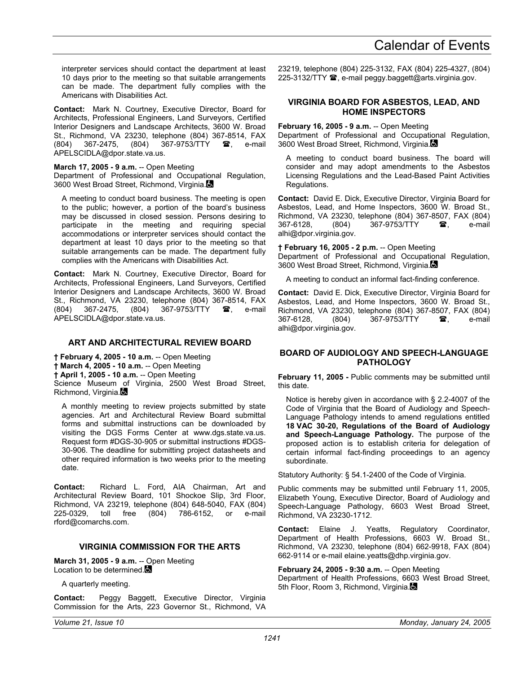interpreter services should contact the department at least 10 days prior to the meeting so that suitable arrangements can be made. The department fully complies with the Americans with Disabilities Act.

**Contact:** Mark N. Courtney, Executive Director, Board for Architects, Professional Engineers, Land Surveyors, Certified Interior Designers and Landscape Architects, 3600 W. Broad St., Richmond, VA 23230, telephone (804) 367-8514, FAX<br>(804) 367-2475. (804) 367-9753/TTY **28**, e-mail (804) 367-2475, (804) 367-9753/TTY , e-mail APELSCIDLA@dpor.state.va.us.

**March 17, 2005 - 9 a.m.** -- Open Meeting

Department of Professional and Occupational Regulation, 3600 West Broad Street, Richmond, Virginia.

A meeting to conduct board business. The meeting is open to the public; however, a portion of the board's business may be discussed in closed session. Persons desiring to participate in the meeting and requiring special accommodations or interpreter services should contact the department at least 10 days prior to the meeting so that suitable arrangements can be made. The department fully complies with the Americans with Disabilities Act.

**Contact:** Mark N. Courtney, Executive Director, Board for Architects, Professional Engineers, Land Surveyors, Certified Interior Designers and Landscape Architects, 3600 W. Broad St., Richmond, VA 23230, telephone (804) 367-8514, FAX (804) 367-2475, (804) 367-9753/TTY **2**, e-mail APELSCIDLA@dpor.state.va.us.

# **ART AND ARCHITECTURAL REVIEW BOARD**

**† February 4, 2005 - 10 a.m.** -- Open Meeting

**† March 4, 2005 - 10 a.m.** -- Open Meeting

**† April 1, 2005 - 10 a.m.** -- Open Meeting

Science Museum of Virginia, 2500 West Broad Street, Richmond, Virginia.

A monthly meeting to review projects submitted by state agencies. Art and Architectural Review Board submittal forms and submittal instructions can be downloaded by visiting the DGS Forms Center at www.dgs.state.va.us. Request form #DGS-30-905 or submittal instructions #DGS-30-906. The deadline for submitting project datasheets and other required information is two weeks prior to the meeting date.

**Contact:** Richard L. Ford, AIA Chairman, Art and Architectural Review Board, 101 Shockoe Slip, 3rd Floor, Richmond, VA 23219, telephone (804) 648-5040, FAX (804) 225-0329, toll free (804) 786-6152, or e-mail rford@comarchs.com.

# **VIRGINIA COMMISSION FOR THE ARTS**

**March 31, 2005 - 9 a.m.** -- Open Meeting Location to be determined.

A quarterly meeting.

**Contact:** Peggy Baggett, Executive Director, Virginia Commission for the Arts, 223 Governor St., Richmond, VA 23219, telephone (804) 225-3132, FAX (804) 225-4327, (804) 225-3132/TTY  $\blacksquare$ , e-mail peggy.baggett@arts.virginia.gov.

## **VIRGINIA BOARD FOR ASBESTOS, LEAD, AND HOME INSPECTORS**

**February 16, 2005 - 9 a.m.** -- Open Meeting Department of Professional and Occupational Regulation, 3600 West Broad Street, Richmond, Virginia.

A meeting to conduct board business. The board will consider and may adopt amendments to the Asbestos Licensing Regulations and the Lead-Based Paint Activities Regulations.

**Contact:** David E. Dick, Executive Director, Virginia Board for Asbestos, Lead, and Home Inspectors, 3600 W. Broad St., Richmond, VA 23230, telephone (804) 367-8507, FAX (804) (804) 367-9753/TTY **a**. e-mail alhi@dpor.virginia.gov.

**† February 16, 2005 - 2 p.m.** -- Open Meeting Department of Professional and Occupational Regulation, 3600 West Broad Street, Richmond, Virginia.

A meeting to conduct an informal fact-finding conference.

**Contact:** David E. Dick, Executive Director, Virginia Board for Asbestos, Lead, and Home Inspectors, 3600 W. Broad St., Richmond, VA 23230, telephone (804) 367-8507, FAX (804) 367-6128, (804) 367-9753/TTY **a**, e-mail alhi@dpor.virginia.gov.

### **BOARD OF AUDIOLOGY AND SPEECH-LANGUAGE PATHOLOGY**

February 11, 2005 - Public comments may be submitted until this date.

Notice is hereby given in accordance with § 2.2-4007 of the Code of Virginia that the Board of Audiology and Speech-Language Pathology intends to amend regulations entitled **18 VAC 30-20, Regulations of the Board of Audiology and Speech-Language Pathology.** The purpose of the proposed action is to establish criteria for delegation of certain informal fact-finding proceedings to an agency subordinate.

Statutory Authority: § 54.1-2400 of the Code of Virginia.

Public comments may be submitted until February 11, 2005, Elizabeth Young, Executive Director, Board of Audiology and Speech-Language Pathology, 6603 West Broad Street, Richmond, VA 23230-1712.

**Contact:** Elaine J. Yeatts, Regulatory Coordinator, Department of Health Professions, 6603 W. Broad St., Richmond, VA 23230, telephone (804) 662-9918, FAX (804) 662-9114 or e-mail elaine.yeatts@dhp.virginia.gov.

#### **February 24, 2005 - 9:30 a.m.** -- Open Meeting

Department of Health Professions, 6603 West Broad Street, 5th Floor, Room 3, Richmond, Virginia.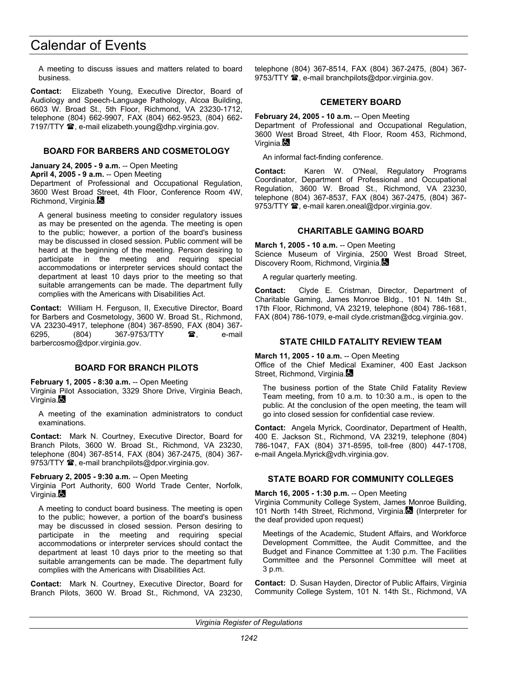A meeting to discuss issues and matters related to board business.

**Contact:** Elizabeth Young, Executive Director, Board of Audiology and Speech-Language Pathology, Alcoa Building, 6603 W. Broad St., 5th Floor, Richmond, VA 23230-1712, telephone (804) 662-9907, FAX (804) 662-9523, (804) 662- 7197/TTY <sup>3</sup>, e-mail elizabeth.young@dhp.virginia.gov.

## **BOARD FOR BARBERS AND COSMETOLOGY**

**January 24, 2005 - 9 a.m.** -- Open Meeting

**April 4, 2005 - 9 a.m.** -- Open Meeting Department of Professional and Occupational Regulation, 3600 West Broad Street, 4th Floor, Conference Room 4W, Richmond, Virginia.

A general business meeting to consider regulatory issues as may be presented on the agenda. The meeting is open to the public; however, a portion of the board's business may be discussed in closed session. Public comment will be heard at the beginning of the meeting. Person desiring to participate in the meeting and requiring special accommodations or interpreter services should contact the department at least 10 days prior to the meeting so that suitable arrangements can be made. The department fully complies with the Americans with Disabilities Act.

**Contact:** William H. Ferguson, II, Executive Director, Board for Barbers and Cosmetology, 3600 W. Broad St., Richmond, VA 23230-4917, telephone (804) 367-8590, FAX (804) 367- 6295. (804) 367-9753/TTY **a**. e-mail barbercosmo@dpor.virginia.gov.

### **BOARD FOR BRANCH PILOTS**

**February 1, 2005 - 8:30 a.m.** -- Open Meeting Virginia Pilot Association, 3329 Shore Drive, Virginia Beach, Virginia.

A meeting of the examination administrators to conduct examinations.

**Contact:** Mark N. Courtney, Executive Director, Board for Branch Pilots, 3600 W. Broad St., Richmond, VA 23230, telephone (804) 367-8514, FAX (804) 367-2475, (804) 367- 9753/TTY  $\mathbf{\mathcal{D}}$ , e-mail branchpilots@dpor.virginia.gov.

**February 2, 2005 - 9:30 a.m.** -- Open Meeting

Virginia Port Authority, 600 World Trade Center, Norfolk, Virginia.

A meeting to conduct board business. The meeting is open to the public; however, a portion of the board's business may be discussed in closed session. Person desiring to participate in the meeting and requiring special accommodations or interpreter services should contact the department at least 10 days prior to the meeting so that suitable arrangements can be made. The department fully complies with the Americans with Disabilities Act.

**Contact:** Mark N. Courtney, Executive Director, Board for Branch Pilots, 3600 W. Broad St., Richmond, VA 23230, telephone (804) 367-8514, FAX (804) 367-2475, (804) 367- 9753/TTY  $\mathbf{\mathcal{D}}$ , e-mail branchpilots@dpor.virginia.gov.

#### **CEMETERY BOARD**

**February 24, 2005 - 10 a.m.** -- Open Meeting Department of Professional and Occupational Regulation, 3600 West Broad Street, 4th Floor, Room 453, Richmond, Virginia. $\blacksquare$ 

An informal fact-finding conference.

**Contact:** Karen W. O'Neal, Regulatory Programs Coordinator, Department of Professional and Occupational Regulation, 3600 W. Broad St., Richmond, VA 23230, telephone (804) 367-8537, FAX (804) 367-2475, (804) 367- 9753/TTY  $\mathbf{\mathcal{D}}$ , e-mail karen.oneal@dpor.virginia.gov.

### **CHARITABLE GAMING BOARD**

**March 1, 2005 - 10 a.m.** -- Open Meeting Science Museum of Virginia, 2500 West Broad Street, Discovery Room, Richmond, Virginia.

A regular quarterly meeting.

**Contact:** Clyde E. Cristman, Director, Department of Charitable Gaming, James Monroe Bldg., 101 N. 14th St., 17th Floor, Richmond, VA 23219, telephone (804) 786-1681, FAX (804) 786-1079, e-mail clyde.cristman@dcg.virginia.gov.

## **STATE CHILD FATALITY REVIEW TEAM**

**March 11, 2005 - 10 a.m.** -- Open Meeting

Office of the Chief Medical Examiner, 400 East Jackson Street, Richmond, Virginia.

The business portion of the State Child Fatality Review Team meeting, from 10 a.m. to 10:30 a.m., is open to the public. At the conclusion of the open meeting, the team will go into closed session for confidential case review.

**Contact:** Angela Myrick, Coordinator, Department of Health, 400 E. Jackson St., Richmond, VA 23219, telephone (804) 786-1047, FAX (804) 371-8595, toll-free (800) 447-1708, e-mail Angela.Myrick@vdh.virginia.gov.

# **STATE BOARD FOR COMMUNITY COLLEGES**

#### **March 16, 2005 - 1:30 p.m.** -- Open Meeting

Virginia Community College System, James Monroe Building, 101 North 14th Street, Richmond, Virginia. (Interpreter for the deaf provided upon request)

Meetings of the Academic, Student Affairs, and Workforce Development Committee, the Audit Committee, and the Budget and Finance Committee at 1:30 p.m. The Facilities Committee and the Personnel Committee will meet at 3 p.m.

**Contact:** D. Susan Hayden, Director of Public Affairs, Virginia Community College System, 101 N. 14th St., Richmond, VA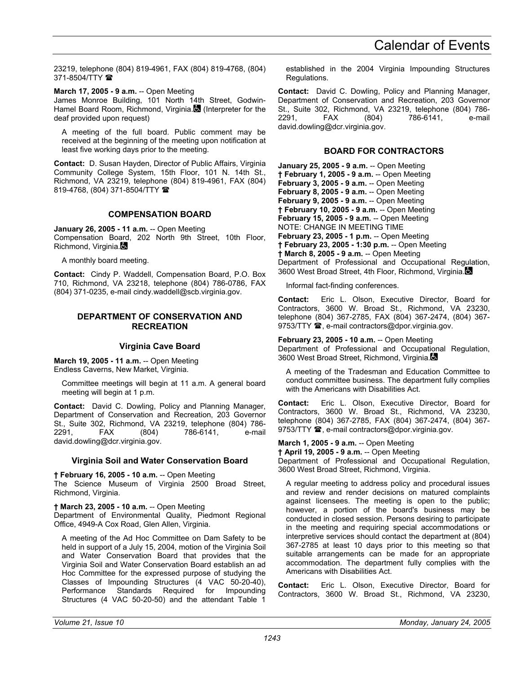23219, telephone (804) 819-4961, FAX (804) 819-4768, (804) 371-8504/TTY

**March 17, 2005 - 9 a.m.** -- Open Meeting

James Monroe Building, 101 North 14th Street, Godwin-Hamel Board Room, Richmond, Virginia. (Interpreter for the deaf provided upon request)

A meeting of the full board. Public comment may be received at the beginning of the meeting upon notification at least five working days prior to the meeting.

**Contact:** D. Susan Hayden, Director of Public Affairs, Virginia Community College System, 15th Floor, 101 N. 14th St., Richmond, VA 23219, telephone (804) 819-4961, FAX (804) 819-4768, (804) 371-8504/TTY

#### **COMPENSATION BOARD**

**January 26, 2005 - 11 a.m.** -- Open Meeting Compensation Board, 202 North 9th Street, 10th Floor, Richmond, Virginia.

A monthly board meeting.

**Contact:** Cindy P. Waddell, Compensation Board, P.O. Box 710, Richmond, VA 23218, telephone (804) 786-0786, FAX (804) 371-0235, e-mail cindy.waddell@scb.virginia.gov.

#### **DEPARTMENT OF CONSERVATION AND RECREATION**

### **Virginia Cave Board**

**March 19, 2005 - 11 a.m.** -- Open Meeting Endless Caverns, New Market, Virginia.

Committee meetings will begin at 11 a.m. A general board meeting will begin at 1 p.m.

**Contact:** David C. Dowling, Policy and Planning Manager, Department of Conservation and Recreation, 203 Governor St., Suite 302, Richmond, VA 23219, telephone (804) 786- 2291, FAX (804) 786-6141, e-mail david.dowling@dcr.virginia.gov.

### **Virginia Soil and Water Conservation Board**

**† February 16, 2005 - 10 a.m.** -- Open Meeting The Science Museum of Virginia 2500 Broad Street, Richmond, Virginia.

**† March 23, 2005 - 10 a.m.** -- Open Meeting Department of Environmental Quality, Piedmont Regional Office, 4949-A Cox Road, Glen Allen, Virginia.

A meeting of the Ad Hoc Committee on Dam Safety to be held in support of a July 15, 2004, motion of the Virginia Soil and Water Conservation Board that provides that the Virginia Soil and Water Conservation Board establish an ad Hoc Committee for the expressed purpose of studying the Classes of Impounding Structures (4 VAC 50-20-40), Performance Standards Required for Impounding Structures (4 VAC 50-20-50) and the attendant Table 1

established in the 2004 Virginia Impounding Structures Regulations.

**Contact:** David C. Dowling, Policy and Planning Manager, Department of Conservation and Recreation, 203 Governor St., Suite 302, Richmond, VA 23219, telephone (804) 786- 2291, FAX (804) 786-6141, e-mail david.dowling@dcr.virginia.gov.

## **BOARD FOR CONTRACTORS**

**January 25, 2005 - 9 a.m.** -- Open Meeting **† February 1, 2005 - 9 a.m.** -- Open Meeting **February 3, 2005 - 9 a.m.** -- Open Meeting **February 8, 2005 - 9 a.m.** -- Open Meeting **February 9, 2005 - 9 a.m.** -- Open Meeting **† February 10, 2005 - 9 a.m.** -- Open Meeting **February 15, 2005 - 9 a.m.** -- Open Meeting NOTE: CHANGE IN MEETING TIME **February 23, 2005 - 1 p.m.** -- Open Meeting **† February 23, 2005 - 1:30 p.m.** -- Open Meeting **† March 8, 2005 - 9 a.m.** -- Open Meeting Department of Professional and Occupational Regulation, 3600 West Broad Street, 4th Floor, Richmond, Virginia.

Informal fact-finding conferences.

**Contact:** Eric L. Olson, Executive Director, Board for Contractors, 3600 W. Broad St., Richmond, VA 23230, telephone (804) 367-2785, FAX (804) 367-2474, (804) 367- 9753/TTY  $\mathbf{\mathcal{D}}$ , e-mail contractors@dpor.virginia.gov.

**February 23, 2005 - 10 a.m.** -- Open Meeting Department of Professional and Occupational Regulation, 3600 West Broad Street, Richmond, Virginia.

A meeting of the Tradesman and Education Committee to conduct committee business. The department fully complies with the Americans with Disabilities Act.

**Contact:** Eric L. Olson, Executive Director, Board for Contractors, 3600 W. Broad St., Richmond, VA 23230, telephone (804) 367-2785, FAX (804) 367-2474, (804) 367- 9753/TTY <sup>3</sup>, e-mail contractors@dpor.virginia.gov.

**March 1, 2005 - 9 a.m.** -- Open Meeting

**† April 19, 2005 - 9 a.m.** -- Open Meeting Department of Professional and Occupational Regulation, 3600 West Broad Street, Richmond, Virginia.

A regular meeting to address policy and procedural issues and review and render decisions on matured complaints against licensees. The meeting is open to the public; however, a portion of the board's business may be conducted in closed session. Persons desiring to participate in the meeting and requiring special accommodations or interpretive services should contact the department at (804) 367-2785 at least 10 days prior to this meeting so that suitable arrangements can be made for an appropriate accommodation. The department fully complies with the Americans with Disabilities Act.

**Contact:** Eric L. Olson, Executive Director, Board for Contractors, 3600 W. Broad St., Richmond, VA 23230,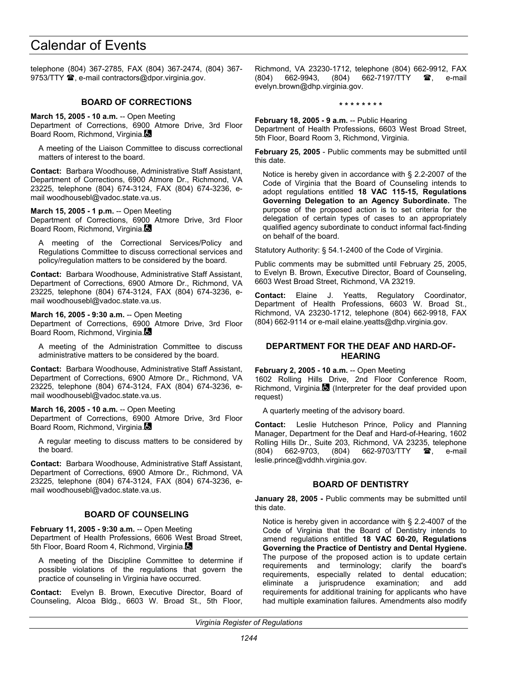telephone (804) 367-2785, FAX (804) 367-2474, (804) 367- 9753/TTY  $\mathbf{\mathcal{D}}$ , e-mail contractors@dpor.virginia.gov.

## **BOARD OF CORRECTIONS**

**March 15, 2005 - 10 a.m.** -- Open Meeting Department of Corrections, 6900 Atmore Drive, 3rd Floor Board Room, Richmond, Virginia.

A meeting of the Liaison Committee to discuss correctional matters of interest to the board.

**Contact:** Barbara Woodhouse, Administrative Staff Assistant, Department of Corrections, 6900 Atmore Dr., Richmond, VA 23225, telephone (804) 674-3124, FAX (804) 674-3236, email woodhousebl@vadoc.state.va.us.

**March 15, 2005 - 1 p.m.** -- Open Meeting

Department of Corrections, 6900 Atmore Drive, 3rd Floor Board Room, Richmond, Virginia.

A meeting of the Correctional Services/Policy and Regulations Committee to discuss correctional services and policy/regulation matters to be considered by the board.

**Contact:** Barbara Woodhouse, Administrative Staff Assistant, Department of Corrections, 6900 Atmore Dr., Richmond, VA 23225, telephone (804) 674-3124, FAX (804) 674-3236, email woodhousebl@vadoc.state.va.us.

#### **March 16, 2005 - 9:30 a.m.** -- Open Meeting

Department of Corrections, 6900 Atmore Drive, 3rd Floor Board Room, Richmond, Virginia.

A meeting of the Administration Committee to discuss administrative matters to be considered by the board.

**Contact:** Barbara Woodhouse, Administrative Staff Assistant, Department of Corrections, 6900 Atmore Dr., Richmond, VA 23225, telephone (804) 674-3124, FAX (804) 674-3236, email woodhousebl@vadoc.state.va.us.

#### **March 16, 2005 - 10 a.m.** -- Open Meeting

Department of Corrections, 6900 Atmore Drive, 3rd Floor Board Room, Richmond, Virginia.

A regular meeting to discuss matters to be considered by the board.

**Contact:** Barbara Woodhouse, Administrative Staff Assistant, Department of Corrections, 6900 Atmore Dr., Richmond, VA 23225, telephone (804) 674-3124, FAX (804) 674-3236, email woodhousebl@vadoc.state.va.us.

## **BOARD OF COUNSELING**

**February 11, 2005 - 9:30 a.m.** -- Open Meeting Department of Health Professions, 6606 West Broad Street, 5th Floor, Board Room 4, Richmond, Virginia.

A meeting of the Discipline Committee to determine if possible violations of the regulations that govern the practice of counseling in Virginia have occurred.

**Contact:** Evelyn B. Brown, Executive Director, Board of Counseling, Alcoa Bldg., 6603 W. Broad St., 5th Floor,

Richmond, VA 23230-1712, telephone (804) 662-9912, FAX (804) 662-9943, (804) 662-7197/TTY **雷**, e-mail evelyn.brown@dhp.virginia.gov.

#### **\* \* \* \* \* \* \* \***

**February 18, 2005 - 9 a.m.** -- Public Hearing Department of Health Professions, 6603 West Broad Street, 5th Floor, Board Room 3, Richmond, Virginia.

**February 25, 2005** - Public comments may be submitted until this date.

Notice is hereby given in accordance with § 2.2-2007 of the Code of Virginia that the Board of Counseling intends to adopt regulations entitled **18 VAC 115-15, Regulations Governing Delegation to an Agency Subordinate.** The purpose of the proposed action is to set criteria for the delegation of certain types of cases to an appropriately qualified agency subordinate to conduct informal fact-finding on behalf of the board.

Statutory Authority: § 54.1-2400 of the Code of Virginia.

Public comments may be submitted until February 25, 2005, to Evelyn B. Brown, Executive Director, Board of Counseling, 6603 West Broad Street, Richmond, VA 23219.

**Contact:** Elaine J. Yeatts, Regulatory Coordinator, Department of Health Professions, 6603 W. Broad St., Richmond, VA 23230-1712, telephone (804) 662-9918, FAX (804) 662-9114 or e-mail elaine.yeatts@dhp.virginia.gov.

#### **DEPARTMENT FOR THE DEAF AND HARD-OF-HEARING**

**February 2, 2005 - 10 a.m.** -- Open Meeting 1602 Rolling Hills Drive, 2nd Floor Conference Room, Richmond, Virginia. $\blacksquare$  (Interpreter for the deaf provided upon request)

A quarterly meeting of the advisory board.

**Contact:** Leslie Hutcheson Prince, Policy and Planning Manager, Department for the Deaf and Hard-of-Hearing, 1602 Rolling Hills Dr., Suite 203, Richmond, VA 23235, telephone (804) 662-9703, (804) 662-9703/TTY **a**, e-mail leslie.prince@vddhh.virginia.gov.

### **BOARD OF DENTISTRY**

**January 28, 2005 -** Public comments may be submitted until this date.

Notice is hereby given in accordance with § 2.2-4007 of the Code of Virginia that the Board of Dentistry intends to amend regulations entitled **18 VAC 60-20, Regulations Governing the Practice of Dentistry and Dental Hygiene.** The purpose of the proposed action is to update certain requirements and terminology; clarify the board's requirements, especially related to dental education;<br>eliminate a jurisprudence examination; and add eliminate a jurisprudence examination; and add requirements for additional training for applicants who have had multiple examination failures. Amendments also modify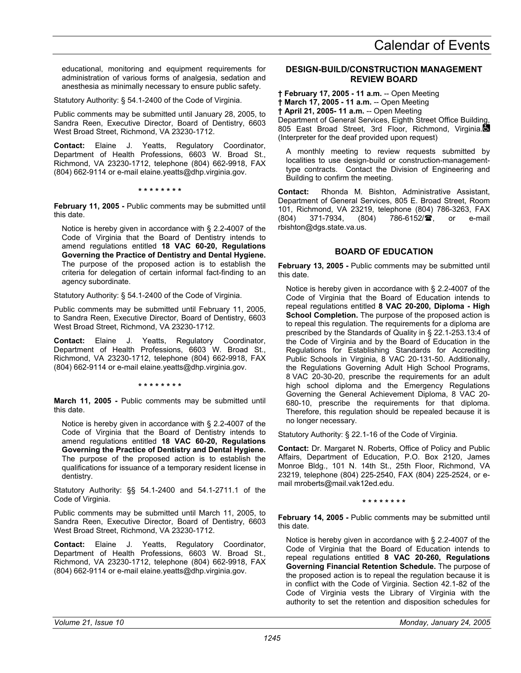educational, monitoring and equipment requirements for administration of various forms of analgesia, sedation and anesthesia as minimally necessary to ensure public safety.

Statutory Authority: § 54.1-2400 of the Code of Virginia.

Public comments may be submitted until January 28, 2005, to Sandra Reen, Executive Director, Board of Dentistry, 6603 West Broad Street, Richmond, VA 23230-1712.

**Contact:** Elaine J. Yeatts, Regulatory Coordinator, Department of Health Professions, 6603 W. Broad St., Richmond, VA 23230-1712, telephone (804) 662-9918, FAX (804) 662-9114 or e-mail elaine.yeatts@dhp.virginia.gov.

**\* \* \* \* \* \* \* \*** 

**February 11, 2005 -** Public comments may be submitted until this date.

Notice is hereby given in accordance with § 2.2-4007 of the Code of Virginia that the Board of Dentistry intends to amend regulations entitled **18 VAC 60-20, Regulations Governing the Practice of Dentistry and Dental Hygiene.** The purpose of the proposed action is to establish the criteria for delegation of certain informal fact-finding to an agency subordinate.

Statutory Authority: § 54.1-2400 of the Code of Virginia.

Public comments may be submitted until February 11, 2005, to Sandra Reen, Executive Director, Board of Dentistry, 6603 West Broad Street, Richmond, VA 23230-1712.

**Contact:** Elaine J. Yeatts, Regulatory Coordinator, Department of Health Professions, 6603 W. Broad St., Richmond, VA 23230-1712, telephone (804) 662-9918, FAX (804) 662-9114 or e-mail elaine.yeatts@dhp.virginia.gov.

**\* \* \* \* \* \* \* \*** 

**March 11, 2005 -** Public comments may be submitted until this date.

Notice is hereby given in accordance with § 2.2-4007 of the Code of Virginia that the Board of Dentistry intends to amend regulations entitled **18 VAC 60-20, Regulations Governing the Practice of Dentistry and Dental Hygiene.** The purpose of the proposed action is to establish the qualifications for issuance of a temporary resident license in dentistry.

Statutory Authority: §§ 54.1-2400 and 54.1-2711.1 of the Code of Virginia.

Public comments may be submitted until March 11, 2005, to Sandra Reen, Executive Director, Board of Dentistry, 6603 West Broad Street, Richmond, VA 23230-1712.

**Contact:** Elaine J. Yeatts, Regulatory Coordinator, Department of Health Professions, 6603 W. Broad St., Richmond, VA 23230-1712, telephone (804) 662-9918, FAX (804) 662-9114 or e-mail elaine.yeatts@dhp.virginia.gov.

# **DESIGN-BUILD/CONSTRUCTION MANAGEMENT REVIEW BOARD**

**† February 17, 2005 - 11 a.m.** -- Open Meeting **† March 17, 2005 - 11 a.m.** -- Open Meeting **† April 21, 2005- 11 a.m.** -- Open Meeting Department of General Services, Eighth Street Office Building, 805 East Broad Street, 3rd Floor, Richmond, Virginia. (Interpreter for the deaf provided upon request)

A monthly meeting to review requests submitted by localities to use design-build or construction-managementtype contracts. Contact the Division of Engineering and Building to confirm the meeting.

**Contact:** Rhonda M. Bishton, Administrative Assistant, Department of General Services, 805 E. Broad Street, Room 101, Richmond, VA 23219, telephone (804) 786-3263, FAX (804) 371-7934, (804) 786-6152/雪, or e-mail rbishton@dgs.state.va.us.

# **BOARD OF EDUCATION**

**February 13, 2005 -** Public comments may be submitted until this date.

Notice is hereby given in accordance with § 2.2-4007 of the Code of Virginia that the Board of Education intends to repeal regulations entitled **8 VAC 20-200, Diploma - High School Completion.** The purpose of the proposed action is to repeal this regulation. The requirements for a diploma are prescribed by the Standards of Quality in § 22.1-253.13:4 of the Code of Virginia and by the Board of Education in the Regulations for Establishing Standards for Accrediting Public Schools in Virginia, 8 VAC 20-131-50. Additionally, the Regulations Governing Adult High School Programs, 8 VAC 20-30-20, prescribe the requirements for an adult high school diploma and the Emergency Regulations Governing the General Achievement Diploma, 8 VAC 20- 680-10, prescribe the requirements for that diploma. Therefore, this regulation should be repealed because it is no longer necessary.

Statutory Authority: § 22.1-16 of the Code of Virginia.

**Contact:** Dr. Margaret N. Roberts, Office of Policy and Public Affairs, Department of Education, P.O. Box 2120, James Monroe Bldg., 101 N. 14th St., 25th Floor, Richmond, VA 23219, telephone (804) 225-2540, FAX (804) 225-2524, or email mroberts@mail.vak12ed.edu.

#### **\* \* \* \* \* \* \* \***

February 14, 2005 - Public comments may be submitted until this date.

Notice is hereby given in accordance with § 2.2-4007 of the Code of Virginia that the Board of Education intends to repeal regulations entitled **8 VAC 20-260, Regulations Governing Financial Retention Schedule.** The purpose of the proposed action is to repeal the regulation because it is in conflict with the Code of Virginia. Section 42.1-82 of the Code of Virginia vests the Library of Virginia with the authority to set the retention and disposition schedules for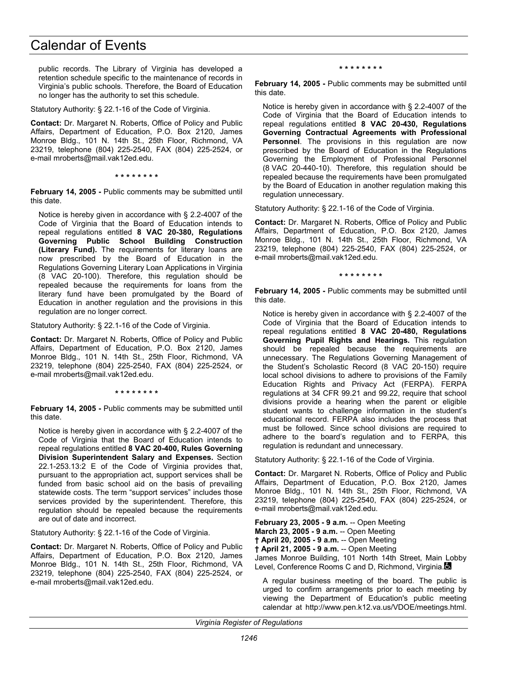public records. The Library of Virginia has developed a retention schedule specific to the maintenance of records in Virginia's public schools. Therefore, the Board of Education no longer has the authority to set this schedule.

Statutory Authority: § 22.1-16 of the Code of Virginia.

**Contact:** Dr. Margaret N. Roberts, Office of Policy and Public Affairs, Department of Education, P.O. Box 2120, James Monroe Bldg., 101 N. 14th St., 25th Floor, Richmond, VA 23219, telephone (804) 225-2540, FAX (804) 225-2524, or e-mail mroberts@mail.vak12ed.edu.

**\* \* \* \* \* \* \* \*** 

**February 14, 2005 -** Public comments may be submitted until this date.

Notice is hereby given in accordance with § 2.2-4007 of the Code of Virginia that the Board of Education intends to repeal regulations entitled **8 VAC 20-380, Regulations Governing Public School Building Construction (Literary Fund).** The requirements for literary loans are now prescribed by the Board of Education in the Regulations Governing Literary Loan Applications in Virginia (8 VAC 20-100). Therefore, this regulation should be repealed because the requirements for loans from the literary fund have been promulgated by the Board of Education in another regulation and the provisions in this regulation are no longer correct.

Statutory Authority: § 22.1-16 of the Code of Virginia.

**Contact:** Dr. Margaret N. Roberts, Office of Policy and Public Affairs, Department of Education, P.O. Box 2120, James Monroe Bldg., 101 N. 14th St., 25th Floor, Richmond, VA 23219, telephone (804) 225-2540, FAX (804) 225-2524, or e-mail mroberts@mail.vak12ed.edu.

**\* \* \* \* \* \* \* \*** 

**February 14, 2005 -** Public comments may be submitted until this date.

Notice is hereby given in accordance with § 2.2-4007 of the Code of Virginia that the Board of Education intends to repeal regulations entitled **8 VAC 20-400, Rules Governing Division Superintendent Salary and Expenses.** Section 22.1-253.13:2 E of the Code of Virginia provides that, pursuant to the appropriation act, support services shall be funded from basic school aid on the basis of prevailing statewide costs. The term "support services" includes those services provided by the superintendent. Therefore, this regulation should be repealed because the requirements are out of date and incorrect.

Statutory Authority: § 22.1-16 of the Code of Virginia.

**Contact:** Dr. Margaret N. Roberts, Office of Policy and Public Affairs, Department of Education, P.O. Box 2120, James Monroe Bldg., 101 N. 14th St., 25th Floor, Richmond, VA 23219, telephone (804) 225-2540, FAX (804) 225-2524, or e-mail mroberts@mail.vak12ed.edu.

**\* \* \* \* \* \* \* \*** 

**February 14, 2005 -** Public comments may be submitted until this date.

Notice is hereby given in accordance with § 2.2-4007 of the Code of Virginia that the Board of Education intends to repeal regulations entitled **8 VAC 20-430, Regulations Governing Contractual Agreements with Professional Personnel**. The provisions in this regulation are now prescribed by the Board of Education in the Regulations Governing the Employment of Professional Personnel (8 VAC 20-440-10). Therefore, this regulation should be repealed because the requirements have been promulgated by the Board of Education in another regulation making this regulation unnecessary.

Statutory Authority: § 22.1-16 of the Code of Virginia.

**Contact:** Dr. Margaret N. Roberts, Office of Policy and Public Affairs, Department of Education, P.O. Box 2120, James Monroe Bldg., 101 N. 14th St., 25th Floor, Richmond, VA 23219, telephone (804) 225-2540, FAX (804) 225-2524, or e-mail mroberts@mail.vak12ed.edu.

**\* \* \* \* \* \* \* \*** 

**February 14, 2005 -** Public comments may be submitted until this date.

Notice is hereby given in accordance with § 2.2-4007 of the Code of Virginia that the Board of Education intends to repeal regulations entitled **8 VAC 20-480, Regulations Governing Pupil Rights and Hearings.** This regulation should be repealed because the requirements are unnecessary. The Regulations Governing Management of the Student's Scholastic Record (8 VAC 20-150) require local school divisions to adhere to provisions of the Family Education Rights and Privacy Act (FERPA). FERPA regulations at 34 CFR 99.21 and 99.22, require that school divisions provide a hearing when the parent or eligible student wants to challenge information in the student's educational record. FERPA also includes the process that must be followed. Since school divisions are required to adhere to the board's regulation and to FERPA, this regulation is redundant and unnecessary.

Statutory Authority: § 22.1-16 of the Code of Virginia.

**Contact:** Dr. Margaret N. Roberts, Office of Policy and Public Affairs, Department of Education, P.O. Box 2120, James Monroe Bldg., 101 N. 14th St., 25th Floor, Richmond, VA 23219, telephone (804) 225-2540, FAX (804) 225-2524, or e-mail mroberts@mail.vak12ed.edu.

**February 23, 2005 - 9 a.m.** -- Open Meeting **March 23, 2005 - 9 a.m.** -- Open Meeting **† April 20, 2005 - 9 a.m.** -- Open Meeting **† April 21, 2005 - 9 a.m.** -- Open Meeting James Monroe Building, 101 North 14th Street, Main Lobby Level, Conference Rooms C and D, Richmond, Virginia.

A regular business meeting of the board. The public is urged to confirm arrangements prior to each meeting by viewing the Department of Education's public meeting calendar at http://www.pen.k12.va.us/VDOE/meetings.html.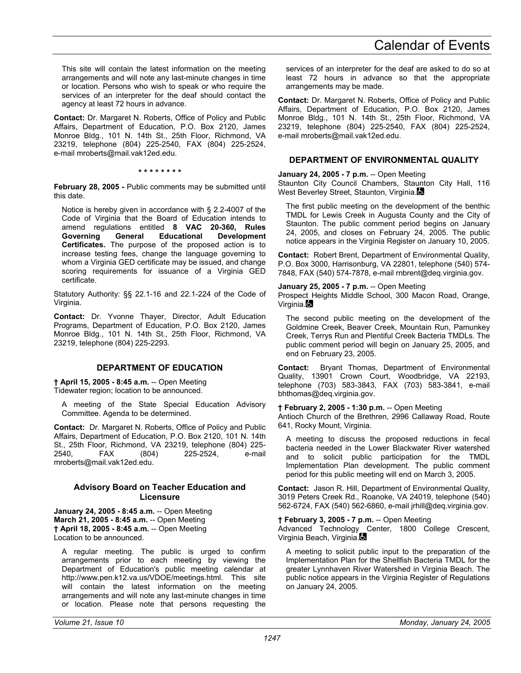This site will contain the latest information on the meeting arrangements and will note any last-minute changes in time or location. Persons who wish to speak or who require the services of an interpreter for the deaf should contact the agency at least 72 hours in advance.

**Contact:** Dr. Margaret N. Roberts, Office of Policy and Public Affairs, Department of Education, P.O. Box 2120, James Monroe Bldg., 101 N. 14th St., 25th Floor, Richmond, VA 23219, telephone (804) 225-2540, FAX (804) 225-2524, e-mail mroberts@mail.vak12ed.edu.

**\* \* \* \* \* \* \* \*** 

**February 28, 2005 -** Public comments may be submitted until this date.

Notice is hereby given in accordance with § 2.2-4007 of the Code of Virginia that the Board of Education intends to amend regulations entitled **8 VAC 20-360, Rules Governing General Educational Development Certificates.** The purpose of the proposed action is to increase testing fees, change the language governing to whom a Virginia GED certificate may be issued, and change scoring requirements for issuance of a Virginia GED certificate.

Statutory Authority: §§ 22.1-16 and 22.1-224 of the Code of Virginia.

**Contact:** Dr. Yvonne Thayer, Director, Adult Education Programs, Department of Education, P.O. Box 2120, James Monroe Bldg., 101 N. 14th St., 25th Floor, Richmond, VA 23219, telephone (804) 225-2293.

### **DEPARTMENT OF EDUCATION**

**† April 15, 2005 - 8:45 a.m.** -- Open Meeting Tidewater region; location to be announced.

A meeting of the State Special Education Advisory Committee. Agenda to be determined.

**Contact:** Dr. Margaret N. Roberts, Office of Policy and Public Affairs, Department of Education, P.O. Box 2120, 101 N. 14th St., 25th Floor, Richmond, VA 23219, telephone (804) 225- 2540, FAX (804) 225-2524, e-mail mroberts@mail.vak12ed.edu.

#### **Advisory Board on Teacher Education and Licensure**

**January 24, 2005 - 8:45 a.m. -- Open Meeting March 21, 2005 - 8:45 a.m.** -- Open Meeting **† April 18, 2005 - 8:45 a.m.** -- Open Meeting Location to be announced.

A regular meeting. The public is urged to confirm arrangements prior to each meeting by viewing the Department of Education's public meeting calendar at http://www.pen.k12.va.us/VDOE/meetings.html. This site will contain the latest information on the meeting arrangements and will note any last-minute changes in time or location. Please note that persons requesting the

services of an interpreter for the deaf are asked to do so at least 72 hours in advance so that the appropriate arrangements may be made.

**Contact:** Dr. Margaret N. Roberts, Office of Policy and Public Affairs, Department of Education, P.O. Box 2120, James Monroe Bldg., 101 N. 14th St., 25th Floor, Richmond, VA 23219, telephone (804) 225-2540, FAX (804) 225-2524, e-mail mroberts@mail.vak12ed.edu.

### **DEPARTMENT OF ENVIRONMENTAL QUALITY**

#### **January 24, 2005 - 7 p.m.** -- Open Meeting

Staunton City Council Chambers, Staunton City Hall, 116 West Beverley Street, Staunton, Virginia.

The first public meeting on the development of the benthic TMDL for Lewis Creek in Augusta County and the City of Staunton. The public comment period begins on January 24, 2005, and closes on February 24, 2005. The public notice appears in the Virginia Register on January 10, 2005.

**Contact:** Robert Brent, Department of Environmental Quality, P.O. Box 3000, Harrisonburg, VA 22801, telephone (540) 574- 7848, FAX (540) 574-7878, e-mail rnbrent@deq.virginia.gov.

#### **January 25, 2005 - 7 p.m.** -- Open Meeting

Prospect Heights Middle School, 300 Macon Road, Orange, Virginia.

The second public meeting on the development of the Goldmine Creek, Beaver Creek, Mountain Run, Pamunkey Creek, Terrys Run and Plentiful Creek Bacteria TMDLs. The public comment period will begin on January 25, 2005, and end on February 23, 2005.

**Contact:** Bryant Thomas, Department of Environmental Quality, 13901 Crown Court, Woodbridge, VA 22193, telephone (703) 583-3843, FAX (703) 583-3841, e-mail bhthomas@deq.virginia.gov.

#### **† February 2, 2005 - 1:30 p.m.** -- Open Meeting

Antioch Church of the Brethren, 2996 Callaway Road, Route 641, Rocky Mount, Virginia.

A meeting to discuss the proposed reductions in fecal bacteria needed in the Lower Blackwater River watershed and to solicit public participation for the TMDL Implementation Plan development. The public comment period for this public meeting will end on March 3, 2005.

**Contact:** Jason R. Hill, Department of Environmental Quality, 3019 Peters Creek Rd., Roanoke, VA 24019, telephone (540) 562-6724, FAX (540) 562-6860, e-mail jrhill@deq.virginia.gov.

**† February 3, 2005 - 7 p.m.** -- Open Meeting

Advanced Technology Center, 1800 College Crescent, Virginia Beach, Virginia.

A meeting to solicit public input to the preparation of the Implementation Plan for the Shellfish Bacteria TMDL for the greater Lynnhaven River Watershed in Virginia Beach. The public notice appears in the Virginia Register of Regulations on January 24, 2005.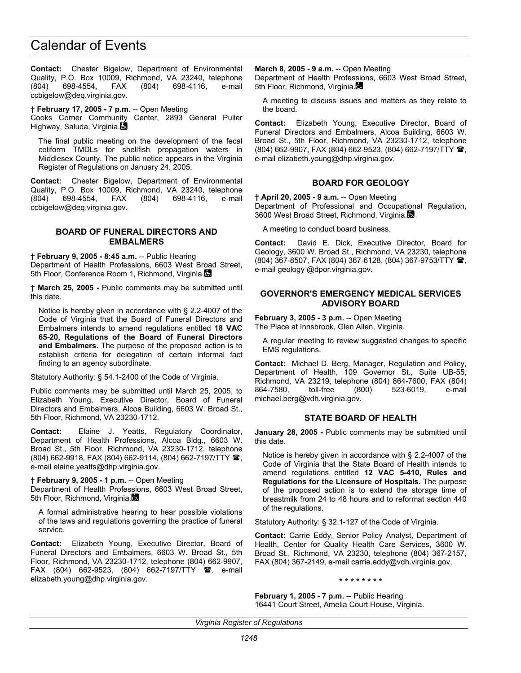**Contact:** Chester Bigelow, Department of Environmental Quality, P.O. Box 10009, Richmond, VA 23240, telephone (804) 698-4554, FAX (804) 698-4116, e-mail ccbigelow@deq.virginia.gov.

**† February 17, 2005 - 7 p.m.** -- Open Meeting Cooks Corner Community Center, 2893 General Puller Highway, Saluda, Virginia.

The final public meeting on the development of the fecal coliform TMDLs for shellfish propagation waters in Middlesex County. The public notice appears in the Virginia Register of Regulations on January 24, 2005.

**Contact:** Chester Bigelow, Department of Environmental Quality, P.O. Box 10009, Richmond, VA 23240, telephone (804) 698-4554, FAX (804) 698-4116, e-mail ccbigelow@deq.virginia.gov.

#### **BOARD OF FUNERAL DIRECTORS AND EMBALMERS**

**† February 9, 2005 - 8:45 a.m.** -- Public Hearing Department of Health Professions, 6603 West Broad Street, 5th Floor, Conference Room 1, Richmond, Virginia.

**† March 25, 2005 -** Public comments may be submitted until this date.

Notice is hereby given in accordance with § 2.2-4007 of the Code of Virginia that the Board of Funeral Directors and Embalmers intends to amend regulations entitled **18 VAC 65-20, Regulations of the Board of Funeral Directors and Embalmers.** The purpose of the proposed action is to establish criteria for delegation of certain informal fact finding to an agency subordinate.

Statutory Authority: § 54.1-2400 of the Code of Virginia.

Public comments may be submitted until March 25, 2005, to Elizabeth Young, Executive Director, Board of Funeral Directors and Embalmers, Alcoa Building, 6603 W. Broad St., 5th Floor, Richmond, VA 23230-1712.

**Contact:** Elaine J. Yeatts, Regulatory Coordinator, Department of Health Professions, Alcoa Bldg., 6603 W. Broad St., 5th Floor, Richmond, VA 23230-1712, telephone (804) 662-9918, FAX (804) 662-9114, (804) 662-7197/TTY <sup>2</sup>, e-mail elaine.yeatts@dhp.virginia.gov.

**† February 9, 2005 - 1 p.m.** -- Open Meeting

Department of Health Professions, 6603 West Broad Street, 5th Floor, Richmond, Virginia.

A formal administrative hearing to hear possible violations of the laws and regulations governing the practice of funeral service.

**Contact:** Elizabeth Young, Executive Director, Board of Funeral Directors and Embalmers, 6603 W. Broad St., 5th Floor, Richmond, VA 23230-1712, telephone (804) 662-9907, FAX (804) 662-9523, (804) 662-7197/TTY  $\mathbf{\mathcal{F}}$ , e-mail elizabeth.young@dhp.virginia.gov.

**March 8, 2005 - 9 a.m.** -- Open Meeting

Department of Health Professions, 6603 West Broad Street, 5th Floor, Richmond, Virginia.

A meeting to discuss issues and matters as they relate to the board.

**Contact:** Elizabeth Young, Executive Director, Board of Funeral Directors and Embalmers, Alcoa Building, 6603 W. Broad St., 5th Floor, Richmond, VA 23230-1712, telephone (804) 662-9907, FAX (804) 662-9523, (804) 662-7197/TTY 2, e-mail elizabeth.young@dhp.virginia.gov.

## **BOARD FOR GEOLOGY**

**† April 20, 2005 - 9 a.m.** -- Open Meeting Department of Professional and Occupational Regulation, 3600 West Broad Street, Richmond, Virginia.

A meeting to conduct board business.

**Contact:** David E. Dick, Executive Director, Board for Geology, 3600 W. Broad St., Richmond, VA 23230, telephone (804) 367-8507, FAX (804) 367-6128, (804) 367-9753/TTY , e-mail geology @dpor.virginia.gov.

### **GOVERNOR'S EMERGENCY MEDICAL SERVICES ADVISORY BOARD**

**February 3, 2005 - 3 p.m.** -- Open Meeting The Place at Innsbrook, Glen Allen, Virginia.

A regular meeting to review suggested changes to specific EMS regulations.

**Contact:** Michael D. Berg, Manager, Regulation and Policy, Department of Health, 109 Governor St., Suite UB-55, Richmond, VA 23219, telephone (804) 864-7600, FAX (804) 864-7580, toll-free (800) 523-6019, e-mail michael.berg@vdh.virginia.gov.

# **STATE BOARD OF HEALTH**

**January 28, 2005 -** Public comments may be submitted until this date.

Notice is hereby given in accordance with § 2.2-4007 of the Code of Virginia that the State Board of Health intends to amend regulations entitled **12 VAC 5-410, Rules and Regulations for the Licensure of Hospitals.** The purpose of the proposed action is to extend the storage time of breastmilk from 24 to 48 hours and to reformat section 440 of the regulations.

Statutory Authority: § 32.1-127 of the Code of Virginia.

**Contact:** Carrie Eddy, Senior Policy Analyst, Department of Health, Center for Quality Health Care Services, 3600 W. Broad St., Richmond, VA 23230, telephone (804) 367-2157, FAX (804) 367-2149, e-mail carrie.eddy@vdh.virginia.gov.

**\* \* \* \* \* \* \* \*** 

**February 1, 2005 - 7 p.m.** -- Public Hearing 16441 Court Street, Amelia Court House, Virginia.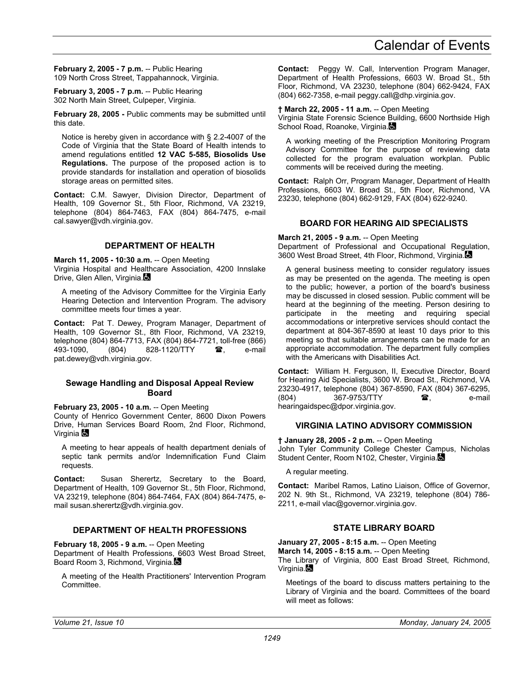**February 2, 2005 - 7 p.m.** -- Public Hearing 109 North Cross Street, Tappahannock, Virginia.

**February 3, 2005 - 7 p.m.** -- Public Hearing 302 North Main Street, Culpeper, Virginia.

**February 28, 2005 -** Public comments may be submitted until this date.

Notice is hereby given in accordance with § 2.2-4007 of the Code of Virginia that the State Board of Health intends to amend regulations entitled **12 VAC 5-585, Biosolids Use Regulations.** The purpose of the proposed action is to provide standards for installation and operation of biosolids storage areas on permitted sites.

**Contact:** C.M. Sawyer, Division Director, Department of Health, 109 Governor St., 5th Floor, Richmond, VA 23219, telephone (804) 864-7463, FAX (804) 864-7475, e-mail cal.sawyer@vdh.virginia.gov.

#### **DEPARTMENT OF HEALTH**

**March 11, 2005 - 10:30 a.m.** -- Open Meeting Virginia Hospital and Healthcare Association, 4200 Innslake Drive, Glen Allen, Virginia.

A meeting of the Advisory Committee for the Virginia Early Hearing Detection and Intervention Program. The advisory committee meets four times a year.

**Contact:** Pat T. Dewey, Program Manager, Department of Health, 109 Governor St., 8th Floor, Richmond, VA 23219, telephone (804) 864-7713, FAX (804) 864-7721, toll-free (866) 493-1090, (804) 828-1120/TTY **?**, e-mail pat.dewey@vdh.virginia.gov.

#### **Sewage Handling and Disposal Appeal Review Board**

**February 23, 2005 - 10 a.m.** -- Open Meeting

County of Henrico Government Center, 8600 Dixon Powers Drive, Human Services Board Room, 2nd Floor, Richmond, Virginia **Co** 

A meeting to hear appeals of health department denials of septic tank permits and/or Indemnification Fund Claim requests.

**Contact:** Susan Sherertz, Secretary to the Board, Department of Health, 109 Governor St., 5th Floor, Richmond, VA 23219, telephone (804) 864-7464, FAX (804) 864-7475, email susan.sherertz@vdh.virginia.gov.

## **DEPARTMENT OF HEALTH PROFESSIONS**

**February 18, 2005 - 9 a.m.** -- Open Meeting Department of Health Professions, 6603 West Broad Street, Board Room 3, Richmond, Virginia.

A meeting of the Health Practitioners' Intervention Program Committee.

**Contact:** Peggy W. Call, Intervention Program Manager, Department of Health Professions, 6603 W. Broad St., 5th Floor, Richmond, VA 23230, telephone (804) 662-9424, FAX (804) 662-7358, e-mail peggy.call@dhp.virginia.gov.

#### **† March 22, 2005 - 11 a.m.** -- Open Meeting

Virginia State Forensic Science Building, 6600 Northside High School Road, Roanoke, Virginia.

A working meeting of the Prescription Monitoring Program Advisory Committee for the purpose of reviewing data collected for the program evaluation workplan. Public comments will be received during the meeting.

**Contact:** Ralph Orr, Program Manager, Department of Health Professions, 6603 W. Broad St., 5th Floor, Richmond, VA 23230, telephone (804) 662-9129, FAX (804) 622-9240.

### **BOARD FOR HEARING AID SPECIALISTS**

#### **March 21, 2005 - 9 a.m.** -- Open Meeting

Department of Professional and Occupational Regulation, 3600 West Broad Street, 4th Floor, Richmond, Virginia.

A general business meeting to consider regulatory issues as may be presented on the agenda. The meeting is open to the public; however, a portion of the board's business may be discussed in closed session. Public comment will be heard at the beginning of the meeting. Person desiring to participate in the meeting and requiring special accommodations or interpretive services should contact the department at 804-367-8590 at least 10 days prior to this meeting so that suitable arrangements can be made for an appropriate accommodation. The department fully complies with the Americans with Disabilities Act.

**Contact:** William H. Ferguson, II, Executive Director, Board for Hearing Aid Specialists, 3600 W. Broad St., Richmond, VA 23230-4917, telephone (804) 367-8590, FAX (804) 367-6295, (804) 367-9753/TTY **a**. e-mail hearingaidspec@dpor.virginia.gov.

### **VIRGINIA LATINO ADVISORY COMMISSION**

**† January 28, 2005 - 2 p.m.** -- Open Meeting John Tyler Community College Chester Campus, Nicholas Student Center, Room N102, Chester, Virginia.

A regular meeting.

**Contact:** Maribel Ramos, Latino Liaison, Office of Governor, 202 N. 9th St., Richmond, VA 23219, telephone (804) 786- 2211, e-mail vlac@governor.virginia.gov.

# **STATE LIBRARY BOARD**

**January 27, 2005 - 8:15 a.m.** -- Open Meeting **March 14, 2005 - 8:15 a.m.** -- Open Meeting The Library of Virginia, 800 East Broad Street, Richmond, Virginia.

Meetings of the board to discuss matters pertaining to the Library of Virginia and the board. Committees of the board will meet as follows: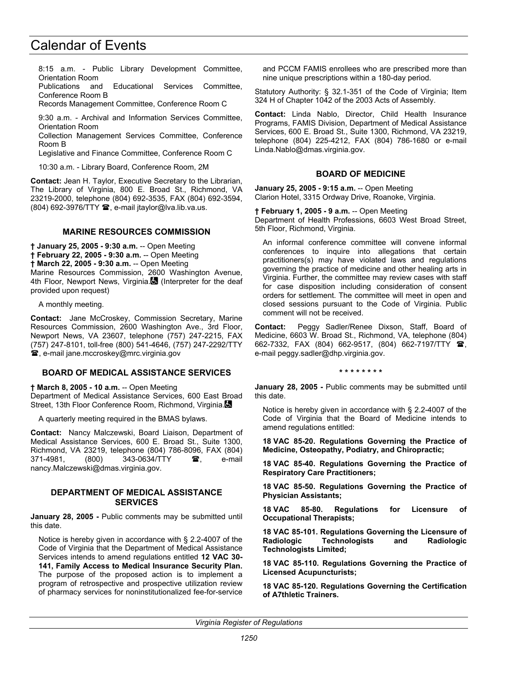8:15 a.m. - Public Library Development Committee, Orientation Room

Publications and Educational Services Committee, Conference Room B

Records Management Committee, Conference Room C

9:30 a.m. - Archival and Information Services Committee, Orientation Room

Collection Management Services Committee, Conference Room B

Legislative and Finance Committee, Conference Room C

10:30 a.m. - Library Board, Conference Room, 2M

**Contact:** Jean H. Taylor, Executive Secretary to the Librarian, The Library of Virginia, 800 E. Broad St., Richmond, VA 23219-2000, telephone (804) 692-3535, FAX (804) 692-3594, (804) 692-3976/TTY <sup>3</sup>, e-mail jtaylor@lva.lib.va.us.

#### **MARINE RESOURCES COMMISSION**

**† January 25, 2005 - 9:30 a.m.** -- Open Meeting **† February 22, 2005 - 9:30 a.m.** -- Open Meeting **† March 22, 2005 - 9:30 a.m.** -- Open Meeting Marine Resources Commission, 2600 Washington Avenue, 4th Floor, Newport News, Virginia. (Interpreter for the deaf provided upon request)

A monthly meeting.

**Contact:** Jane McCroskey, Commission Secretary, Marine Resources Commission, 2600 Washington Ave., 3rd Floor, Newport News, VA 23607, telephone (757) 247-2215, FAX (757) 247-8101, toll-free (800) 541-4646, (757) 247-2292/TTY , e-mail jane.mccroskey@mrc.virginia.gov

#### **BOARD OF MEDICAL ASSISTANCE SERVICES**

**† March 8, 2005 - 10 a.m.** -- Open Meeting

Department of Medical Assistance Services, 600 East Broad Street, 13th Floor Conference Room, Richmond, Virginia.

A quarterly meeting required in the BMAS bylaws.

**Contact:** Nancy Malczewski, Board Liaison, Department of Medical Assistance Services, 600 E. Broad St., Suite 1300, Richmond, VA 23219, telephone (804) 786-8096, FAX (804) 371-4981, (800) 343-0634/TTY **雷**, e-mail nancy.Malczewski@dmas.virginia.gov.

#### **DEPARTMENT OF MEDICAL ASSISTANCE SERVICES**

**January 28, 2005 -** Public comments may be submitted until this date.

Notice is hereby given in accordance with § 2.2-4007 of the Code of Virginia that the Department of Medical Assistance Services intends to amend regulations entitled **12 VAC 30- 141, Family Access to Medical Insurance Security Plan.** The purpose of the proposed action is to implement a program of retrospective and prospective utilization review of pharmacy services for noninstitutionalized fee-for-service and PCCM FAMIS enrollees who are prescribed more than nine unique prescriptions within a 180-day period.

Statutory Authority: § 32.1-351 of the Code of Virginia; Item 324 H of Chapter 1042 of the 2003 Acts of Assembly.

**Contact:** Linda Nablo, Director, Child Health Insurance Programs, FAMIS Division, Department of Medical Assistance Services, 600 E. Broad St., Suite 1300, Richmond, VA 23219, telephone (804) 225-4212, FAX (804) 786-1680 or e-mail Linda.Nablo@dmas.virginia.gov.

#### **BOARD OF MEDICINE**

**January 25, 2005 - 9:15 a.m.** -- Open Meeting Clarion Hotel, 3315 Ordway Drive, Roanoke, Virginia.

**† February 1, 2005 - 9 a.m.** -- Open Meeting Department of Health Professions, 6603 West Broad Street, 5th Floor, Richmond, Virginia.

An informal conference committee will convene informal conferences to inquire into allegations that certain practitioners(s) may have violated laws and regulations governing the practice of medicine and other healing arts in Virginia. Further, the committee may review cases with staff for case disposition including consideration of consent orders for settlement. The committee will meet in open and closed sessions pursuant to the Code of Virginia. Public comment will not be received.

**Contact:** Peggy Sadler/Renee Dixson, Staff, Board of Medicine, 6603 W. Broad St., Richmond, VA, telephone (804) 662-7332, FAX (804) 662-9517, (804) 662-7197/TTY <sup>3</sup>, e-mail peggy.sadler@dhp.virginia.gov.

#### **\* \* \* \* \* \* \* \***

**January 28, 2005 -** Public comments may be submitted until this date.

Notice is hereby given in accordance with § 2.2-4007 of the Code of Virginia that the Board of Medicine intends to amend regulations entitled:

**18 VAC 85-20. Regulations Governing the Practice of Medicine, Osteopathy, Podiatry, and Chiropractic;** 

**18 VAC 85-40. Regulations Governing the Practice of Respiratory Care Practitioners;** 

**18 VAC 85-50. Regulations Governing the Practice of Physician Assistants;** 

**18 VAC 85-80. Regulations for Licensure of Occupational Therapists;** 

**18 VAC 85-101. Regulations Governing the Licensure of Radiologic Technologists and Radiologic Technologists Limited;** 

**18 VAC 85-110. Regulations Governing the Practice of Licensed Acupuncturists;** 

**18 VAC 85-120. Regulations Governing the Certification of A7thletic Trainers.**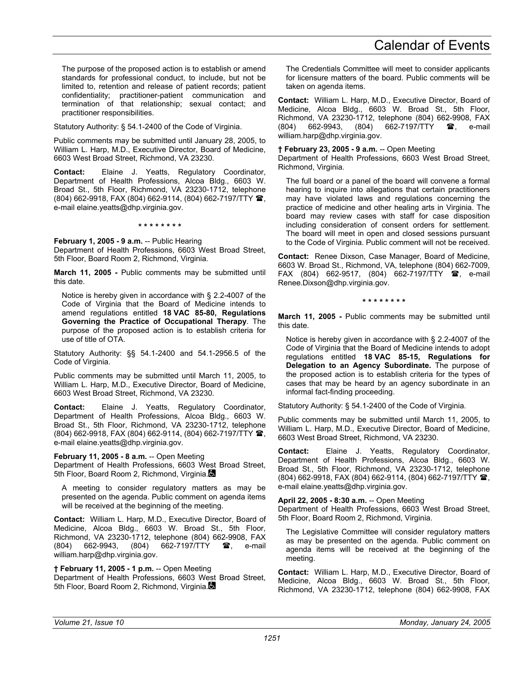The purpose of the proposed action is to establish or amend standards for professional conduct, to include, but not be limited to, retention and release of patient records; patient confidentiality; practitioner-patient communication and termination of that relationship; sexual contact; and practitioner responsibilities.

Statutory Authority: § 54.1-2400 of the Code of Virginia.

Public comments may be submitted until January 28, 2005, to William L. Harp, M.D., Executive Director, Board of Medicine, 6603 West Broad Street, Richmond, VA 23230.

**Contact:** Elaine J. Yeatts, Regulatory Coordinator, Department of Health Professions, Alcoa Bldg., 6603 W. Broad St., 5th Floor, Richmond, VA 23230-1712, telephone (804) 662-9918, FAX (804) 662-9114, (804) 662-7197/TTY , e-mail elaine.yeatts@dhp.virginia.gov.

**\* \* \* \* \* \* \* \*** 

**February 1, 2005 - 9 a.m.** -- Public Hearing

Department of Health Professions, 6603 West Broad Street, 5th Floor, Board Room 2, Richmond, Virginia.

**March 11, 2005 -** Public comments may be submitted until this date.

Notice is hereby given in accordance with § 2.2-4007 of the Code of Virginia that the Board of Medicine intends to amend regulations entitled **18 VAC 85-80, Regulations Governing the Practice of Occupational Therapy**. The purpose of the proposed action is to establish criteria for use of title of OTA.

Statutory Authority: §§ 54.1-2400 and 54.1-2956.5 of the Code of Virginia.

Public comments may be submitted until March 11, 2005, to William L. Harp, M.D., Executive Director, Board of Medicine, 6603 West Broad Street, Richmond, VA 23230.

**Contact:** Elaine J. Yeatts, Regulatory Coordinator, Department of Health Professions, Alcoa Bldg., 6603 W. Broad St., 5th Floor, Richmond, VA 23230-1712, telephone (804) 662-9918, FAX (804) 662-9114, (804) 662-7197/TTY  $\blacksquare$ , e-mail elaine.yeatts@dhp.virginia.gov.

**February 11, 2005 - 8 a.m.** -- Open Meeting

Department of Health Professions, 6603 West Broad Street, 5th Floor, Board Room 2, Richmond, Virginia.

A meeting to consider regulatory matters as may be presented on the agenda. Public comment on agenda items will be received at the beginning of the meeting.

**Contact:** William L. Harp, M.D., Executive Director, Board of Medicine, Alcoa Bldg., 6603 W. Broad St., 5th Floor, Richmond, VA 23230-1712, telephone (804) 662-9908, FAX<br>(804) 662-9943, (804) 662-7197/TTY **28**, e-mail (804) 662-9943, (804) 662-7197/TTY **2**, e-mail william.harp@dhp.virginia.gov.

**† February 11, 2005 - 1 p.m.** -- Open Meeting

Department of Health Professions, 6603 West Broad Street, 5th Floor, Board Room 2, Richmond, Virginia.

The Credentials Committee will meet to consider applicants for licensure matters of the board. Public comments will be taken on agenda items.

**Contact:** William L. Harp, M.D., Executive Director, Board of Medicine, Alcoa Bldg., 6603 W. Broad St., 5th Floor, Richmond, VA 23230-1712, telephone (804) 662-9908, FAX  $(804)$  662-9943,  $(804)$  662-7197/TTY  $\bullet$ , e-mail william.harp@dhp.virginia.gov.

#### **† February 23, 2005 - 9 a.m.** -- Open Meeting

Department of Health Professions, 6603 West Broad Street, Richmond, Virginia.

The full board or a panel of the board will convene a formal hearing to inquire into allegations that certain practitioners may have violated laws and regulations concerning the practice of medicine and other healing arts in Virginia. The board may review cases with staff for case disposition including consideration of consent orders for settlement. The board will meet in open and closed sessions pursuant to the Code of Virginia. Public comment will not be received.

**Contact:** Renee Dixson, Case Manager, Board of Medicine, 6603 W. Broad St., Richmond, VA, telephone (804) 662-7009, FAX (804) 662-9517, (804) 662-7197/TTY **26**, e-mail Renee.Dixson@dhp.virginia.gov.

**\* \* \* \* \* \* \* \*** 

**March 11, 2005 -** Public comments may be submitted until this date.

Notice is hereby given in accordance with § 2.2-4007 of the Code of Virginia that the Board of Medicine intends to adopt regulations entitled **18 VAC 85-15, Regulations for Delegation to an Agency Subordinate.** The purpose of the proposed action is to establish criteria for the types of cases that may be heard by an agency subordinate in an informal fact-finding proceeding.

Statutory Authority: § 54.1-2400 of the Code of Virginia.

Public comments may be submitted until March 11, 2005, to William L. Harp, M.D., Executive Director, Board of Medicine, 6603 West Broad Street, Richmond, VA 23230.

**Contact:** Elaine J. Yeatts, Regulatory Coordinator, Department of Health Professions, Alcoa Bldg., 6603 W. Broad St., 5th Floor, Richmond, VA 23230-1712, telephone (804) 662-9918, FAX (804) 662-9114, (804) 662-7197/TTY <sup>2</sup>, e-mail elaine.yeatts@dhp.virginia.gov.

**April 22, 2005 - 8:30 a.m.** -- Open Meeting Department of Health Professions, 6603 West Broad Street, 5th Floor, Board Room 2, Richmond, Virginia.

The Legislative Committee will consider regulatory matters as may be presented on the agenda. Public comment on agenda items will be received at the beginning of the meeting.

**Contact:** William L. Harp, M.D., Executive Director, Board of Medicine, Alcoa Bldg., 6603 W. Broad St., 5th Floor, Richmond, VA 23230-1712, telephone (804) 662-9908, FAX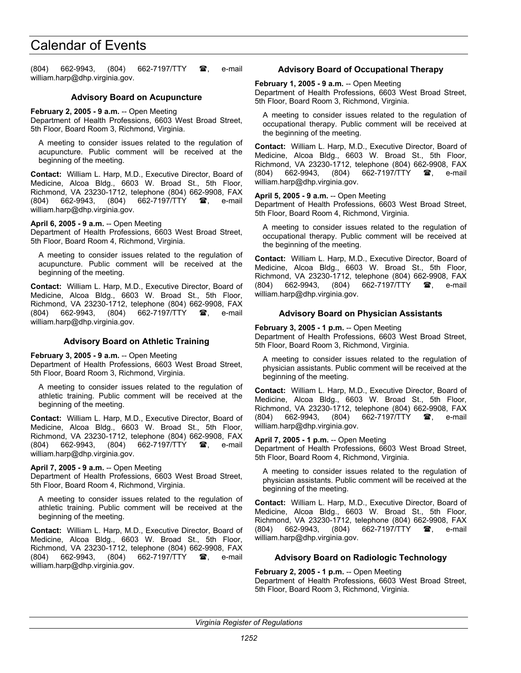(804) 662-9943, (804) 662-7197/TTY  $\mathbf{\mathscr{F}}$ , e-mail william.harp@dhp.virginia.gov.

### **Advisory Board on Acupuncture**

**February 2, 2005 - 9 a.m.** -- Open Meeting

Department of Health Professions, 6603 West Broad Street, 5th Floor, Board Room 3, Richmond, Virginia.

A meeting to consider issues related to the regulation of acupuncture. Public comment will be received at the beginning of the meeting.

**Contact:** William L. Harp, M.D., Executive Director, Board of Medicine, Alcoa Bldg., 6603 W. Broad St., 5th Floor, Richmond, VA 23230-1712, telephone (804) 662-9908, FAX (804) 662-9943, (804) 662-7197/TTY <sup>3</sup>, e-mail william.harp@dhp.virginia.gov.

**April 6, 2005 - 9 a.m.** -- Open Meeting

Department of Health Professions, 6603 West Broad Street, 5th Floor, Board Room 4, Richmond, Virginia.

A meeting to consider issues related to the regulation of acupuncture. Public comment will be received at the beginning of the meeting.

**Contact:** William L. Harp, M.D., Executive Director, Board of Medicine, Alcoa Bldg., 6603 W. Broad St., 5th Floor, Richmond, VA 23230-1712, telephone (804) 662-9908, FAX (804) 662-9943, (804) 662-7197/TTY **雪**, e-mail william.harp@dhp.virginia.gov.

### **Advisory Board on Athletic Training**

**February 3, 2005 - 9 a.m.** -- Open Meeting

Department of Health Professions, 6603 West Broad Street, 5th Floor, Board Room 3, Richmond, Virginia.

A meeting to consider issues related to the regulation of athletic training. Public comment will be received at the beginning of the meeting.

**Contact:** William L. Harp, M.D., Executive Director, Board of Medicine, Alcoa Bldg., 6603 W. Broad St., 5th Floor, Richmond, VA 23230-1712, telephone (804) 662-9908, FAX (804) 662-9943, (804) 662-7197/TTY **雷**, e-mail william.harp@dhp.virginia.gov.

#### **April 7, 2005 - 9 a.m.** -- Open Meeting

Department of Health Professions, 6603 West Broad Street, 5th Floor, Board Room 4, Richmond, Virginia.

A meeting to consider issues related to the regulation of athletic training. Public comment will be received at the beginning of the meeting.

**Contact:** William L. Harp, M.D., Executive Director, Board of Medicine, Alcoa Bldg., 6603 W. Broad St., 5th Floor, Richmond, VA 23230-1712, telephone (804) 662-9908, FAX (804) 662-9943, (804) 662-7197/TTY **雪**, e-mail william.harp@dhp.virginia.gov.

# **Advisory Board of Occupational Therapy**

**February 1, 2005 - 9 a.m.** -- Open Meeting Department of Health Professions, 6603 West Broad Street, 5th Floor, Board Room 3, Richmond, Virginia.

A meeting to consider issues related to the regulation of occupational therapy. Public comment will be received at the beginning of the meeting.

**Contact:** William L. Harp, M.D., Executive Director, Board of Medicine, Alcoa Bldg., 6603 W. Broad St., 5th Floor, Richmond, VA 23230-1712, telephone (804) 662-9908, FAX (804) 662-9943, (804) 662-7197/TTY **雷**, e-mail william.harp@dhp.virginia.gov.

#### **April 5, 2005 - 9 a.m.** -- Open Meeting

Department of Health Professions, 6603 West Broad Street, 5th Floor, Board Room 4, Richmond, Virginia.

A meeting to consider issues related to the regulation of occupational therapy. Public comment will be received at the beginning of the meeting.

**Contact:** William L. Harp, M.D., Executive Director, Board of Medicine, Alcoa Bldg., 6603 W. Broad St., 5th Floor, Richmond, VA 23230-1712, telephone (804) 662-9908, FAX (804) 662-9943, (804) 662-7197/TTY **2**, e-mail william.harp@dhp.virginia.gov.

## **Advisory Board on Physician Assistants**

**February 3, 2005 - 1 p.m.** -- Open Meeting

Department of Health Professions, 6603 West Broad Street, 5th Floor, Board Room 3, Richmond, Virginia.

A meeting to consider issues related to the regulation of physician assistants. Public comment will be received at the beginning of the meeting.

**Contact:** William L. Harp, M.D., Executive Director, Board of Medicine, Alcoa Bldg., 6603 W. Broad St., 5th Floor, Richmond, VA 23230-1712, telephone (804) 662-9908, FAX (804) 662-9943, (804) 662-7197/TTY **2**, e-mail william.harp@dhp.virginia.gov.

### **April 7, 2005 - 1 p.m.** -- Open Meeting

Department of Health Professions, 6603 West Broad Street, 5th Floor, Board Room 4, Richmond, Virginia.

A meeting to consider issues related to the regulation of physician assistants. Public comment will be received at the beginning of the meeting.

**Contact:** William L. Harp, M.D., Executive Director, Board of Medicine, Alcoa Bldg., 6603 W. Broad St., 5th Floor, Richmond, VA 23230-1712, telephone (804) 662-9908, FAX (804) 662-9943, (804) 662-7197/TTY **2**, e-mail william.harp@dhp.virginia.gov.

# **Advisory Board on Radiologic Technology**

#### **February 2, 2005 - 1 p.m.** -- Open Meeting

Department of Health Professions, 6603 West Broad Street, 5th Floor, Board Room 3, Richmond, Virginia.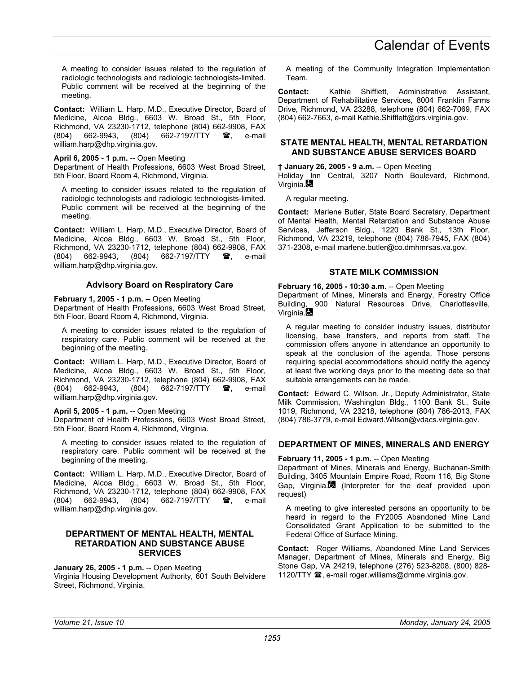A meeting to consider issues related to the regulation of radiologic technologists and radiologic technologists-limited. Public comment will be received at the beginning of the meeting.

**Contact:** William L. Harp, M.D., Executive Director, Board of Medicine, Alcoa Bldg., 6603 W. Broad St., 5th Floor, Richmond, VA 23230-1712, telephone (804) 662-9908, FAX<br>(804) 662-9943, (804) 662-7197/TTY **28**, e-mail 662-7197/TTY  $\bullet$ , e-mail william.harp@dhp.virginia.gov.

# **April 6, 2005 - 1 p.m.** -- Open Meeting

Department of Health Professions, 6603 West Broad Street, 5th Floor, Board Room 4, Richmond, Virginia.

A meeting to consider issues related to the regulation of radiologic technologists and radiologic technologists-limited. Public comment will be received at the beginning of the meeting.

**Contact:** William L. Harp, M.D., Executive Director, Board of Medicine, Alcoa Bldg., 6603 W. Broad St., 5th Floor, Richmond, VA 23230-1712, telephone (804) 662-9908, FAX (804) 662-9943, (804) 662-7197/TTY  $\circledR$ , e-mail william.harp@dhp.virginia.gov.

# **Advisory Board on Respiratory Care**

# **February 1, 2005 - 1 p.m.** -- Open Meeting

Department of Health Professions, 6603 West Broad Street, 5th Floor, Board Room 4, Richmond, Virginia.

A meeting to consider issues related to the regulation of respiratory care. Public comment will be received at the beginning of the meeting.

**Contact:** William L. Harp, M.D., Executive Director, Board of Medicine, Alcoa Bldg., 6603 W. Broad St., 5th Floor, Richmond, VA 23230-1712, telephone (804) 662-9908, FAX<br>(804) 662-9943, (804) 662-7197/TTY **28**, e-mail (804) 662-9943, (804) 662-7197/TTY  $\circledR$ , e-mail william.harp@dhp.virginia.gov.

# **April 5, 2005 - 1 p.m.** -- Open Meeting

Department of Health Professions, 6603 West Broad Street, 5th Floor, Board Room 4, Richmond, Virginia.

A meeting to consider issues related to the regulation of respiratory care. Public comment will be received at the beginning of the meeting.

**Contact:** William L. Harp, M.D., Executive Director, Board of Medicine, Alcoa Bldg., 6603 W. Broad St., 5th Floor, Richmond, VA 23230-1712, telephone (804) 662-9908, FAX (804) 662-9943, (804) 662-7197/TTY  $\mathbf{\mathscr{F}}$ , e-mail william.harp@dhp.virginia.gov.

### **DEPARTMENT OF MENTAL HEALTH, MENTAL RETARDATION AND SUBSTANCE ABUSE SERVICES**

# **January 26, 2005 - 1 p.m.** -- Open Meeting

Virginia Housing Development Authority, 601 South Belvidere Street, Richmond, Virginia.

A meeting of the Community Integration Implementation Team.

**Contact:** Kathie Shifflett, Administrative Assistant, Department of Rehabilitative Services, 8004 Franklin Farms Drive, Richmond, VA 23288, telephone (804) 662-7069, FAX (804) 662-7663, e-mail Kathie.Shifflett@drs.virginia.gov.

# **STATE MENTAL HEALTH, MENTAL RETARDATION AND SUBSTANCE ABUSE SERVICES BOARD**

# **† January 26, 2005 - 9 a.m.** -- Open Meeting

Holiday Inn Central, 3207 North Boulevard, Richmond, Virginia.

A regular meeting.

**Contact:** Marlene Butler, State Board Secretary, Department of Mental Health, Mental Retardation and Substance Abuse Services, Jefferson Bldg., 1220 Bank St., 13th Floor, Richmond, VA 23219, telephone (804) 786-7945, FAX (804) 371-2308, e-mail marlene.butler@co.dmhmrsas.va.gov.

# **STATE MILK COMMISSION**

## **February 16, 2005 - 10:30 a.m.** -- Open Meeting

Department of Mines, Minerals and Energy, Forestry Office Building, 900 Natural Resources Drive, Charlottesville, Virginia.

A regular meeting to consider industry issues, distributor licensing, base transfers, and reports from staff. The commission offers anyone in attendance an opportunity to speak at the conclusion of the agenda. Those persons requiring special accommodations should notify the agency at least five working days prior to the meeting date so that suitable arrangements can be made.

**Contact:** Edward C. Wilson, Jr., Deputy Administrator, State Milk Commission, Washington Bldg., 1100 Bank St., Suite 1019, Richmond, VA 23218, telephone (804) 786-2013, FAX (804) 786-3779, e-mail Edward.Wilson@vdacs.virginia.gov.

# **DEPARTMENT OF MINES, MINERALS AND ENERGY**

# **February 11, 2005 - 1 p.m.** -- Open Meeting

Department of Mines, Minerals and Energy, Buchanan-Smith Building, 3405 Mountain Empire Road, Room 116, Big Stone Gap, Virginia. (Interpreter for the deaf provided upon request)

A meeting to give interested persons an opportunity to be heard in regard to the FY2005 Abandoned Mine Land Consolidated Grant Application to be submitted to the Federal Office of Surface Mining.

**Contact:** Roger Williams, Abandoned Mine Land Services Manager, Department of Mines, Minerals and Energy, Big Stone Gap, VA 24219, telephone (276) 523-8208, (800) 828- 1120/TTY  $\mathbf{\mathcal{D}}$ , e-mail roger.williams@dmme.virginia.gov.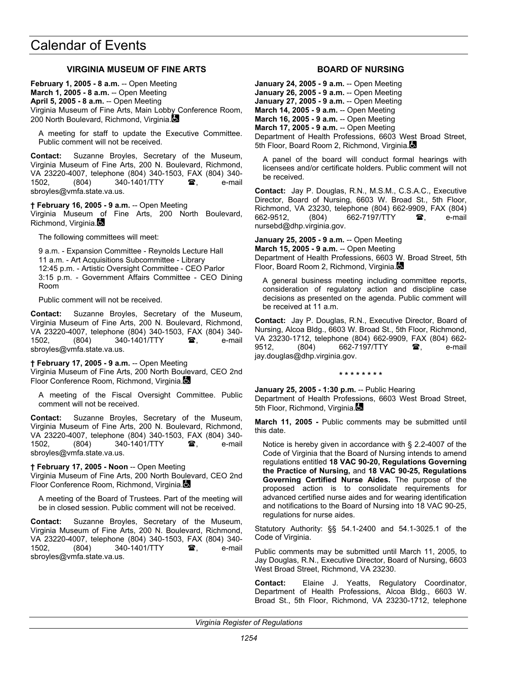# **VIRGINIA MUSEUM OF FINE ARTS**

**February 1, 2005 - 8 a.m.** -- Open Meeting **March 1, 2005 - 8 a.m.** -- Open Meeting **April 5, 2005 - 8 a.m.** -- Open Meeting Virginia Museum of Fine Arts, Main Lobby Conference Room, 200 North Boulevard, Richmond, Virginia.

A meeting for staff to update the Executive Committee. Public comment will not be received.

**Contact:** Suzanne Broyles, Secretary of the Museum, Virginia Museum of Fine Arts, 200 N. Boulevard, Richmond, VA 23220-4007, telephone (804) 340-1503, FAX (804) 340- 1502. (804) 340-1401/TTY **a**, e-mail sbroyles@vmfa.state.va.us.

**† February 16, 2005 - 9 a.m.** -- Open Meeting Virginia Museum of Fine Arts, 200 North Boulevard, Richmond, Virginia.

The following committees will meet:

9 a.m. - Expansion Committee - Reynolds Lecture Hall 11 a.m. - Art Acquisitions Subcommittee - Library 12:45 p.m. - Artistic Oversight Committee - CEO Parlor 3:15 p.m. - Government Affairs Committee - CEO Dining Room

Public comment will not be received.

**Contact:** Suzanne Broyles, Secretary of the Museum, Virginia Museum of Fine Arts, 200 N. Boulevard, Richmond, VA 23220-4007, telephone (804) 340-1503, FAX (804) 340- 1502, (804) 340-1401/TTY **雷**, e-mail sbroyles@vmfa.state.va.us.

**† February 17, 2005 - 9 a.m.** -- Open Meeting Virginia Museum of Fine Arts, 200 North Boulevard, CEO 2nd Floor Conference Room, Richmond, Virginia.

A meeting of the Fiscal Oversight Committee. Public comment will not be received.

**Contact:** Suzanne Broyles, Secretary of the Museum, Virginia Museum of Fine Arts, 200 N. Boulevard, Richmond, VA 23220-4007, telephone (804) 340-1503, FAX (804) 340- 1502, (804) 340-1401/TTY **雷**, e-mail sbroyles@vmfa.state.va.us.

**† February 17, 2005 - Noon** -- Open Meeting

Virginia Museum of Fine Arts, 200 North Boulevard, CEO 2nd Floor Conference Room, Richmond, Virginia.

A meeting of the Board of Trustees. Part of the meeting will be in closed session. Public comment will not be received.

**Contact:** Suzanne Broyles, Secretary of the Museum, Virginia Museum of Fine Arts, 200 N. Boulevard, Richmond, VA 23220-4007, telephone (804) 340-1503, FAX (804) 340- 1502, (804) 340-1401/TTY **雷**, e-mail sbroyles@vmfa.state.va.us.

## **BOARD OF NURSING**

**January 24, 2005 - 9 a.m.** -- Open Meeting **January 26, 2005 - 9 a.m.** -- Open Meeting **January 27, 2005 - 9 a.m.** -- Open Meeting **March 14, 2005 - 9 a.m.** -- Open Meeting **March 16, 2005 - 9 a.m.** -- Open Meeting **March 17, 2005 - 9 a.m.** -- Open Meeting Department of Health Professions, 6603 West Broad Street, 5th Floor, Board Room 2, Richmond, Virginia.

A panel of the board will conduct formal hearings with licensees and/or certificate holders. Public comment will not be received.

**Contact:** Jay P. Douglas, R.N., M.S.M., C.S.A.C., Executive Director, Board of Nursing, 6603 W. Broad St., 5th Floor, Richmond, VA 23230, telephone (804) 662-9909, FAX (804) 662-9512, (804) 662-7197/TTY **雷**, e-mail nursebd@dhp.virginia.gov.

**January 25, 2005 - 9 a.m.** -- Open Meeting **March 15, 2005 - 9 a.m.** -- Open Meeting Department of Health Professions, 6603 W. Broad Street, 5th Floor, Board Room 2, Richmond, Virginia.

A general business meeting including committee reports, consideration of regulatory action and discipline case decisions as presented on the agenda. Public comment will be received at 11 a.m.

**Contact:** Jay P. Douglas, R.N., Executive Director, Board of Nursing, Alcoa Bldg., 6603 W. Broad St., 5th Floor, Richmond, VA 23230-1712, telephone (804) 662-9909, FAX (804) 662- 9512, (804) 662-7197/TTY **a**, e-mail jay.douglas@dhp.virginia.gov.

#### **\* \* \* \* \* \* \* \***

**January 25, 2005 - 1:30 p.m.** -- Public Hearing Department of Health Professions, 6603 West Broad Street, 5th Floor, Richmond, Virginia.

**March 11, 2005 -** Public comments may be submitted until this date.

Notice is hereby given in accordance with § 2.2-4007 of the Code of Virginia that the Board of Nursing intends to amend regulations entitled **18 VAC 90-20, Regulations Governing the Practice of Nursing,** and **18 VAC 90-25, Regulations Governing Certified Nurse Aides.** The purpose of the proposed action is to consolidate requirements for advanced certified nurse aides and for wearing identification and notifications to the Board of Nursing into 18 VAC 90-25, regulations for nurse aides.

Statutory Authority: §§ 54.1-2400 and 54.1-3025.1 of the Code of Virginia.

Public comments may be submitted until March 11, 2005, to Jay Douglas, R.N., Executive Director, Board of Nursing, 6603 West Broad Street, Richmond, VA 23230.

**Contact:** Elaine J. Yeatts, Regulatory Coordinator, Department of Health Professions, Alcoa Bldg., 6603 W. Broad St., 5th Floor, Richmond, VA 23230-1712, telephone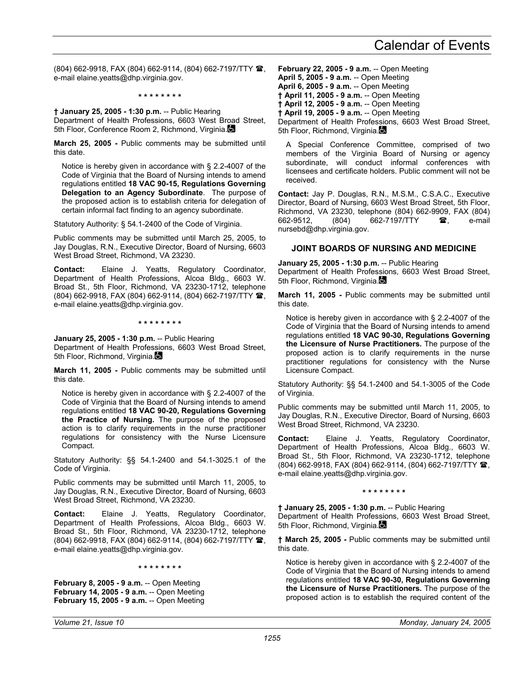(804) 662-9918, FAX (804) 662-9114, (804) 662-7197/TTY <sup>2</sup>, e-mail elaine.yeatts@dhp.virginia.gov.

**\* \* \* \* \* \* \* \*** 

**† January 25, 2005 - 1:30 p.m.** -- Public Hearing Department of Health Professions, 6603 West Broad Street, 5th Floor, Conference Room 2, Richmond, Virginia.

**March 25, 2005 -** Public comments may be submitted until this date.

Notice is hereby given in accordance with § 2.2-4007 of the Code of Virginia that the Board of Nursing intends to amend regulations entitled **18 VAC 90-15, Regulations Governing Delegation to an Agency Subordinate**. The purpose of the proposed action is to establish criteria for delegation of certain informal fact finding to an agency subordinate.

Statutory Authority: § 54.1-2400 of the Code of Virginia.

Public comments may be submitted until March 25, 2005, to Jay Douglas, R.N., Executive Director, Board of Nursing, 6603 West Broad Street, Richmond, VA 23230.

**Contact:** Elaine J. Yeatts, Regulatory Coordinator, Department of Health Professions, Alcoa Bldg., 6603 W. Broad St., 5th Floor, Richmond, VA 23230-1712, telephone (804) 662-9918, FAX (804) 662-9114, (804) 662-7197/TTY <sup>2</sup>. e-mail elaine.yeatts@dhp.virginia.gov.

**\* \* \* \* \* \* \* \*** 

**January 25, 2005 - 1:30 p.m.** -- Public Hearing Department of Health Professions, 6603 West Broad Street, 5th Floor, Richmond, Virginia.

**March 11, 2005 -** Public comments may be submitted until this date.

Notice is hereby given in accordance with § 2.2-4007 of the Code of Virginia that the Board of Nursing intends to amend regulations entitled **18 VAC 90-20, Regulations Governing the Practice of Nursing.** The purpose of the proposed action is to clarify requirements in the nurse practitioner regulations for consistency with the Nurse Licensure Compact.

Statutory Authority: §§ 54.1-2400 and 54.1-3025.1 of the Code of Virginia.

Public comments may be submitted until March 11, 2005, to Jay Douglas, R.N., Executive Director, Board of Nursing, 6603 West Broad Street, Richmond, VA 23230.

**Contact:** Elaine J. Yeatts, Regulatory Coordinator, Department of Health Professions, Alcoa Bldg., 6603 W. Broad St., 5th Floor, Richmond, VA 23230-1712, telephone (804) 662-9918, FAX (804) 662-9114, (804) 662-7197/TTY  $\mathbf{\mathcal{B}}$ , e-mail elaine.yeatts@dhp.virginia.gov.

**\* \* \* \* \* \* \* \*** 

**February 8, 2005 - 9 a.m.** -- Open Meeting **February 14, 2005 - 9 a.m.** -- Open Meeting **February 15, 2005 - 9 a.m.** -- Open Meeting **February 22, 2005 - 9 a.m.** -- Open Meeting **April 5, 2005 - 9 a.m.** -- Open Meeting **April 6, 2005 - 9 a.m.** -- Open Meeting **† April 11, 2005 - 9 a.m.** -- Open Meeting **† April 12, 2005 - 9 a.m.** -- Open Meeting **† April 19, 2005 - 9 a.m.** -- Open Meeting Department of Health Professions, 6603 West Broad Street, 5th Floor, Richmond, Virginia.

A Special Conference Committee, comprised of two members of the Virginia Board of Nursing or agency subordinate, will conduct informal conferences with licensees and certificate holders. Public comment will not be received.

**Contact:** Jay P. Douglas, R.N., M.S.M., C.S.A.C., Executive Director, Board of Nursing, 6603 West Broad Street, 5th Floor, Richmond, VA 23230, telephone (804) 662-9909, FAX (804) 662-9512. (804) 662-7197/TTY **a** e-mail nursebd@dhp.virginia.gov.

#### **JOINT BOARDS OF NURSING AND MEDICINE**

**January 25, 2005 - 1:30 p.m.** -- Public Hearing Department of Health Professions, 6603 West Broad Street, 5th Floor, Richmond, Virginia.

**March 11, 2005 -** Public comments may be submitted until this date.

Notice is hereby given in accordance with § 2.2-4007 of the Code of Virginia that the Board of Nursing intends to amend regulations entitled **18 VAC 90-30, Regulations Governing the Licensure of Nurse Practitioners.** The purpose of the proposed action is to clarify requirements in the nurse practitioner regulations for consistency with the Nurse Licensure Compact.

Statutory Authority: §§ 54.1-2400 and 54.1-3005 of the Code of Virginia.

Public comments may be submitted until March 11, 2005, to Jay Douglas, R.N., Executive Director, Board of Nursing, 6603 West Broad Street, Richmond, VA 23230.

**Contact:** Elaine J. Yeatts, Regulatory Coordinator, Department of Health Professions, Alcoa Bldg., 6603 W. Broad St., 5th Floor, Richmond, VA 23230-1712, telephone (804) 662-9918, FAX (804) 662-9114, (804) 662-7197/TTY , e-mail elaine.yeatts@dhp.virginia.gov.

**\* \* \* \* \* \* \* \*** 

**† January 25, 2005 - 1:30 p.m.** -- Public Hearing Department of Health Professions, 6603 West Broad Street, 5th Floor, Richmond, Virginia.

**† March 25, 2005 -** Public comments may be submitted until this date.

Notice is hereby given in accordance with § 2.2-4007 of the Code of Virginia that the Board of Nursing intends to amend regulations entitled **18 VAC 90-30, Regulations Governing the Licensure of Nurse Practitioners.** The purpose of the proposed action is to establish the required content of the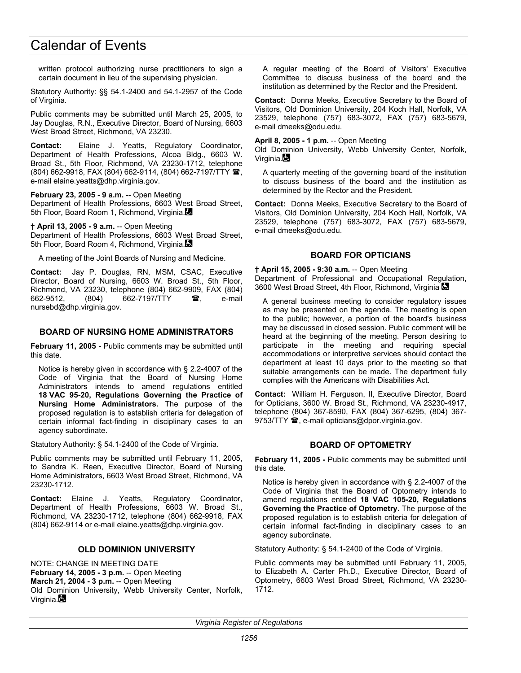written protocol authorizing nurse practitioners to sign a certain document in lieu of the supervising physician.

Statutory Authority: §§ 54.1-2400 and 54.1-2957 of the Code of Virginia.

Public comments may be submitted until March 25, 2005, to Jay Douglas, R.N., Executive Director, Board of Nursing, 6603 West Broad Street, Richmond, VA 23230.

**Contact:** Elaine J. Yeatts, Regulatory Coordinator, Department of Health Professions, Alcoa Bldg., 6603 W. Broad St., 5th Floor, Richmond, VA 23230-1712, telephone (804) 662-9918, FAX (804) 662-9114, (804) 662-7197/TTY <sup>2</sup>, e-mail elaine.yeatts@dhp.virginia.gov.

**February 23, 2005 - 9 a.m.** -- Open Meeting Department of Health Professions, 6603 West Broad Street, 5th Floor, Board Room 1, Richmond, Virginia.

**† April 13, 2005 - 9 a.m.** -- Open Meeting Department of Health Professions, 6603 West Broad Street, 5th Floor, Board Room 4, Richmond, Virginia.

A meeting of the Joint Boards of Nursing and Medicine.

**Contact:** Jay P. Douglas, RN, MSM, CSAC, Executive Director, Board of Nursing, 6603 W. Broad St., 5th Floor, Richmond, VA 23230, telephone (804) 662-9909, FAX (804) 662-9512, (804) 662-7197/TTY **雷**, e-mail nursebd@dhp.virginia.gov.

### **BOARD OF NURSING HOME ADMINISTRATORS**

**February 11, 2005 -** Public comments may be submitted until this date.

Notice is hereby given in accordance with § 2.2-4007 of the Code of Virginia that the Board of Nursing Home Administrators intends to amend regulations entitled **18 VAC 95-20, Regulations Governing the Practice of Nursing Home Administrators.** The purpose of the proposed regulation is to establish criteria for delegation of certain informal fact-finding in disciplinary cases to an agency subordinate.

Statutory Authority: § 54.1-2400 of the Code of Virginia.

Public comments may be submitted until February 11, 2005, to Sandra K. Reen, Executive Director, Board of Nursing Home Administrators, 6603 West Broad Street, Richmond, VA 23230-1712.

**Contact:** Elaine J. Yeatts, Regulatory Coordinator, Department of Health Professions, 6603 W. Broad St., Richmond, VA 23230-1712, telephone (804) 662-9918, FAX (804) 662-9114 or e-mail elaine.yeatts@dhp.virginia.gov.

#### **OLD DOMINION UNIVERSITY**

NOTE: CHANGE IN MEETING DATE **February 14, 2005 - 3 p.m. -- Open Meeting March 21, 2004 - 3 p.m.** -- Open Meeting Old Dominion University, Webb University Center, Norfolk, Virginia.

A regular meeting of the Board of Visitors' Executive Committee to discuss business of the board and the institution as determined by the Rector and the President.

**Contact:** Donna Meeks, Executive Secretary to the Board of Visitors, Old Dominion University, 204 Koch Hall, Norfolk, VA 23529, telephone (757) 683-3072, FAX (757) 683-5679, e-mail dmeeks@odu.edu.

**April 8, 2005 - 1 p.m.** -- Open Meeting

Old Dominion University, Webb University Center, Norfolk, Virginia.**⊠** 

A quarterly meeting of the governing board of the institution to discuss business of the board and the institution as determined by the Rector and the President.

**Contact:** Donna Meeks, Executive Secretary to the Board of Visitors, Old Dominion University, 204 Koch Hall, Norfolk, VA 23529, telephone (757) 683-3072, FAX (757) 683-5679, e-mail dmeeks@odu.edu.

### **BOARD FOR OPTICIANS**

**† April 15, 2005 - 9:30 a.m.** -- Open Meeting Department of Professional and Occupational Regulation, 3600 West Broad Street, 4th Floor, Richmond, Virginia

A general business meeting to consider regulatory issues as may be presented on the agenda. The meeting is open to the public; however, a portion of the board's business may be discussed in closed session. Public comment will be heard at the beginning of the meeting. Person desiring to participate in the meeting and requiring special accommodations or interpretive services should contact the department at least 10 days prior to the meeting so that suitable arrangements can be made. The department fully complies with the Americans with Disabilities Act.

**Contact:** William H. Ferguson, II, Executive Director, Board for Opticians, 3600 W. Broad St., Richmond, VA 23230-4917, telephone (804) 367-8590, FAX (804) 367-6295, (804) 367- 9753/TTY <sup>3</sup>, e-mail opticians@dpor.virginia.gov.

# **BOARD OF OPTOMETRY**

**February 11, 2005 -** Public comments may be submitted until this date.

Notice is hereby given in accordance with § 2.2-4007 of the Code of Virginia that the Board of Optometry intends to amend regulations entitled **18 VAC 105-20, Regulations Governing the Practice of Optometry.** The purpose of the proposed regulation is to establish criteria for delegation of certain informal fact-finding in disciplinary cases to an agency subordinate.

Statutory Authority: § 54.1-2400 of the Code of Virginia.

Public comments may be submitted until February 11, 2005, to Elizabeth A. Carter Ph.D., Executive Director, Board of Optometry, 6603 West Broad Street, Richmond, VA 23230- 1712.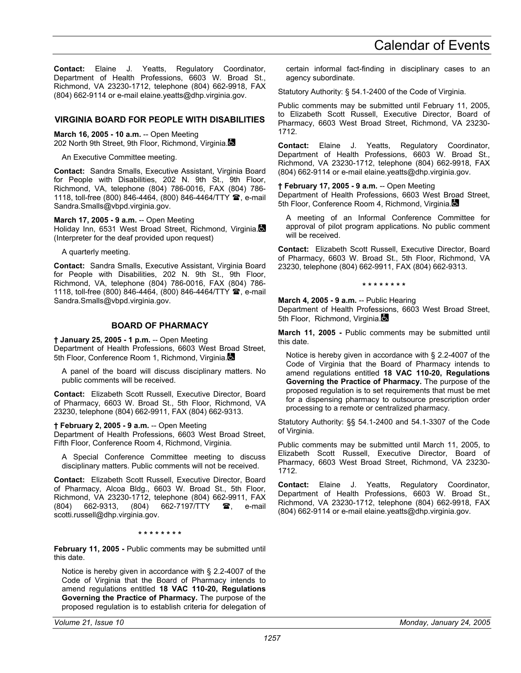**Contact:** Elaine J. Yeatts, Regulatory Coordinator, Department of Health Professions, 6603 W. Broad St., Richmond, VA 23230-1712, telephone (804) 662-9918, FAX (804) 662-9114 or e-mail elaine.yeatts@dhp.virginia.gov.

## **VIRGINIA BOARD FOR PEOPLE WITH DISABILITIES**

**March 16, 2005 - 10 a.m.** -- Open Meeting 202 North 9th Street, 9th Floor, Richmond, Virginia.

An Executive Committee meeting.

**Contact:** Sandra Smalls, Executive Assistant, Virginia Board for People with Disabilities, 202 N. 9th St., 9th Floor, Richmond, VA, telephone (804) 786-0016, FAX (804) 786- 1118, toll-free (800) 846-4464, (800) 846-4464/TTY <sup>2</sup>, e-mail Sandra.Smalls@vbpd.virginia.gov.

**March 17, 2005 - 9 a.m.** -- Open Meeting Holiday Inn, 6531 West Broad Street, Richmond, Virginia. (Interpreter for the deaf provided upon request)

A quarterly meeting.

**Contact:** Sandra Smalls, Executive Assistant, Virginia Board for People with Disabilities, 202 N. 9th St., 9th Floor, Richmond, VA, telephone (804) 786-0016, FAX (804) 786- 1118, toll-free (800) 846-4464, (800) 846-4464/TTY <sup>3</sup>, e-mail Sandra.Smalls@vbpd.virginia.gov.

## **BOARD OF PHARMACY**

**† January 25, 2005 - 1 p.m.** -- Open Meeting Department of Health Professions, 6603 West Broad Street, 5th Floor, Conference Room 1, Richmond, Virginia.

A panel of the board will discuss disciplinary matters. No public comments will be received.

**Contact:** Elizabeth Scott Russell, Executive Director, Board of Pharmacy, 6603 W. Broad St., 5th Floor, Richmond, VA 23230, telephone (804) 662-9911, FAX (804) 662-9313.

**† February 2, 2005 - 9 a.m.** -- Open Meeting

Department of Health Professions, 6603 West Broad Street, Fifth Floor, Conference Room 4, Richmond, Virginia.

A Special Conference Committee meeting to discuss disciplinary matters. Public comments will not be received.

**Contact:** Elizabeth Scott Russell, Executive Director, Board of Pharmacy, Alcoa Bldg., 6603 W. Broad St., 5th Floor, Richmond, VA 23230-1712, telephone (804) 662-9911, FAX (804) 662-9313, (804) 662-7197/TTY <sup>1</sup>, e-mail scotti.russell@dhp.virginia.gov.

#### **\* \* \* \* \* \* \* \***

**February 11, 2005 -** Public comments may be submitted until this date.

Notice is hereby given in accordance with § 2.2-4007 of the Code of Virginia that the Board of Pharmacy intends to amend regulations entitled **18 VAC 110-20, Regulations Governing the Practice of Pharmacy.** The purpose of the proposed regulation is to establish criteria for delegation of certain informal fact-finding in disciplinary cases to an agency subordinate.

Statutory Authority: § 54.1-2400 of the Code of Virginia.

Public comments may be submitted until February 11, 2005, to Elizabeth Scott Russell, Executive Director, Board of Pharmacy, 6603 West Broad Street, Richmond, VA 23230- 1712.

**Contact:** Elaine J. Yeatts, Regulatory Coordinator, Department of Health Professions, 6603 W. Broad St., Richmond, VA 23230-1712, telephone (804) 662-9918, FAX (804) 662-9114 or e-mail elaine.yeatts@dhp.virginia.gov.

**† February 17, 2005 - 9 a.m.** -- Open Meeting Department of Health Professions, 6603 West Broad Street, 5th Floor, Conference Room 4, Richmond, Virginia.

A meeting of an Informal Conference Committee for approval of pilot program applications. No public comment will be received.

**Contact:** Elizabeth Scott Russell, Executive Director, Board of Pharmacy, 6603 W. Broad St., 5th Floor, Richmond, VA 23230, telephone (804) 662-9911, FAX (804) 662-9313.

#### **\* \* \* \* \* \* \* \***

**March 4, 2005 - 9 a.m.** -- Public Hearing Department of Health Professions, 6603 West Broad Street, 5th Floor, Richmond, Virginia.

**March 11, 2005 -** Public comments may be submitted until this date.

Notice is hereby given in accordance with § 2.2-4007 of the Code of Virginia that the Board of Pharmacy intends to amend regulations entitled **18 VAC 110-20, Regulations Governing the Practice of Pharmacy.** The purpose of the proposed regulation is to set requirements that must be met for a dispensing pharmacy to outsource prescription order processing to a remote or centralized pharmacy.

Statutory Authority: §§ 54.1-2400 and 54.1-3307 of the Code of Virginia.

Public comments may be submitted until March 11, 2005, to Elizabeth Scott Russell, Executive Director, Board of Pharmacy, 6603 West Broad Street, Richmond, VA 23230- 1712.

**Contact:** Elaine J. Yeatts, Regulatory Coordinator, Department of Health Professions, 6603 W. Broad St., Richmond, VA 23230-1712, telephone (804) 662-9918, FAX (804) 662-9114 or e-mail elaine.yeatts@dhp.virginia.gov.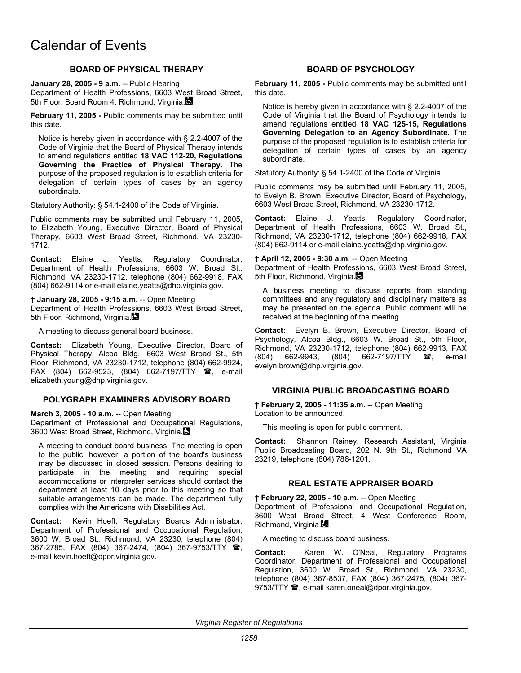## **BOARD OF PHYSICAL THERAPY**

**January 28, 2005 - 9 a.m.** -- Public Hearing Department of Health Professions, 6603 West Broad Street, 5th Floor, Board Room 4, Richmond, Virginia.

**February 11, 2005 -** Public comments may be submitted until this date.

Notice is hereby given in accordance with § 2.2-4007 of the Code of Virginia that the Board of Physical Therapy intends to amend regulations entitled **18 VAC 112-20, Regulations Governing the Practice of Physical Therapy.** The purpose of the proposed regulation is to establish criteria for delegation of certain types of cases by an agency subordinate.

Statutory Authority: § 54.1-2400 of the Code of Virginia.

Public comments may be submitted until February 11, 2005, to Elizabeth Young, Executive Director, Board of Physical Therapy, 6603 West Broad Street, Richmond, VA 23230- 1712.

**Contact:** Elaine J. Yeatts, Regulatory Coordinator, Department of Health Professions, 6603 W. Broad St., Richmond, VA 23230-1712, telephone (804) 662-9918, FAX (804) 662-9114 or e-mail elaine.yeatts@dhp.virginia.gov.

**† January 28, 2005 - 9:15 a.m.** -- Open Meeting Department of Health Professions, 6603 West Broad Street, 5th Floor, Richmond, Virginia.

A meeting to discuss general board business.

**Contact:** Elizabeth Young, Executive Director, Board of Physical Therapy, Alcoa Bldg., 6603 West Broad St., 5th Floor, Richmond, VA 23230-1712, telephone (804) 662-9924, FAX (804) 662-9523, (804) 662-7197/TTY <sup>1</sup>, e-mail elizabeth.young@dhp.virginia.gov.

### **POLYGRAPH EXAMINERS ADVISORY BOARD**

**March 3, 2005 - 10 a.m.** -- Open Meeting

Department of Professional and Occupational Regulations, 3600 West Broad Street, Richmond, Virginia.

A meeting to conduct board business. The meeting is open to the public; however, a portion of the board's business may be discussed in closed session. Persons desiring to participate in the meeting and requiring special accommodations or interpreter services should contact the department at least 10 days prior to this meeting so that suitable arrangements can be made. The department fully complies with the Americans with Disabilities Act.

**Contact:** Kevin Hoeft, Regulatory Boards Administrator, Department of Professional and Occupational Regulation, 3600 W. Broad St., Richmond, VA 23230, telephone (804) 367-2785, FAX (804) 367-2474, (804) 367-9753/TTY  $\hat{\mathbf{x}}$ , e-mail kevin.hoeft@dpor.virginia.gov.

## **BOARD OF PSYCHOLOGY**

**February 11, 2005 -** Public comments may be submitted until this date.

Notice is hereby given in accordance with § 2.2-4007 of the Code of Virginia that the Board of Psychology intends to amend regulations entitled **18 VAC 125-15, Regulations Governing Delegation to an Agency Subordinate.** The purpose of the proposed regulation is to establish criteria for delegation of certain types of cases by an agency subordinate.

Statutory Authority: § 54.1-2400 of the Code of Virginia.

Public comments may be submitted until February 11, 2005, to Evelyn B. Brown, Executive Director, Board of Psychology, 6603 West Broad Street, Richmond, VA 23230-1712.

**Contact:** Elaine J. Yeatts, Regulatory Coordinator, Department of Health Professions, 6603 W. Broad St., Richmond, VA 23230-1712, telephone (804) 662-9918, FAX (804) 662-9114 or e-mail elaine.yeatts@dhp.virginia.gov.

**† April 12, 2005 - 9:30 a.m.** -- Open Meeting

Department of Health Professions, 6603 West Broad Street, 5th Floor, Richmond, Virginia.

A business meeting to discuss reports from standing committees and any regulatory and disciplinary matters as may be presented on the agenda. Public comment will be received at the beginning of the meeting.

**Contact:** Evelyn B. Brown, Executive Director, Board of Psychology, Alcoa Bldg., 6603 W. Broad St., 5th Floor, Richmond, VA 23230-1712, telephone (804) 662-9913, FAX (804) 662-9943, (804) 662-7197/TTY **@**, e-mail evelyn.brown@dhp.virginia.gov.

### **VIRGINIA PUBLIC BROADCASTING BOARD**

**† February 2, 2005 - 11:35 a.m.** -- Open Meeting Location to be announced.

This meeting is open for public comment.

**Contact:** Shannon Rainey, Research Assistant, Virginia Public Broadcasting Board, 202 N. 9th St., Richmond VA 23219, telephone (804) 786-1201.

### **REAL ESTATE APPRAISER BOARD**

**† February 22, 2005 - 10 a.m.** -- Open Meeting Department of Professional and Occupational Regulation, 3600 West Broad Street, 4 West Conference Room, Richmond, Virginia.

A meeting to discuss board business.

**Contact:** Karen W. O'Neal, Regulatory Programs Coordinator, Department of Professional and Occupational Regulation, 3600 W. Broad St., Richmond, VA 23230, telephone (804) 367-8537, FAX (804) 367-2475, (804) 367- 9753/TTY  $\mathbf{\mathcal{D}}$ , e-mail karen.oneal@dpor.virginia.gov.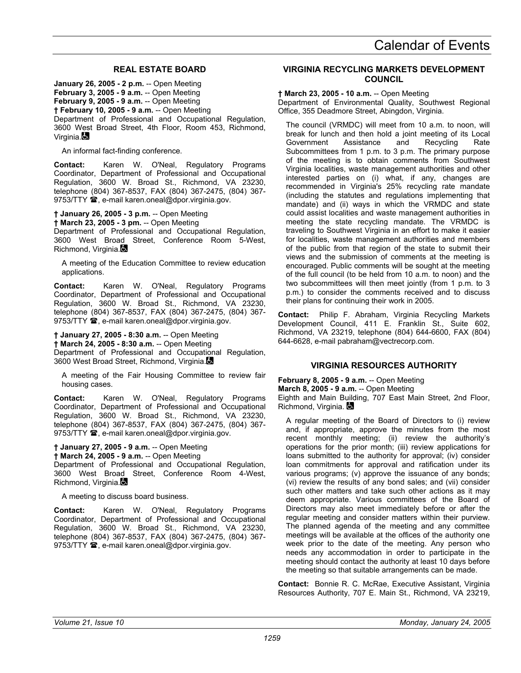# **REAL ESTATE BOARD**

**January 26, 2005 - 2 p.m.** -- Open Meeting **February 3, 2005 - 9 a.m.** -- Open Meeting **February 9, 2005 - 9 a.m.** -- Open Meeting **† February 10, 2005 - 9 a.m.** -- Open Meeting Department of Professional and Occupational Regulation, 3600 West Broad Street, 4th Floor, Room 453, Richmond, Virginia.

An informal fact-finding conference.

**Contact:** Karen W. O'Neal, Regulatory Programs Coordinator, Department of Professional and Occupational Regulation, 3600 W. Broad St., Richmond, VA 23230, telephone (804) 367-8537, FAX (804) 367-2475, (804) 367- 9753/TTY <sup>3</sup>, e-mail karen.oneal@dpor.virginia.gov.

#### **† January 26, 2005 - 3 p.m.** -- Open Meeting

**† March 23, 2005 - 3 pm.** -- Open Meeting

Department of Professional and Occupational Regulation, 3600 West Broad Street, Conference Room 5-West, Richmond, Virginia.

A meeting of the Education Committee to review education applications.

**Contact:** Karen W. O'Neal, Regulatory Programs Coordinator, Department of Professional and Occupational Regulation, 3600 W. Broad St., Richmond, VA 23230, telephone (804) 367-8537, FAX (804) 367-2475, (804) 367- 9753/TTY  $\mathbf{\mathcal{D}}$ , e-mail karen.oneal@dpor.virginia.gov.

**† January 27, 2005 - 8:30 a.m.** -- Open Meeting **† March 24, 2005 - 8:30 a.m.** -- Open Meeting Department of Professional and Occupational Regulation,

3600 West Broad Street, Richmond, Virginia.

A meeting of the Fair Housing Committee to review fair housing cases.

**Contact:** Karen W. O'Neal, Regulatory Programs Coordinator, Department of Professional and Occupational Regulation, 3600 W. Broad St., Richmond, VA 23230, telephone (804) 367-8537, FAX (804) 367-2475, (804) 367- 9753/TTY  $\mathbf{\mathcal{D}}$ , e-mail karen.oneal@dpor.virginia.gov.

**† January 27, 2005 - 9 a.m.** -- Open Meeting **† March 24, 2005 - 9 a.m.** -- Open Meeting Department of Professional and Occupational Regulation, 3600 West Broad Street, Conference Room 4-West, Richmond, Virginia.

A meeting to discuss board business.

**Contact:** Karen W. O'Neal, Regulatory Programs Coordinator, Department of Professional and Occupational Regulation, 3600 W. Broad St., Richmond, VA 23230, telephone (804) 367-8537, FAX (804) 367-2475, (804) 367- 9753/TTY  $\mathbf{\mathcal{D}}$ , e-mail karen.oneal@dpor.virginia.gov.

### **VIRGINIA RECYCLING MARKETS DEVELOPMENT COUNCIL**

#### **† March 23, 2005 - 10 a.m.** -- Open Meeting

Department of Environmental Quality, Southwest Regional Office, 355 Deadmore Street, Abingdon, Virginia.

The council (VRMDC) will meet from 10 a.m. to noon, will break for lunch and then hold a joint meeting of its Local Government Assistance and Recycling Rate Subcommittees from 1 p.m. to 3 p.m. The primary purpose of the meeting is to obtain comments from Southwest Virginia localities, waste management authorities and other interested parties on (i) what, if any, changes are recommended in Virginia's 25% recycling rate mandate (including the statutes and regulations implementing that mandate) and (ii) ways in which the VRMDC and state could assist localities and waste management authorities in meeting the state recycling mandate. The VRMDC is traveling to Southwest Virginia in an effort to make it easier for localities, waste management authorities and members of the public from that region of the state to submit their views and the submission of comments at the meeting is encouraged. Public comments will be sought at the meeting of the full council (to be held from 10 a.m. to noon) and the two subcommittees will then meet jointly (from 1 p.m. to 3 p.m.) to consider the comments received and to discuss their plans for continuing their work in 2005.

**Contact:** Philip F. Abraham, Virginia Recycling Markets Development Council, 411 E. Franklin St., Suite 602, Richmond, VA 23219, telephone (804) 644-6600, FAX (804) 644-6628, e-mail pabraham@vectrecorp.com.

### **VIRGINIA RESOURCES AUTHORITY**

**February 8, 2005 - 9 a.m.** -- Open Meeting

**March 8, 2005 - 9 a.m. -- Open Meeting** 

Eighth and Main Building, 707 East Main Street, 2nd Floor, Richmond, Virginia.

A regular meeting of the Board of Directors to (i) review and, if appropriate, approve the minutes from the most recent monthly meeting; (ii) review the authority's operations for the prior month; (iii) review applications for loans submitted to the authority for approval; (iv) consider loan commitments for approval and ratification under its various programs; (v) approve the issuance of any bonds; (vi) review the results of any bond sales; and (vii) consider such other matters and take such other actions as it may deem appropriate. Various committees of the Board of Directors may also meet immediately before or after the regular meeting and consider matters within their purview. The planned agenda of the meeting and any committee meetings will be available at the offices of the authority one week prior to the date of the meeting. Any person who needs any accommodation in order to participate in the meeting should contact the authority at least 10 days before the meeting so that suitable arrangements can be made.

**Contact:** Bonnie R. C. McRae, Executive Assistant, Virginia Resources Authority, 707 E. Main St., Richmond, VA 23219,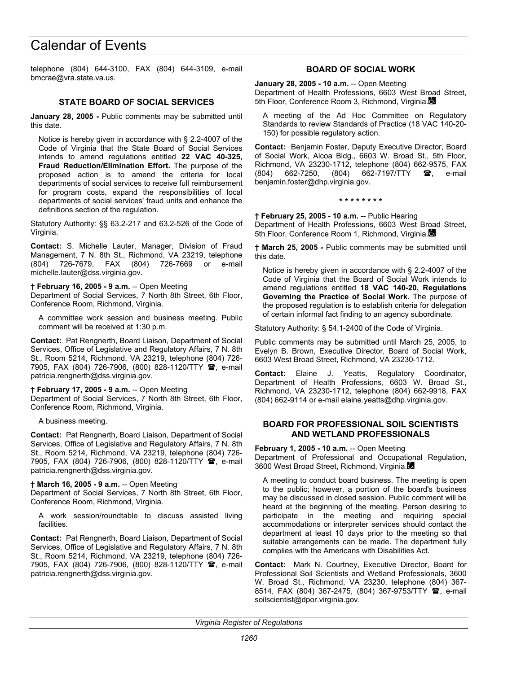telephone (804) 644-3100, FAX (804) 644-3109, e-mail bmcrae@vra.state.va.us.

## **STATE BOARD OF SOCIAL SERVICES**

**January 28, 2005 -** Public comments may be submitted until this date.

Notice is hereby given in accordance with § 2.2-4007 of the Code of Virginia that the State Board of Social Services intends to amend regulations entitled **22 VAC 40-325, Fraud Reduction/Elimination Effort.** The purpose of the proposed action is to amend the criteria for local departments of social services to receive full reimbursement for program costs, expand the responsibilities of local departments of social services' fraud units and enhance the definitions section of the regulation.

Statutory Authority: §§ 63.2-217 and 63.2-526 of the Code of Virginia.

**Contact:** S. Michelle Lauter, Manager, Division of Fraud Management, 7 N. 8th St., Richmond, VA 23219, telephone (804) 726-7679, FAX (804) 726-7669 or e-mail michelle.lauter@dss.virginia.gov.

#### **† February 16, 2005 - 9 a.m.** -- Open Meeting

Department of Social Services, 7 North 8th Street, 6th Floor, Conference Room, Richmond, Virginia.

A committee work session and business meeting. Public comment will be received at 1:30 p.m.

**Contact:** Pat Rengnerth, Board Liaison, Department of Social Services, Office of Legislative and Regulatory Affairs, 7 N. 8th St., Room 5214, Richmond, VA 23219, telephone (804) 726- 7905, FAX (804) 726-7906, (800) 828-1120/TTY <sup>3</sup>, e-mail patricia.rengnerth@dss.virginia.gov.

#### **† February 17, 2005 - 9 a.m.** -- Open Meeting

Department of Social Services, 7 North 8th Street, 6th Floor, Conference Room, Richmond, Virginia.

A business meeting.

**Contact:** Pat Rengnerth, Board Liaison, Department of Social Services, Office of Legislative and Regulatory Affairs, 7 N. 8th St., Room 5214, Richmond, VA 23219, telephone (804) 726- 7905, FAX (804) 726-7906, (800) 828-1120/TTY <sup>2</sup>, e-mail patricia.rengnerth@dss.virginia.gov.

#### **† March 16, 2005 - 9 a.m.** -- Open Meeting

Department of Social Services, 7 North 8th Street, 6th Floor, Conference Room, Richmond, Virginia.

A work session/roundtable to discuss assisted living facilities.

**Contact:** Pat Rengnerth, Board Liaison, Department of Social Services, Office of Legislative and Regulatory Affairs, 7 N. 8th St., Room 5214, Richmond, VA 23219, telephone (804) 726- 7905, FAX (804) 726-7906, (800) 828-1120/TTY <sup>3</sup>, e-mail patricia.rengnerth@dss.virginia.gov.

## **BOARD OF SOCIAL WORK**

**January 28, 2005 - 10 a.m.** -- Open Meeting Department of Health Professions, 6603 West Broad Street, 5th Floor, Conference Room 3, Richmond, Virginia.

A meeting of the Ad Hoc Committee on Regulatory Standards to review Standards of Practice (18 VAC 140-20- 150) for possible regulatory action.

**Contact:** Benjamin Foster, Deputy Executive Director, Board of Social Work, Alcoa Bldg., 6603 W. Broad St., 5th Floor, Richmond, VA 23230-1712, telephone (804) 662-9575, FAX (804) 662-7250, (804) 662-7197/TTY **@**, e-mail benjamin.foster@dhp.virginia.gov.

#### **\* \* \* \* \* \* \* \***

**† February 25, 2005 - 10 a.m.** -- Public Hearing Department of Health Professions, 6603 West Broad Street, 5th Floor, Conference Room 1, Richmond, Virginia.

**† March 25, 2005 -** Public comments may be submitted until this date.

Notice is hereby given in accordance with § 2.2-4007 of the Code of Virginia that the Board of Social Work intends to amend regulations entitled **18 VAC 140-20, Regulations Governing the Practice of Social Work.** The purpose of the proposed regulation is to establish criteria for delegation of certain informal fact finding to an agency subordinate.

Statutory Authority: § 54.1-2400 of the Code of Virginia.

Public comments may be submitted until March 25, 2005, to Evelyn B. Brown, Executive Director, Board of Social Work, 6603 West Broad Street, Richmond, VA 23230-1712.

**Contact:** Elaine J. Yeatts, Regulatory Coordinator, Department of Health Professions, 6603 W. Broad St., Richmond, VA 23230-1712, telephone (804) 662-9918, FAX (804) 662-9114 or e-mail elaine.yeatts@dhp.virginia.gov.

#### **BOARD FOR PROFESSIONAL SOIL SCIENTISTS AND WETLAND PROFESSIONALS**

#### **February 1, 2005 - 10 a.m.** -- Open Meeting

Department of Professional and Occupational Regulation, 3600 West Broad Street, Richmond, Virginia.

A meeting to conduct board business. The meeting is open to the public; however, a portion of the board's business may be discussed in closed session. Public comment will be heard at the beginning of the meeting. Person desiring to participate in the meeting and requiring special accommodations or interpreter services should contact the department at least 10 days prior to the meeting so that suitable arrangements can be made. The department fully complies with the Americans with Disabilities Act.

**Contact:** Mark N. Courtney, Executive Director, Board for Professional Soil Scientists and Wetland Professionals, 3600 W. Broad St., Richmond, VA 23230, telephone (804) 367- 8514, FAX (804) 367-2475, (804) 367-9753/TTY <sup>3</sup>, e-mail soilscientist@dpor.virginia.gov.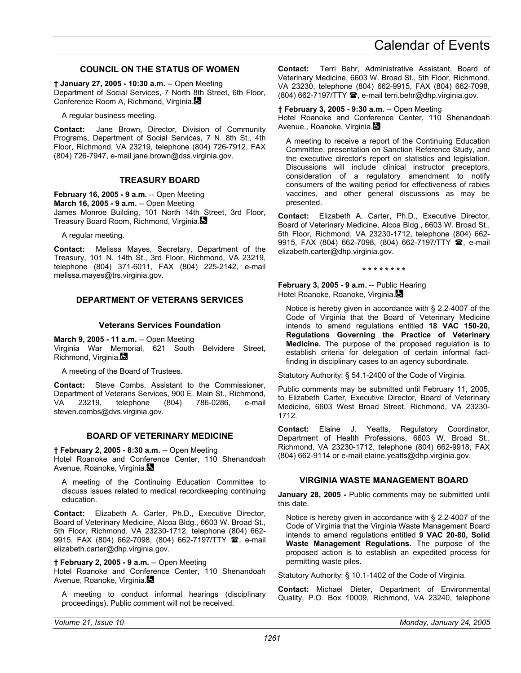## **COUNCIL ON THE STATUS OF WOMEN**

**† January 27, 2005 - 10:30 a.m.** -- Open Meeting Department of Social Services, 7 North 8th Street, 6th Floor, Conference Room A, Richmond, Virginia.

A regular business meeting.

**Contact:** Jane Brown, Director, Division of Community Programs, Department of Social Services, 7 N. 8th St., 4th Floor, Richmond, VA 23219, telephone (804) 726-7912, FAX (804) 726-7947, e-mail jane.brown@dss.virginia.gov.

#### **TREASURY BOARD**

**February 16, 2005 - 9 a.m.** -- Open Meeting **March 16, 2005 - 9 a.m.** -- Open Meeting James Monroe Building, 101 North 14th Street, 3rd Floor, Treasury Board Room, Richmond, Virginia.

A regular meeting.

**Contact:** Melissa Mayes, Secretary, Department of the Treasury, 101 N. 14th St., 3rd Floor, Richmond, VA 23219, telephone (804) 371-6011, FAX (804) 225-2142, e-mail melissa.mayes@trs.virginia.gov.

### **DEPARTMENT OF VETERANS SERVICES**

#### **Veterans Services Foundation**

**March 9, 2005 - 11 a.m.** -- Open Meeting Virginia War Memorial, 621 South Belvidere Street, Richmond, Virginia.

A meeting of the Board of Trustees.

**Contact:** Steve Combs, Assistant to the Commissioner, Department of Veterans Services, 900 E. Main St., Richmond, VA 23219, telephone (804) 786-0286, e-mail steven.combs@dvs.virginia.gov.

#### **BOARD OF VETERINARY MEDICINE**

#### **† February 2, 2005 - 8:30 a.m.** -- Open Meeting

Hotel Roanoke and Conference Center, 110 Shenandoah Avenue, Roanoke, Virginia.

A meeting of the Continuing Education Committee to discuss issues related to medical recordkeeping continuing education.

**Contact:** Elizabeth A. Carter, Ph.D., Executive Director, Board of Veterinary Medicine, Alcoa Bldg., 6603 W. Broad St., 5th Floor, Richmond, VA 23230-1712, telephone (804) 662- 9915, FAX (804) 662-7098, (804) 662-7197/TTY  $\mathbf{\hat{a}}$ , e-mail elizabeth.carter@dhp.virginia.gov.

#### **† February 2, 2005 - 9 a.m.** -- Open Meeting

Hotel Roanoke and Conference Center, 110 Shenandoah Avenue, Roanoke, Virginia.

A meeting to conduct informal hearings (disciplinary proceedings). Public comment will not be received.

**Contact:** Terri Behr, Administrative Assistant, Board of Veterinary Medicine, 6603 W. Broad St., 5th Floor, Richmond, VA 23230, telephone (804) 662-9915, FAX (804) 662-7098, (804) 662-7197/TTY <sup>3</sup>, e-mail terri.behr@dhp.virginia.gov.

#### **† February 3, 2005 - 9:30 a.m.** -- Open Meeting

Hotel Roanoke and Conference Center, 110 Shenandoah Avenue., Roanoke, Virginia.

A meeting to receive a report of the Continuing Education Committee, presentation on Sanction Reference Study, and the executive director's report on statistics and legislation. Discussions will include clinical instructor preceptors, consideration of a regulatory amendment to notify consumers of the waiting period for effectiveness of rabies vaccines, and other general discussions as may be presented.

**Contact:** Elizabeth A. Carter, Ph.D., Executive Director, Board of Veterinary Medicine, Alcoa Bldg., 6603 W. Broad St., 5th Floor, Richmond, VA 23230-1712, telephone (804) 662- 9915, FAX (804) 662-7098, (804) 662-7197/TTY  $\hat{B}$ , e-mail elizabeth.carter@dhp.virginia.gov.

**\* \* \* \* \* \* \* \*** 

#### **February 3, 2005 - 9 a.m.** -- Public Hearing Hotel Roanoke, Roanoke, Virginia.

Notice is hereby given in accordance with § 2.2-4007 of the Code of Virginia that the Board of Veterinary Medicine intends to amend regulations entitled **18 VAC 150-20, Regulations Governing the Practice of Veterinary Medicine.** The purpose of the proposed regulation is to establish criteria for delegation of certain informal factfinding in disciplinary cases to an agency subordinate.

Statutory Authority: § 54.1-2400 of the Code of Virginia.

Public comments may be submitted until February 11, 2005, to Elizabeth Carter, Executive Director, Board of Veterinary Medicine, 6603 West Broad Street, Richmond, VA 23230- 1712.

**Contact:** Elaine J. Yeatts, Regulatory Coordinator, Department of Health Professions, 6603 W. Broad St., Richmond, VA 23230-1712, telephone (804) 662-9918, FAX (804) 662-9114 or e-mail elaine.yeatts@dhp.virginia.gov.

#### **VIRGINIA WASTE MANAGEMENT BOARD**

**January 28, 2005 -** Public comments may be submitted until this date.

Notice is hereby given in accordance with § 2.2-4007 of the Code of Virginia that the Virginia Waste Management Board intends to amend regulations entitled **9 VAC 20-80, Solid Waste Management Regulations.** The purpose of the proposed action is to establish an expedited process for permitting waste piles.

Statutory Authority: § 10.1-1402 of the Code of Virginia.

**Contact:** Michael Dieter, Department of Environmental Quality, P.O. Box 10009, Richmond, VA 23240, telephone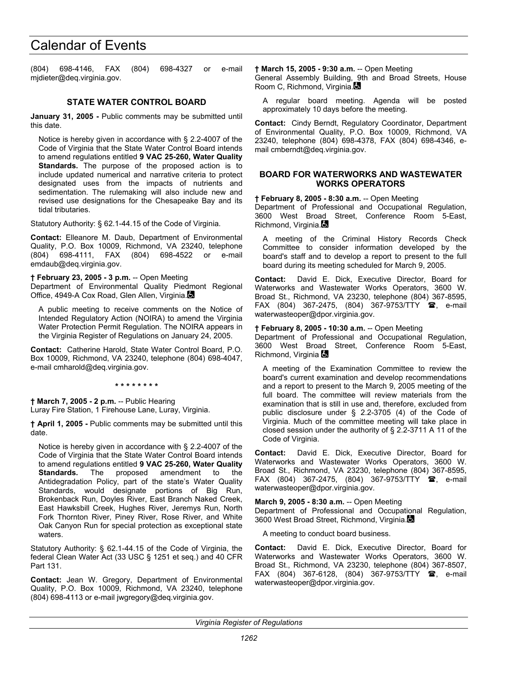(804) 698-4146, FAX (804) 698-4327 or e-mail mjdieter@deq.virginia.gov.

## **STATE WATER CONTROL BOARD**

**January 31, 2005 -** Public comments may be submitted until this date.

Notice is hereby given in accordance with § 2.2-4007 of the Code of Virginia that the State Water Control Board intends to amend regulations entitled **9 VAC 25-260, Water Quality Standards.** The purpose of the proposed action is to include updated numerical and narrative criteria to protect designated uses from the impacts of nutrients and sedimentation. The rulemaking will also include new and revised use designations for the Chesapeake Bay and its tidal tributaries.

Statutory Authority: § 62.1-44.15 of the Code of Virginia.

**Contact:** Elleanore M. Daub, Department of Environmental Quality, P.O. Box 10009, Richmond, VA 23240, telephone (804) 698-4111, FAX (804) 698-4522 or e-mail emdaub@deq.virginia.gov.

**† February 23, 2005 - 3 p.m.** -- Open Meeting

Department of Environmental Quality Piedmont Regional Office, 4949-A Cox Road, Glen Allen, Virginia.

A public meeting to receive comments on the Notice of Intended Regulatory Action (NOIRA) to amend the Virginia Water Protection Permit Regulation. The NOIRA appears in the Virginia Register of Regulations on January 24, 2005.

**Contact:** Catherine Harold, State Water Control Board, P.O. Box 10009, Richmond, VA 23240, telephone (804) 698-4047, e-mail cmharold@deq.virginia.gov.

**\* \* \* \* \* \* \* \*** 

**† March 7, 2005 - 2 p.m.** -- Public Hearing Luray Fire Station, 1 Firehouse Lane, Luray, Virginia.

**† April 1, 2005 -** Public comments may be submitted until this date.

Notice is hereby given in accordance with § 2.2-4007 of the Code of Virginia that the State Water Control Board intends to amend regulations entitled **9 VAC 25-260, Water Quality Standards.** The proposed amendment to the Antidegradation Policy, part of the state's Water Quality Standards, would designate portions of Big Run, Brokenback Run, Doyles River, East Branch Naked Creek, East Hawksbill Creek, Hughes River, Jeremys Run, North Fork Thornton River, Piney River, Rose River, and White Oak Canyon Run for special protection as exceptional state waters.

Statutory Authority: § 62.1-44.15 of the Code of Virginia, the federal Clean Water Act (33 USC § 1251 et seq.) and 40 CFR Part 131.

**Contact:** Jean W. Gregory, Department of Environmental Quality, P.O. Box 10009, Richmond, VA 23240, telephone (804) 698-4113 or e-mail jwgregory@deq.virginia.gov.

**† March 15, 2005 - 9:30 a.m.** -- Open Meeting General Assembly Building, 9th and Broad Streets, House Room C, Richmond, Virginia.

A regular board meeting. Agenda will be posted approximately 10 days before the meeting.

**Contact:** Cindy Berndt, Regulatory Coordinator, Department of Environmental Quality, P.O. Box 10009, Richmond, VA 23240, telephone (804) 698-4378, FAX (804) 698-4346, email cmberndt@deq.virginia.gov.

#### **BOARD FOR WATERWORKS AND WASTEWATER WORKS OPERATORS**

**† February 8, 2005 - 8:30 a.m.** -- Open Meeting

Department of Professional and Occupational Regulation, 3600 West Broad Street, Conference Room 5-East, Richmond, Virginia.

A meeting of the Criminal History Records Check Committee to consider information developed by the board's staff and to develop a report to present to the full board during its meeting scheduled for March 9, 2005.

**Contact:** David E. Dick, Executive Director, Board for Waterworks and Wastewater Works Operators, 3600 W. Broad St., Richmond, VA 23230, telephone (804) 367-8595, FAX (804) 367-2475, (804) 367-9753/TTY  $\circledR$ , e-mail waterwasteoper@dpor.virginia.gov.

#### **† February 8, 2005 - 10:30 a.m.** -- Open Meeting

Department of Professional and Occupational Regulation, 3600 West Broad Street, Conference Room 5-East, Richmond, Virginia &

A meeting of the Examination Committee to review the board's current examination and develop recommendations and a report to present to the March 9, 2005 meeting of the full board. The committee will review materials from the examination that is still in use and, therefore, excluded from public disclosure under § 2.2-3705 (4) of the Code of Virginia. Much of the committee meeting will take place in closed session under the authority of § 2.2-3711 A 11 of the Code of Virginia.

**Contact:** David E. Dick, Executive Director, Board for Waterworks and Wastewater Works Operators, 3600 W. Broad St., Richmond, VA 23230, telephone (804) 367-8595, FAX (804) 367-2475, (804) 367-9753/TTY  $\circledR$ , e-mail waterwasteoper@dpor.virginia.gov.

#### **March 9, 2005 - 8:30 a.m.** -- Open Meeting

Department of Professional and Occupational Regulation, 3600 West Broad Street, Richmond, Virginia.

A meeting to conduct board business.

**Contact:** David E. Dick, Executive Director, Board for Waterworks and Wastewater Works Operators, 3600 W. Broad St., Richmond, VA 23230, telephone (804) 367-8507, FAX (804) 367-6128, (804) 367-9753/TTY <sup>1</sup>, e-mail waterwasteoper@dpor.virginia.gov.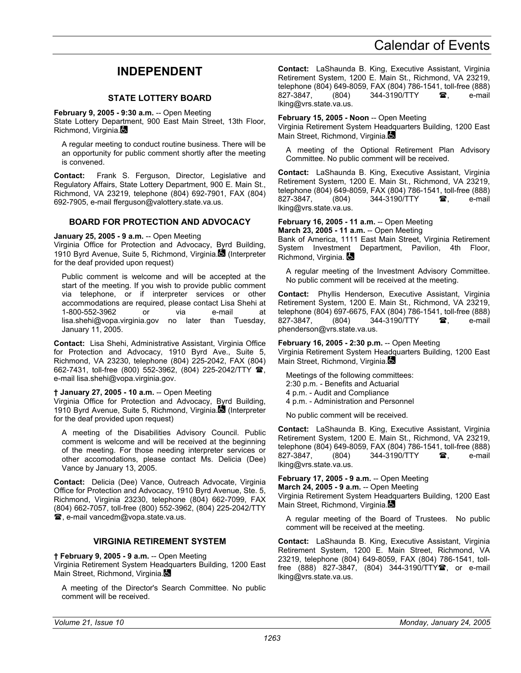# **INDEPENDENT**

## **STATE LOTTERY BOARD**

<span id="page-62-0"></span>**February 9, 2005 - 9:30 a.m.** -- Open Meeting

State Lottery Department, 900 East Main Street, 13th Floor, Richmond, Virginia.

A regular meeting to conduct routine business. There will be an opportunity for public comment shortly after the meeting is convened.

**Contact:** Frank S. Ferguson, Director, Legislative and Regulatory Affairs, State Lottery Department, 900 E. Main St., Richmond, VA 23219, telephone (804) 692-7901, FAX (804) 692-7905, e-mail fferguson@valottery.state.va.us.

#### **BOARD FOR PROTECTION AND ADVOCACY**

**January 25, 2005 - 9 a.m.** -- Open Meeting

Virginia Office for Protection and Advocacy, Byrd Building, 1910 Byrd Avenue, Suite 5, Richmond, Virginia. (Interpreter for the deaf provided upon request)

Public comment is welcome and will be accepted at the start of the meeting. If you wish to provide public comment via telephone, or if interpreter services or other accommodations are required, please contact Lisa Shehi at 1-800-552-3962 or via e-mail at lisa.shehi@vopa.virginia.gov no later than Tuesday, January 11, 2005.

**Contact:** Lisa Shehi, Administrative Assistant, Virginia Office for Protection and Advocacy, 1910 Byrd Ave., Suite 5, Richmond, VA 23230, telephone (804) 225-2042, FAX (804) 662-7431, toll-free (800) 552-3962, (804) 225-2042/TTY <sup>2</sup>, e-mail lisa.shehi@vopa.virginia.gov.

#### **† January 27, 2005 - 10 a.m.** -- Open Meeting

Virginia Office for Protection and Advocacy, Byrd Building, 1910 Byrd Avenue, Suite 5, Richmond, Virginia. (Interpreter for the deaf provided upon request)

A meeting of the Disabilities Advisory Council. Public comment is welcome and will be received at the beginning of the meeting. For those needing interpreter services or other accomodations, please contact Ms. Delicia (Dee) Vance by January 13, 2005.

**Contact:** Delicia (Dee) Vance, Outreach Advocate, Virginia Office for Protection and Advocacy, 1910 Byrd Avenue, Ste. 5, Richmond, Virginia 23230, telephone (804) 662-7099, FAX (804) 662-7057, toll-free (800) 552-3962, (804) 225-2042/TTY , e-mail vancedm@vopa.state.va.us.

## **VIRGINIA RETIREMENT SYSTEM**

**† February 9, 2005 - 9 a.m.** -- Open Meeting

Virginia Retirement System Headquarters Building, 1200 East Main Street, Richmond, Virginia.

A meeting of the Director's Search Committee. No public comment will be received.

**Contact:** LaShaunda B. King, Executive Assistant, Virginia Retirement System, 1200 E. Main St., Richmond, VA 23219, telephone (804) 649-8059, FAX (804) 786-1541, toll-free (888) 827-3847, (804) 344-3190/TTY **a**, e-mail lking@vrs.state.va.us.

#### **February 15, 2005 - Noon** -- Open Meeting

Virginia Retirement System Headquarters Building, 1200 East Main Street, Richmond, Virginia.

A meeting of the Optional Retirement Plan Advisory Committee. No public comment will be received.

**Contact:** LaShaunda B. King, Executive Assistant, Virginia Retirement System, 1200 E. Main St., Richmond, VA 23219, telephone (804) 649-8059, FAX (804) 786-1541, toll-free (888) 827-3847, (804) 344-3190/TTY **a**, e-mail lking@vrs.state.va.us.

#### **February 16, 2005 - 11 a.m.** -- Open Meeting

**March 23, 2005 - 11 a.m.** -- Open Meeting Bank of America, 1111 East Main Street, Virginia Retirement System Investment Department, Pavilion, 4th Floor, Richmond, Virginia.

A regular meeting of the Investment Advisory Committee. No public comment will be received at the meeting.

**Contact:** Phyllis Henderson, Executive Assistant, Virginia Retirement System, 1200 E. Main St., Richmond, VA 23219, telephone (804) 697-6675, FAX (804) 786-1541, toll-free (888)<br>827-3847, (804) 344-3190/TTY **雪**, e-mail 827-3847. (804) 344-3190/TTY **a**. e-mail phenderson@vrs.state.va.us.

**February 16, 2005 - 2:30 p.m.** -- Open Meeting Virginia Retirement System Headquarters Building, 1200 East Main Street, Richmond, Virginia.

Meetings of the following committees: 2:30 p.m. - Benefits and Actuarial 4 p.m. - Audit and Compliance 4 p.m. - Administration and Personnel

No public comment will be received.

**Contact:** LaShaunda B. King, Executive Assistant, Virginia Retirement System, 1200 E. Main St., Richmond, VA 23219, telephone (804) 649-8059, FAX (804) 786-1541, toll-free (888) 827-3847. (804) 344-3190/TTY **a**. e-mail lking@vrs.state.va.us.

**February 17, 2005 - 9 a.m.** -- Open Meeting **March 24, 2005 - 9 a.m.** -- Open Meeting

Virginia Retirement System Headquarters Building, 1200 East Main Street, Richmond, Virginia.

A regular meeting of the Board of Trustees. No public comment will be received at the meeting.

**Contact:** LaShaunda B. King, Executive Assistant, Virginia Retirement System, 1200 E. Main Street, Richmond, VA 23219, telephone (804) 649-8059, FAX (804) 786-1541, tollfree (888) 827-3847, (804) 344-3190/TTY<sup>2</sup>, or e-mail lking@vrs.state.va.us.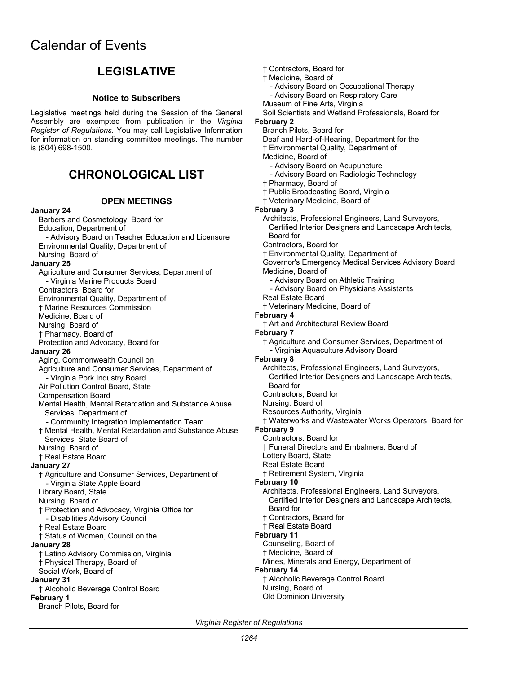# **LEGISLATIVE**

# **Notice to Subscribers**

<span id="page-63-0"></span>Legislative meetings held during the Session of the General Assembly are exempted from publication in the *Virginia Register of Regulations*. You may call Legislative Information for information on standing committee meetings. The number is (804) 698-1500.

# **CHRONOLOGICAL LIST**

#### **OPEN MEETINGS**

#### **January 24**  Barbers and Cosmetology, Board for Education, Department of - Advisory Board on Teacher Education and Licensure Environmental Quality, Department of Nursing, Board of **January 25**  Agriculture and Consumer Services, Department of - Virginia Marine Products Board Contractors, Board for Environmental Quality, Department of † Marine Resources Commission Medicine, Board of Nursing, Board of † Pharmacy, Board of Protection and Advocacy, Board for **January 26**  Aging, Commonwealth Council on Agriculture and Consumer Services, Department of - Virginia Pork Industry Board Air Pollution Control Board, State Compensation Board Mental Health, Mental Retardation and Substance Abuse Services, Department of - Community Integration Implementation Team † Mental Health, Mental Retardation and Substance Abuse Services, State Board of Nursing, Board of † Real Estate Board **January 27**  † Agriculture and Consumer Services, Department of - Virginia State Apple Board Library Board, State Nursing, Board of † Protection and Advocacy, Virginia Office for - Disabilities Advisory Council † Real Estate Board † Status of Women, Council on the **January 28**  † Latino Advisory Commission, Virginia † Physical Therapy, Board of Social Work, Board of **January 31**  † Alcoholic Beverage Control Board **February 1**  Branch Pilots, Board for

Soil Scientists and Wetland Professionals, Board for **February 2**  Branch Pilots, Board for Deaf and Hard-of-Hearing, Department for the † Environmental Quality, Department of Medicine, Board of - Advisory Board on Acupuncture - Advisory Board on Radiologic Technology † Pharmacy, Board of † Public Broadcasting Board, Virginia † Veterinary Medicine, Board of **February 3**  Architects, Professional Engineers, Land Surveyors, Certified Interior Designers and Landscape Architects, Board for Contractors, Board for † Environmental Quality, Department of Governor's Emergency Medical Services Advisory Board Medicine, Board of - Advisory Board on Athletic Training - Advisory Board on Physicians Assistants Real Estate Board † Veterinary Medicine, Board of **February 4**  † Art and Architectural Review Board **February 7**  † Agriculture and Consumer Services, Department of - Virginia Aquaculture Advisory Board **February 8**  Architects, Professional Engineers, Land Surveyors, Certified Interior Designers and Landscape Architects, Board for Contractors, Board for Nursing, Board of Resources Authority, Virginia † Waterworks and Wastewater Works Operators, Board for **February 9**  Contractors, Board for † Funeral Directors and Embalmers, Board of Lottery Board, State Real Estate Board † Retirement System, Virginia **February 10**  Architects, Professional Engineers, Land Surveyors, Certified Interior Designers and Landscape Architects, Board for † Contractors, Board for † Real Estate Board **February 11**  Counseling, Board of † Medicine, Board of Mines, Minerals and Energy, Department of **February 14**  † Alcoholic Beverage Control Board Nursing, Board of

† Contractors, Board for † Medicine, Board of

Museum of Fine Arts, Virginia

- Advisory Board on Occupational Therapy - Advisory Board on Respiratory Care

*Virginia Register of Regulations* 

Old Dominion University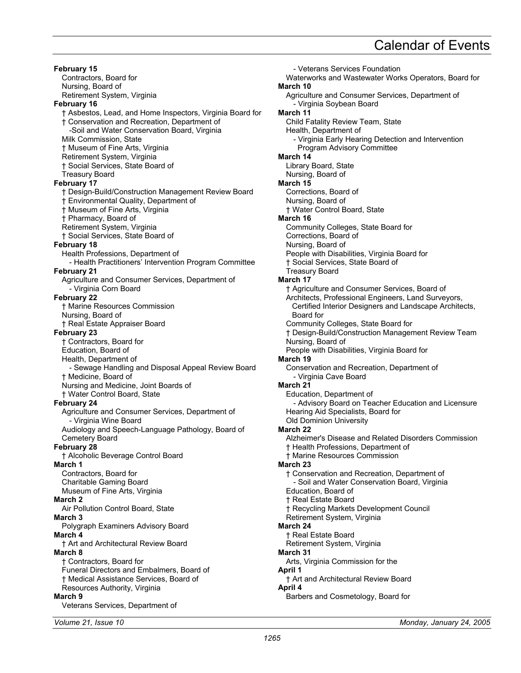**February 15**  Contractors, Board for Nursing, Board of Retirement System, Virginia **February 16**  † Asbestos, Lead, and Home Inspectors, Virginia Board for † Conservation and Recreation, Department of -Soil and Water Conservation Board, Virginia Milk Commission, State † Museum of Fine Arts, Virginia Retirement System, Virginia † Social Services, State Board of Treasury Board **February 17**  † Design-Build/Construction Management Review Board † Environmental Quality, Department of † Museum of Fine Arts, Virginia † Pharmacy, Board of Retirement System, Virginia † Social Services, State Board of **February 18**  Health Professions, Department of - Health Practitioners' Intervention Program Committee **February 21**  Agriculture and Consumer Services, Department of - Virginia Corn Board **February 22**  † Marine Resources Commission Nursing, Board of † Real Estate Appraiser Board **February 23**  † Contractors, Board for Education, Board of Health, Department of - Sewage Handling and Disposal Appeal Review Board † Medicine, Board of Nursing and Medicine, Joint Boards of † Water Control Board, State **February 24**  Agriculture and Consumer Services, Department of - Virginia Wine Board Audiology and Speech-Language Pathology, Board of Cemetery Board **February 28**  † Alcoholic Beverage Control Board **March 1**  Contractors, Board for Charitable Gaming Board Museum of Fine Arts, Virginia **March 2**  Air Pollution Control Board, State **March 3**  Polygraph Examiners Advisory Board **March 4**  † Art and Architectural Review Board **March 8**  † Contractors, Board for Funeral Directors and Embalmers, Board of † Medical Assistance Services, Board of Resources Authority, Virginia **March 9**  Veterans Services, Department of

- Veterans Services Foundation Waterworks and Wastewater Works Operators, Board for **March 10**  Agriculture and Consumer Services, Department of - Virginia Soybean Board **March 11**  Child Fatality Review Team, State Health, Department of - Virginia Early Hearing Detection and Intervention Program Advisory Committee **March 14**  Library Board, State Nursing, Board of **March 15**  Corrections, Board of Nursing, Board of † Water Control Board, State **March 16**  Community Colleges, State Board for Corrections, Board of Nursing, Board of People with Disabilities, Virginia Board for † Social Services, State Board of Treasury Board **March 17**  † Agriculture and Consumer Services, Board of Architects, Professional Engineers, Land Surveyors, Certified Interior Designers and Landscape Architects, Board for Community Colleges, State Board for † Design-Build/Construction Management Review Team Nursing, Board of People with Disabilities, Virginia Board for **March 19**  Conservation and Recreation, Department of - Virginia Cave Board **March 21**  Education, Department of - Advisory Board on Teacher Education and Licensure Hearing Aid Specialists, Board for Old Dominion University **March 22**  Alzheimer's Disease and Related Disorders Commission † Health Professions, Department of † Marine Resources Commission **March 23**  † Conservation and Recreation, Department of - Soil and Water Conservation Board, Virginia Education, Board of † Real Estate Board † Recycling Markets Development Council Retirement System, Virginia **March 24**  † Real Estate Board Retirement System, Virginia **March 31**  Arts, Virginia Commission for the **April 1**  † Art and Architectural Review Board **April 4** 

Barbers and Cosmetology, Board for